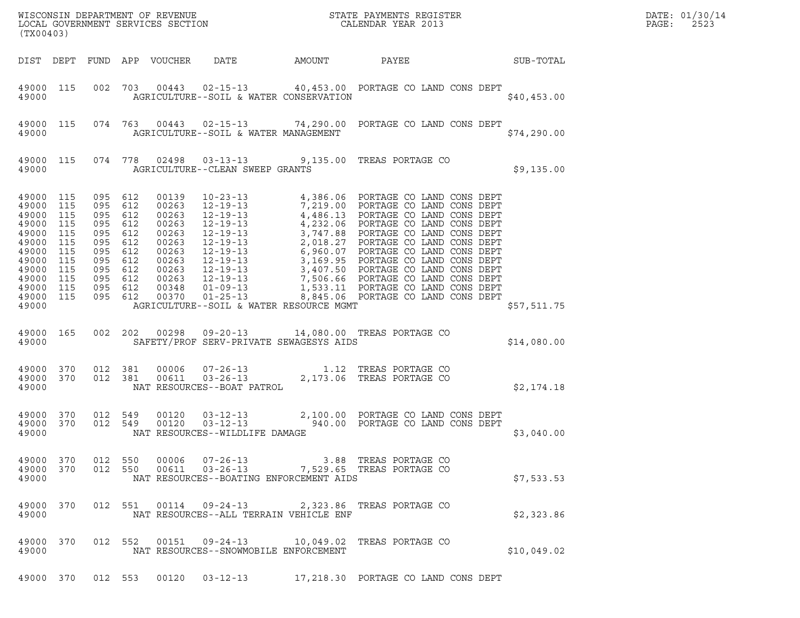| (TX00403)                                                                                                                                                         |           |                                                                                                                                  |                    |                                         | WISCONSIN DEPARTMENT OF REVENUE ${\small \begin{array}{ll} \text{MISCONS} \\ \text{LOCAL GOVERNMENT} \\ \text{SREVICES SECTION \\ \end{array} \hspace{2.0cm} \begin{array}{ll} \text{MISTATE} \\ \text{MISTATE} \\ \text{CALENDAR YEAR} \\ \text{2013} \end{array} }$                                  |             | DATE: 01/30/14<br>PAGE:<br>2523 |
|-------------------------------------------------------------------------------------------------------------------------------------------------------------------|-----------|----------------------------------------------------------------------------------------------------------------------------------|--------------------|-----------------------------------------|--------------------------------------------------------------------------------------------------------------------------------------------------------------------------------------------------------------------------------------------------------------------------------------------------------|-------------|---------------------------------|
|                                                                                                                                                                   |           |                                                                                                                                  |                    | DIST DEPT FUND APP VOUCHER DATE AMOUNT  | PAYEE SUB-TOTAL                                                                                                                                                                                                                                                                                        |             |                                 |
| 49000 115<br>49000                                                                                                                                                |           |                                                                                                                                  |                    | AGRICULTURE--SOIL & WATER CONSERVATION  | 002 703 00443 02-15-13 40,453.00 PORTAGE CO LAND CONS DEPT                                                                                                                                                                                                                                             | \$40,453.00 |                                 |
| 49000 115<br>49000                                                                                                                                                |           |                                                                                                                                  |                    | AGRICULTURE--SOIL & WATER MANAGEMENT    | 074 763 00443 02-15-13 74,290.00 PORTAGE CO LAND CONS DEPT                                                                                                                                                                                                                                             | \$74,290.00 |                                 |
| 49000                                                                                                                                                             | 49000 115 |                                                                                                                                  |                    | AGRICULTURE--CLEAN SWEEP GRANTS         | 074 778 02498 03-13-13 9,135.00 TREAS PORTAGE CO                                                                                                                                                                                                                                                       | \$9,135.00  |                                 |
| 49000 115<br>49000 115<br>49000 115<br>49000 115<br>49000 115<br>49000 115<br>49000 115<br>49000 115<br>49000 115<br>49000 115<br>49000 115<br>49000 115<br>49000 |           | 095 612<br>095 612<br>095 612<br>095 612<br>095 612<br>095 612<br>095 612<br>095 612<br>095 612<br>095 612<br>095 612<br>095 612 |                    | AGRICULTURE--SOIL & WATER RESOURCE MGMT |                                                                                                                                                                                                                                                                                                        | \$57,511.75 |                                 |
| 49000 165<br>49000                                                                                                                                                |           |                                                                                                                                  |                    | SAFETY/PROF SERV-PRIVATE SEWAGESYS AIDS | 002  202  00298  09-20-13  14,080.00 TREAS PORTAGE CO                                                                                                                                                                                                                                                  | \$14,080.00 |                                 |
| 49000 370<br>49000 370<br>49000                                                                                                                                   |           |                                                                                                                                  |                    | NAT RESOURCES--BOAT PATROL              | $\begin{array}{cccc} 012 & 381 & 00006 & 07-26-13 & 1.12 & \text{TREAS PORTAGE CO} \\ 012 & 381 & 00611 & 03-26-13 & 2,173.06 & \text{TREAS PORTAGE CO} \end{array}$                                                                                                                                   | \$2,174.18  |                                 |
| 49000 370<br>49000 370<br>49000                                                                                                                                   |           |                                                                                                                                  | 012 549<br>012 549 | NAT RESOURCES--WILDLIFE DAMAGE          | $\begin{array}{cccc} 0.0120 & 03-12-13 & 2,100.00 & \text{PORTAGE CO LAND CONS DEPT} \\ 0.0120 & 03-12-13 & 940.00 & \text{PORTAGE CO LAND CONS DEPT} \end{array}$                                                                                                                                     | \$3,040.00  |                                 |
| 49000                                                                                                                                                             |           |                                                                                                                                  |                    | NAT RESOURCES--BOATING ENFORCEMENT AIDS | $\begin{array}{cccccc} 4\,9\,0\,00 & 3\,70 & 012 & 550 & 00\,006 & 07\,\texttt{-}26\,\texttt{-}13 & & & & 3.88 & \texttt{TREAS PORTAGE} & \texttt{CO} \\ 4\,9\,0\,00 & 3\,70 & 012 & 550 & 00\,611 & 03\,\texttt{-}26\,\texttt{-}13 & & & 7,529.65 & \texttt{TREAS PORTAGE} & \texttt{CO} \end{array}$ | \$7,533.53  |                                 |
| 49000                                                                                                                                                             | 49000 370 |                                                                                                                                  |                    | NAT RESOURCES--ALL TERRAIN VEHICLE ENF  | 012 551 00114 09-24-13 2,323.86 TREAS PORTAGE CO                                                                                                                                                                                                                                                       | \$2,323.86  |                                 |
| 49000                                                                                                                                                             | 49000 370 |                                                                                                                                  |                    | NAT RESOURCES--SNOWMOBILE ENFORCEMENT   | 012 552 00151 09-24-13 10,049.02 TREAS PORTAGE CO                                                                                                                                                                                                                                                      | \$10,049.02 |                                 |
|                                                                                                                                                                   |           |                                                                                                                                  |                    |                                         | 49000 370 012 553 00120 03-12-13 17,218.30 PORTAGE CO LAND CONS DEPT                                                                                                                                                                                                                                   |             |                                 |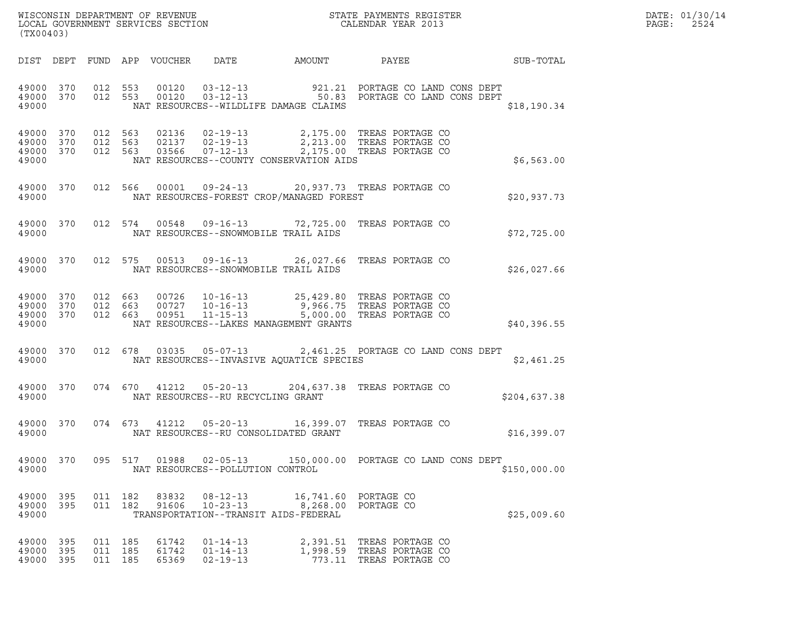| WISCONSIN DEPARTMENT OF REVENUE   | STATE PAYMENTS REGISTER | DATE: 01/30/14 |
|-----------------------------------|-------------------------|----------------|
| LOCAL GOVERNMENT SERVICES SECTION | CALENDAR YEAR 2013      | 2524<br>PAGE:  |

| (TX00403)                           |  |                               |                         |                                                    |                                                               | WISCONSIN DEPARTMENT OF REVENUE<br>LOCAL GOVERNMENT SERVICES SECTION THE SERVICES OF CALENDAR YEAR 2013                                                                                                                                                                                                                   | $\mathbb{E} \mathbb{E} \mathbb{E} \mathbb{E} \left[ \mathbb{E} \left[ \mathbb{E} \left[ \mathbb{E} \left[ \mathbb{E} \left[ \mathbb{E} \left[ \mathbb{E} \left[ \mathbb{E} \left[ \mathbb{E} \left[ \mathbb{E} \left[ \mathbb{E} \left[ \mathbb{E} \left[ \mathbb{E} \left[ \mathbb{E} \left[ \mathbb{E} \left[ \mathbb{E} \left[ \mathbb{E} \left[ \mathbb{E} \left[ \mathbb{E} \left[ \mathbb{E} \left[ \mathbb{E} \left[ \mathbb{E} \left[ \mathbb{$ | DATE: 01/30/14<br>PAGE: 2524 |
|-------------------------------------|--|-------------------------------|-------------------------|----------------------------------------------------|---------------------------------------------------------------|---------------------------------------------------------------------------------------------------------------------------------------------------------------------------------------------------------------------------------------------------------------------------------------------------------------------------|---------------------------------------------------------------------------------------------------------------------------------------------------------------------------------------------------------------------------------------------------------------------------------------------------------------------------------------------------------------------------------------------------------------------------------------------------------|------------------------------|
|                                     |  |                               |                         |                                                    |                                                               | DIST DEPT FUND APP VOUCHER DATE AMOUNT PAYEE PAYER SUB-TOTAL                                                                                                                                                                                                                                                              |                                                                                                                                                                                                                                                                                                                                                                                                                                                         |                              |
|                                     |  |                               |                         |                                                    | 49000 NAT RESOURCES--WILDLIFE DAMAGE CLAIMS                   | $\begin{array}{cccccc} 4\,9\,0\,0\,0 & 3\,7\,0 & 0\,1\,2 & 5\,5\,3 & 0\,0\,1\,2\,0 & 0\,3\,-1\,2\,-1\,3 & & & & & 9\,2\,1\,.2\,1 & \text{PORTAGE CO LAND CONS DEPT}\\ 4\,9\,0\,0\,0 & 3\,7\,0 & 0\,1\,2 & 5\,5\,3 & 0\,0\,1\,2\,0 & 0\,3\,-1\,2\,-1\,3 & & & & 5\,0\,.8\,3 & \text{PORTAGE CO LAND CONS DEPT} \end{array$ | \$18,190.34                                                                                                                                                                                                                                                                                                                                                                                                                                             |                              |
|                                     |  |                               |                         |                                                    | 49000 NAT RESOURCES--COUNTY CONSERVATION AIDS                 | $\begin{array}{cccc} 4\,9\,0\,00 & 3\,70 & 012 & 563 & 02136 & 02-19-13 & 2\,, 175\,.00 & \text{TREAS PORTAGE CO} \\ 4\,9\,0\,00 & 3\,70 & 012 & 563 & 02137 & 02-19-13 & 2\,, 213\,.00 & \text{TREAS PORTAGE CO} \\ 4\,9\,0\,00 & 3\,70 & 012 & 563 & 03566 & 07-12-13 & 2\,, 175\,.00 & \text{TREAS PORTAGE CO} \$      | \$6,563.00                                                                                                                                                                                                                                                                                                                                                                                                                                              |                              |
|                                     |  |                               |                         |                                                    | 49000 NAT RESOURCES-FOREST CROP/MANAGED FOREST                | 49000 370 012 566 00001 09-24-13 20,937.73 TREAS PORTAGE CO                                                                                                                                                                                                                                                               | \$20,937.73                                                                                                                                                                                                                                                                                                                                                                                                                                             |                              |
|                                     |  |                               |                         |                                                    | 49000 MAT RESOURCES--SNOWMOBILE TRAIL AIDS                    | 49000 370 012 574 00548 09-16-13 72,725.00 TREAS PORTAGE CO                                                                                                                                                                                                                                                               | \$72,725.00                                                                                                                                                                                                                                                                                                                                                                                                                                             |                              |
|                                     |  |                               |                         |                                                    | 49000 NAT RESOURCES--SNOWMOBILE TRAIL AIDS                    | 49000 370 012 575 00513 09-16-13 26,027.66 TREAS PORTAGE CO                                                                                                                                                                                                                                                               | \$26,027.66                                                                                                                                                                                                                                                                                                                                                                                                                                             |                              |
|                                     |  |                               |                         |                                                    |                                                               | $\begin{array}{cccc} 4\,9\,0\,00 & 3\,70 & 012 & 663 & 00726 & 10\,16\,13 & 25\,,429\,.80 & \text{TREAS PORTAGE CO} \\ 4\,9\,0\,00 & 3\,70 & 012 & 663 & 00727 & 10\,16\,13 & 9\,,966\,.75 & \text{TREAS PORTAGE CO} \\ 4\,9\,000 & 3\,70 & 012 & 663 & 00951 & 11\,15\,13 & 5\,,000\,.00 & \text{TREAS PORTAGE CO} \end$ | \$40,396.55                                                                                                                                                                                                                                                                                                                                                                                                                                             |                              |
|                                     |  |                               |                         |                                                    |                                                               | 49000 370 012 678 03035 05-07-13 2,461.25 PORTAGE CO LAND CONS DEPT                                                                                                                                                                                                                                                       | \$2,461.25                                                                                                                                                                                                                                                                                                                                                                                                                                              |                              |
|                                     |  |                               |                         | 49000 NAT RESOURCES--RU RECYCLING GRANT            |                                                               | 49000 370 074 670 41212 05-20-13 204,637.38 TREAS PORTAGE CO                                                                                                                                                                                                                                                              | \$204,637.38                                                                                                                                                                                                                                                                                                                                                                                                                                            |                              |
| 49000 and 1900                      |  |                               |                         |                                                    | NAT RESOURCES--RU CONSOLIDATED GRANT                          | 49000 370 074 673 41212 05-20-13 16,399.07 TREAS PORTAGE CO                                                                                                                                                                                                                                                               | \$16,399.07                                                                                                                                                                                                                                                                                                                                                                                                                                             |                              |
| 49000 370<br>49000                  |  | 095 517                       | 01988                   | $02 - 05 - 13$<br>NAT RESOURCES--POLLUTION CONTROL |                                                               | 150,000.00 PORTAGE CO LAND CONS DEPT                                                                                                                                                                                                                                                                                      | \$150,000.00                                                                                                                                                                                                                                                                                                                                                                                                                                            |                              |
| 49000 395<br>49000 395<br>49000     |  | 011 182<br>011 182            | 83832<br>91606          | $08 - 12 - 13$<br>$10 - 23 - 13$                   | 16,741.60<br>8,268.00<br>TRANSPORTATION--TRANSIT AIDS-FEDERAL | PORTAGE CO<br>PORTAGE CO                                                                                                                                                                                                                                                                                                  | \$25,009.60                                                                                                                                                                                                                                                                                                                                                                                                                                             |                              |
| 49000 395<br>49000 395<br>49000 395 |  | 011 185<br>011 185<br>011 185 | 61742<br>61742<br>65369 | $01 - 14 - 13$<br>$01 - 14 - 13$<br>$02 - 19 - 13$ |                                                               | 2,391.51 TREAS PORTAGE CO<br>1,998.59 TREAS PORTAGE CO<br>773.11 TREAS PORTAGE CO                                                                                                                                                                                                                                         |                                                                                                                                                                                                                                                                                                                                                                                                                                                         |                              |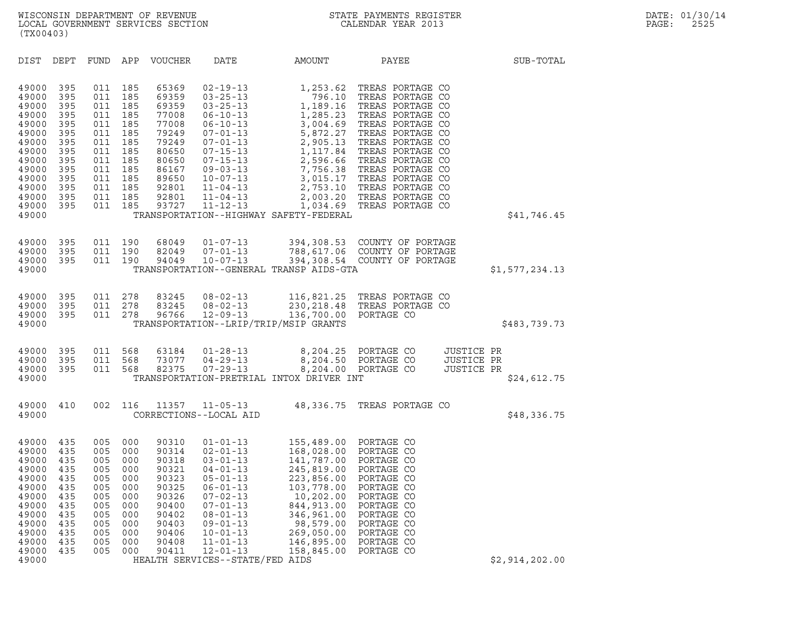| DEPT<br>FUND APP<br>VOUCHER<br>DATE<br>AMOUNT<br>PAYEE<br>SUB-TOTAL<br>DIST<br>185<br>65369<br>TREAS PORTAGE CO<br>49000<br>395<br>011<br>$02 - 19 - 13$<br>1,253.62<br>395<br>011<br>185<br>69359<br>$03 - 25 - 13$<br>796.10<br>TREAS PORTAGE CO<br>49000<br>011<br>185<br>69359<br>$03 - 25 - 13$<br>1,189.16 TREAS PORTAGE CO<br>49000<br>395<br>49000<br>395<br>011<br>185<br>77008<br>1,285.23 TREAS PORTAGE CO<br>06-10-13<br>011<br>185<br>77008<br>$06 - 10 - 13$<br>3,004.69 TREAS PORTAGE CO<br>49000<br>395<br>49000<br>395<br>011<br>185<br>79249<br>5,872.27 TREAS PORTAGE CO<br>07-01-13<br>011<br>185<br>79249<br>$07 - 01 - 13$<br>2,905.13 TREAS PORTAGE CO<br>49000<br>395<br>49000<br>395<br>011<br>185<br>80650<br>1,117.84 TREAS PORTAGE CO<br>$07 - 15 - 13$<br>011<br>185<br>80650<br>$07 - 15 - 13$<br>2,596.66 TREAS PORTAGE CO<br>49000<br>395<br>49000<br>395<br>011<br>185<br>86167<br>$09 - 03 - 13$<br>7,756.38 TREAS PORTAGE CO<br>011<br>185<br>89650<br>$10 - 07 - 13$<br>3,015.17 TREAS PORTAGE CO<br>49000<br>395<br>395<br>011<br>185<br>92801<br>2,753.10 TREAS PORTAGE CO<br>49000<br>$11 - 04 - 13$<br>011<br>185<br>92801<br>$11 - 04 - 13$<br>2,003.20 TREAS PORTAGE CO<br>49000<br>395<br>49000<br>395<br>011<br>185<br>93727<br>$11 - 12 - 13$<br>1,034.69 TREAS PORTAGE CO<br>\$41,746.45<br>49000<br>TRANSPORTATION--HIGHWAY SAFETY-FEDERAL<br>395<br>011<br>190<br>68049<br>$01 - 07 - 13$<br>394,308.53 COUNTY OF PORTAGE<br>49000<br>395<br>011<br>190<br>82049<br>$07 - 01 - 13$<br>788, 617.06 COUNTY OF PORTAGE<br>49000<br>395<br>011<br>190<br>94049<br>$10 - 07 - 13$<br>394,308.54 COUNTY OF PORTAGE<br>49000<br>49000<br>TRANSPORTATION--GENERAL TRANSP AIDS-GTA<br>\$1,577,234.13<br>011<br>278<br>83245<br>$08 - 02 - 13$<br>116,821.25 TREAS PORTAGE CO<br>49000<br>395<br>011<br>278<br>83245<br>$08 - 02 - 13$<br>230, 218.48 TREAS PORTAGE CO<br>49000<br>395<br>49000<br>395<br>011<br>278<br>96766<br>$12 - 09 - 13$<br>136,700.00 PORTAGE CO<br>49000<br>TRANSPORTATION--LRIP/TRIP/MSIP GRANTS<br>\$483,739.73<br>395<br>011<br>568<br>63184<br>$01 - 28 - 13$<br>8,204.25 PORTAGE CO<br>JUSTICE PR<br>49000<br>395<br>011<br>568<br>73077<br>$04 - 29 - 13$<br>8,204.50 PORTAGE CO<br>JUSTICE PR<br>49000<br>82375<br>395<br>011<br>568<br>$07 - 29 - 13$<br>8,204.00 PORTAGE CO<br>JUSTICE PR<br>49000<br>49000<br>TRANSPORTATION-PRETRIAL INTOX DRIVER INT<br>\$24,612.75<br>49000<br>002<br>116<br>11357<br>$11 - 05 - 13$<br>48,336.75 TREAS PORTAGE CO<br>410 |  |
|---------------------------------------------------------------------------------------------------------------------------------------------------------------------------------------------------------------------------------------------------------------------------------------------------------------------------------------------------------------------------------------------------------------------------------------------------------------------------------------------------------------------------------------------------------------------------------------------------------------------------------------------------------------------------------------------------------------------------------------------------------------------------------------------------------------------------------------------------------------------------------------------------------------------------------------------------------------------------------------------------------------------------------------------------------------------------------------------------------------------------------------------------------------------------------------------------------------------------------------------------------------------------------------------------------------------------------------------------------------------------------------------------------------------------------------------------------------------------------------------------------------------------------------------------------------------------------------------------------------------------------------------------------------------------------------------------------------------------------------------------------------------------------------------------------------------------------------------------------------------------------------------------------------------------------------------------------------------------------------------------------------------------------------------------------------------------------------------------------------------------------------------------------------------------------------------------------------------------------------------------------------------------------------------------------------------------------------------------------------------------------------------------------------------------------------------------------------------------------------------------------------------------------------|--|
|                                                                                                                                                                                                                                                                                                                                                                                                                                                                                                                                                                                                                                                                                                                                                                                                                                                                                                                                                                                                                                                                                                                                                                                                                                                                                                                                                                                                                                                                                                                                                                                                                                                                                                                                                                                                                                                                                                                                                                                                                                                                                                                                                                                                                                                                                                                                                                                                                                                                                                                                       |  |
|                                                                                                                                                                                                                                                                                                                                                                                                                                                                                                                                                                                                                                                                                                                                                                                                                                                                                                                                                                                                                                                                                                                                                                                                                                                                                                                                                                                                                                                                                                                                                                                                                                                                                                                                                                                                                                                                                                                                                                                                                                                                                                                                                                                                                                                                                                                                                                                                                                                                                                                                       |  |
|                                                                                                                                                                                                                                                                                                                                                                                                                                                                                                                                                                                                                                                                                                                                                                                                                                                                                                                                                                                                                                                                                                                                                                                                                                                                                                                                                                                                                                                                                                                                                                                                                                                                                                                                                                                                                                                                                                                                                                                                                                                                                                                                                                                                                                                                                                                                                                                                                                                                                                                                       |  |
|                                                                                                                                                                                                                                                                                                                                                                                                                                                                                                                                                                                                                                                                                                                                                                                                                                                                                                                                                                                                                                                                                                                                                                                                                                                                                                                                                                                                                                                                                                                                                                                                                                                                                                                                                                                                                                                                                                                                                                                                                                                                                                                                                                                                                                                                                                                                                                                                                                                                                                                                       |  |
|                                                                                                                                                                                                                                                                                                                                                                                                                                                                                                                                                                                                                                                                                                                                                                                                                                                                                                                                                                                                                                                                                                                                                                                                                                                                                                                                                                                                                                                                                                                                                                                                                                                                                                                                                                                                                                                                                                                                                                                                                                                                                                                                                                                                                                                                                                                                                                                                                                                                                                                                       |  |
| \$48,336.75<br>49000<br>CORRECTIONS--LOCAL AID                                                                                                                                                                                                                                                                                                                                                                                                                                                                                                                                                                                                                                                                                                                                                                                                                                                                                                                                                                                                                                                                                                                                                                                                                                                                                                                                                                                                                                                                                                                                                                                                                                                                                                                                                                                                                                                                                                                                                                                                                                                                                                                                                                                                                                                                                                                                                                                                                                                                                        |  |
| 155,489.00 PORTAGE CO<br>49000<br>435<br>005<br>000<br>90310<br>$01 - 01 - 13$<br>90314<br>$02 - 01 - 13$<br>168,028.00 PORTAGE CO<br>49000<br>435<br>005<br>000<br>435<br>005<br>90318<br>141,787.00 PORTAGE CO<br>49000<br>000<br>$03 - 01 - 13$<br>005<br>90321<br>245,819.00 PORTAGE CO<br>49000<br>435<br>000<br>$04 - 01 - 13$<br>49000<br>435<br>005<br>000<br>90323<br>$05 - 01 - 13$<br>223,856.00<br>PORTAGE CO<br>49000<br>435<br>005<br>000<br>90325<br>$06 - 01 - 13$<br>103,778.00<br>PORTAGE CO<br>435<br>90326<br>$07 - 02 - 13$<br>10,202.00<br>49000<br>005<br>000<br>PORTAGE CO<br>435<br>90400<br>$07 - 01 - 13$<br>844, 913.00<br>49000<br>005<br>000<br>PORTAGE CO<br>435<br>005<br>90402<br>346,961.00<br>PORTAGE CO<br>49000<br>000<br>$08 - 01 - 13$<br>435<br>90403<br>$09 - 01 - 13$<br>98,579.00<br>PORTAGE CO<br>49000<br>005<br>000<br>435<br>005<br>90406<br>269,050.00<br>PORTAGE CO<br>49000<br>000<br>$10 - 01 - 13$<br>435<br>$11 - 01 - 13$<br>146,895.00<br>PORTAGE CO<br>49000<br>005<br>000<br>90408<br>435<br>005<br>90411<br>$12 - 01 - 13$<br>158,845.00<br>49000<br>000<br>PORTAGE CO<br>HEALTH SERVICES--STATE/FED AIDS<br>\$2,914,202.00<br>49000                                                                                                                                                                                                                                                                                                                                                                                                                                                                                                                                                                                                                                                                                                                                                                                                                                                                                                                                                                                                                                                                                                                                                                                                                                                                                                                                        |  |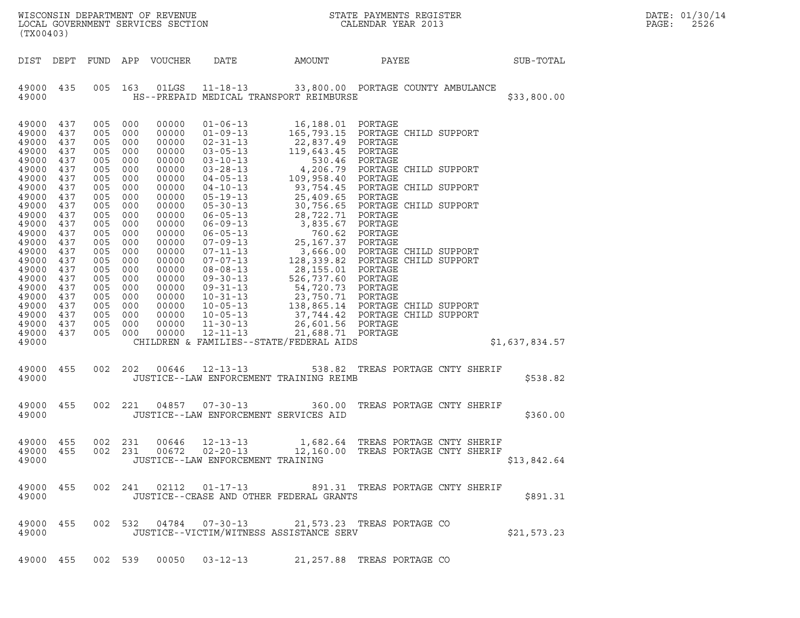| (TX00403)                                                                                                                                                                                                                     |                                                                                                                                                                      |                                                                                                                                                                      |                                                                                                                                                                      | LOCAL GOVERNMENT SERVICES SECTION                                                                                                                                                                                    |                                                                                                                                                                                                                                                                                                                                                                                                                                              |                                                                                                                                                                                                                                                                                                                                      |                                                                                                                                                                                                                                                                                                                                                  |                | DATE: 01/30/14<br>PAGE:<br>2526 |
|-------------------------------------------------------------------------------------------------------------------------------------------------------------------------------------------------------------------------------|----------------------------------------------------------------------------------------------------------------------------------------------------------------------|----------------------------------------------------------------------------------------------------------------------------------------------------------------------|----------------------------------------------------------------------------------------------------------------------------------------------------------------------|----------------------------------------------------------------------------------------------------------------------------------------------------------------------------------------------------------------------|----------------------------------------------------------------------------------------------------------------------------------------------------------------------------------------------------------------------------------------------------------------------------------------------------------------------------------------------------------------------------------------------------------------------------------------------|--------------------------------------------------------------------------------------------------------------------------------------------------------------------------------------------------------------------------------------------------------------------------------------------------------------------------------------|--------------------------------------------------------------------------------------------------------------------------------------------------------------------------------------------------------------------------------------------------------------------------------------------------------------------------------------------------|----------------|---------------------------------|
| DIST DEPT                                                                                                                                                                                                                     |                                                                                                                                                                      |                                                                                                                                                                      |                                                                                                                                                                      | FUND APP VOUCHER                                                                                                                                                                                                     | DATE                                                                                                                                                                                                                                                                                                                                                                                                                                         | AMOUNT                                                                                                                                                                                                                                                                                                                               | PAYEE                                                                                                                                                                                                                                                                                                                                            | SUB-TOTAL      |                                 |
| 49000 435<br>49000                                                                                                                                                                                                            |                                                                                                                                                                      | 005                                                                                                                                                                  | 163                                                                                                                                                                  | 01LGS                                                                                                                                                                                                                |                                                                                                                                                                                                                                                                                                                                                                                                                                              | HS--PREPAID MEDICAL TRANSPORT REIMBURSE                                                                                                                                                                                                                                                                                              | 11-18-13 33,800.00 PORTAGE COUNTY AMBULANCE                                                                                                                                                                                                                                                                                                      | \$33,800.00    |                                 |
| 49000<br>49000<br>49000<br>49000<br>49000<br>49000<br>49000<br>49000<br>49000<br>49000<br>49000<br>49000<br>49000<br>49000<br>49000<br>49000<br>49000<br>49000<br>49000<br>49000<br>49000<br>49000<br>49000<br>49000<br>49000 | 437<br>437<br>437<br>437<br>437<br>437<br>437<br>437<br>437<br>437<br>437<br>437<br>437<br>437<br>437<br>437<br>437<br>437<br>437<br>437<br>437<br>437<br>437<br>437 | 005<br>005<br>005<br>005<br>005<br>005<br>005<br>005<br>005<br>005<br>005<br>005<br>005<br>005<br>005<br>005<br>005<br>005<br>005<br>005<br>005<br>005<br>005<br>005 | 000<br>000<br>000<br>000<br>000<br>000<br>000<br>000<br>000<br>000<br>000<br>000<br>000<br>000<br>000<br>000<br>000<br>000<br>000<br>000<br>000<br>000<br>000<br>000 | 00000<br>00000<br>00000<br>00000<br>00000<br>00000<br>00000<br>00000<br>00000<br>00000<br>00000<br>00000<br>00000<br>00000<br>00000<br>00000<br>00000<br>00000<br>00000<br>00000<br>00000<br>00000<br>00000<br>00000 | $01 - 06 - 13$<br>$01 - 09 - 13$<br>$02 - 31 - 13$<br>$03 - 05 - 13$<br>$03 - 10 - 13$<br>$03 - 28 - 13$<br>$04 - 05 - 13$<br>$04 - 10 - 13$<br>$05 - 19 - 13$<br>$05 - 30 - 13$<br>$06 - 05 - 13$<br>$06 - 09 - 13$<br>$06 - 05 - 13$<br>$07 - 09 - 13$<br>$07 - 11 - 13$<br>$07 - 07 - 13$<br>$08 - 08 - 13$<br>$09 - 30 - 13$<br>$09 - 31 - 13$<br>$10 - 31 - 13$<br>$10 - 05 - 13$<br>$10 - 05 - 13$<br>$11 - 30 - 13$<br>$12 - 11 - 13$ | 16,188.01<br>22,837.49 PORTAGE<br>119,643.45<br>109,958.40<br>93,754.45<br>25,409.65 PORTAGE<br>28,722.71 PORTAGE<br>3,835.67 PORTAGE<br>25,167.37 PORTAGE<br>28,155.01 PORTAGE<br>526,737.60 PORTAGE<br>54,720.73 PORTAGE<br>23,750.71 PORTAGE<br>26,601.56 PORTAGE<br>21,688.71 PORTAGE<br>CHILDREN & FAMILIES--STATE/FEDERAL AIDS | PORTAGE<br>165,793.15 PORTAGE CHILD SUPPORT<br>PORTAGE<br>530.46 PORTAGE<br>4,206.79 PORTAGE CHILD SUPPORT<br>PORTAGE<br>PORTAGE CHILD SUPPORT<br>30,756.65 PORTAGE CHILD SUPPORT<br>760.62 PORTAGE<br>3,666.00 PORTAGE CHILD SUPPORT<br>128,339.82 PORTAGE CHILD SUPPORT<br>138,865.14 PORTAGE CHILD SUPPORT<br>37,744.42 PORTAGE CHILD SUPPORT | \$1,637,834.57 |                                 |
| 49000<br>49000                                                                                                                                                                                                                | 455                                                                                                                                                                  | 002                                                                                                                                                                  | 202                                                                                                                                                                  | 00646                                                                                                                                                                                                                | $12 - 13 - 13$                                                                                                                                                                                                                                                                                                                                                                                                                               | JUSTICE--LAW ENFORCEMENT TRAINING REIMB                                                                                                                                                                                                                                                                                              | 538.82 TREAS PORTAGE CNTY SHERIF                                                                                                                                                                                                                                                                                                                 | \$538.82       |                                 |
| 49000<br>49000                                                                                                                                                                                                                | 455                                                                                                                                                                  | 002 221                                                                                                                                                              |                                                                                                                                                                      | 04857                                                                                                                                                                                                                | $07 - 30 - 13$<br>JUSTICE--LAW ENFORCEMENT SERVICES AID                                                                                                                                                                                                                                                                                                                                                                                      |                                                                                                                                                                                                                                                                                                                                      | 360.00 TREAS PORTAGE CNTY SHERIF                                                                                                                                                                                                                                                                                                                 | \$360.00       |                                 |
| 49000 455<br>49000 455<br>49000                                                                                                                                                                                               |                                                                                                                                                                      | 002 231<br>002 231                                                                                                                                                   |                                                                                                                                                                      | 00672                                                                                                                                                                                                                | $02 - 20 - 13$<br>JUSTICE--LAW ENFORCEMENT TRAINING                                                                                                                                                                                                                                                                                                                                                                                          |                                                                                                                                                                                                                                                                                                                                      | 00646  12-13-13  1,682.64  TREAS PORTAGE CNTY SHERIF<br>12,160.00 TREAS PORTAGE CNTY SHERIF                                                                                                                                                                                                                                                      | \$13,842.64    |                                 |
| 49000 455<br>49000                                                                                                                                                                                                            |                                                                                                                                                                      |                                                                                                                                                                      |                                                                                                                                                                      |                                                                                                                                                                                                                      | 002 241 02112 01-17-13                                                                                                                                                                                                                                                                                                                                                                                                                       | JUSTICE--CEASE AND OTHER FEDERAL GRANTS                                                                                                                                                                                                                                                                                              | 891.31 TREAS PORTAGE CNTY SHERIF                                                                                                                                                                                                                                                                                                                 | \$891.31       |                                 |
| 49000 455<br>49000                                                                                                                                                                                                            |                                                                                                                                                                      |                                                                                                                                                                      |                                                                                                                                                                      |                                                                                                                                                                                                                      | 002 532 04784 07-30-13                                                                                                                                                                                                                                                                                                                                                                                                                       | JUSTICE--VICTIM/WITNESS ASSISTANCE SERV                                                                                                                                                                                                                                                                                              | 21,573.23 TREAS PORTAGE CO                                                                                                                                                                                                                                                                                                                       | \$21,573.23    |                                 |
|                                                                                                                                                                                                                               |                                                                                                                                                                      |                                                                                                                                                                      |                                                                                                                                                                      |                                                                                                                                                                                                                      | 49000 455 002 539 00050 03-12-13                                                                                                                                                                                                                                                                                                                                                                                                             |                                                                                                                                                                                                                                                                                                                                      | 21,257.88 TREAS PORTAGE CO                                                                                                                                                                                                                                                                                                                       |                |                                 |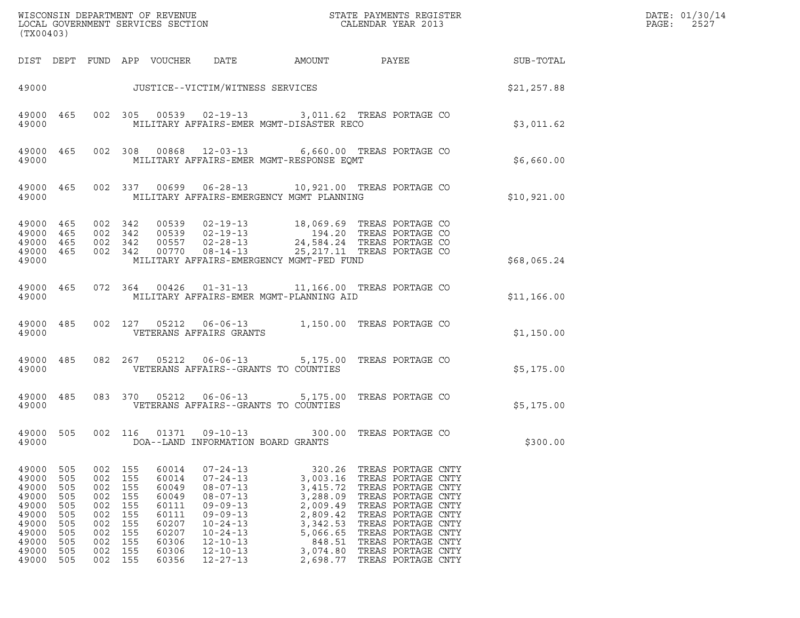| (TX00403)                                                                                       |                                                                           |                                                                               |                                                                    |                                                                                                 |                                                                                                                                                                                                    |                                                                                                                              |                                                                                                                                                                                                                                                |             | DATE: 01/30/14<br>PAGE:<br>2527 |
|-------------------------------------------------------------------------------------------------|---------------------------------------------------------------------------|-------------------------------------------------------------------------------|--------------------------------------------------------------------|-------------------------------------------------------------------------------------------------|----------------------------------------------------------------------------------------------------------------------------------------------------------------------------------------------------|------------------------------------------------------------------------------------------------------------------------------|------------------------------------------------------------------------------------------------------------------------------------------------------------------------------------------------------------------------------------------------|-------------|---------------------------------|
|                                                                                                 |                                                                           |                                                                               |                                                                    |                                                                                                 | DIST DEPT FUND APP VOUCHER DATE                                                                                                                                                                    | AMOUNT                                                                                                                       | PAYEE SUB-TOTAL                                                                                                                                                                                                                                |             |                                 |
|                                                                                                 |                                                                           |                                                                               |                                                                    |                                                                                                 | 49000 JUSTICE--VICTIM/WITNESS SERVICES                                                                                                                                                             | \$21,257.88                                                                                                                  |                                                                                                                                                                                                                                                |             |                                 |
| 49000                                                                                           | 49000 465                                                                 |                                                                               |                                                                    |                                                                                                 | MILITARY AFFAIRS-EMER MGMT-DISASTER RECO                                                                                                                                                           |                                                                                                                              | 002 305 00539 02-19-13 3,011.62 TREAS PORTAGE CO                                                                                                                                                                                               | \$3,011.62  |                                 |
| 49000                                                                                           | 49000 465                                                                 |                                                                               |                                                                    |                                                                                                 | MILITARY AFFAIRS-EMER MGMT-RESPONSE EQMT                                                                                                                                                           |                                                                                                                              | 002 308 00868 12-03-13 6,660.00 TREAS PORTAGE CO                                                                                                                                                                                               | \$6,660.00  |                                 |
| 49000                                                                                           | 49000 465                                                                 |                                                                               |                                                                    |                                                                                                 | MILITARY AFFAIRS-EMERGENCY MGMT PLANNING                                                                                                                                                           |                                                                                                                              | 002 337 00699 06-28-13 10,921.00 TREAS PORTAGE CO                                                                                                                                                                                              | \$10,921.00 |                                 |
| 49000 465<br>49000 465<br>49000 465<br>49000 465<br>49000                                       |                                                                           | 002 342<br>002 342<br>002 342                                                 | 002 342                                                            |                                                                                                 | MILITARY AFFAIRS-EMERGENCY MGMT-FED FUND                                                                                                                                                           |                                                                                                                              | 00539  02-19-13  18,069.69  TREAS PORTAGE CO<br>00539  02-19-13  194.20  TREAS PORTAGE CO<br>00557  02-28-13  24,584.24  TREAS PORTAGE CO<br>00770  08-14-13  25,217.11  TREAS PORTAGE CO                                                      | \$68,065.24 |                                 |
| 49000                                                                                           | 49000 465                                                                 |                                                                               |                                                                    |                                                                                                 | MILITARY AFFAIRS-EMER MGMT-PLANNING AID                                                                                                                                                            |                                                                                                                              | 072  364  00426  01-31-13  11,166.00 TREAS PORTAGE CO                                                                                                                                                                                          | \$11,166.00 |                                 |
| 49000                                                                                           | 49000 485                                                                 |                                                                               |                                                                    |                                                                                                 | VETERANS AFFAIRS GRANTS                                                                                                                                                                            |                                                                                                                              | 002 127 05212 06-06-13 1,150.00 TREAS PORTAGE CO                                                                                                                                                                                               | \$1,150.00  |                                 |
| 49000                                                                                           | 49000 485                                                                 |                                                                               |                                                                    |                                                                                                 | VETERANS AFFAIRS--GRANTS TO COUNTIES                                                                                                                                                               |                                                                                                                              | 082  267  05212  06-06-13  5,175.00 TREAS PORTAGE CO                                                                                                                                                                                           | \$5,175.00  |                                 |
| 49000                                                                                           | 49000 485                                                                 |                                                                               |                                                                    |                                                                                                 | VETERANS AFFAIRS--GRANTS TO COUNTIES                                                                                                                                                               |                                                                                                                              | 083 370 05212 06-06-13 5,175.00 TREAS PORTAGE CO                                                                                                                                                                                               | \$5,175.00  |                                 |
| 49000 505<br>49000                                                                              |                                                                           |                                                                               |                                                                    |                                                                                                 | DOA--LAND INFORMATION BOARD GRANTS                                                                                                                                                                 |                                                                                                                              | 002 116 01371 09-10-13 300.00 TREAS PORTAGE CO                                                                                                                                                                                                 | \$300.00    |                                 |
| 49000<br>49000<br>49000<br>49000<br>49000<br>49000<br>49000<br>49000<br>49000<br>49000<br>49000 | 505<br>505<br>505<br>505<br>505<br>505<br>505<br>505<br>505<br>505<br>505 | 002<br>002<br>002<br>002<br>002<br>002<br>002<br>002<br>002<br>002<br>002 155 | 155<br>155<br>155<br>155<br>155<br>155<br>155<br>155<br>155<br>155 | 60014<br>60014<br>60049<br>60049<br>60111<br>60111<br>60207<br>60207<br>60306<br>60306<br>60356 | $07 - 24 - 13$<br>$07 - 24 - 13$<br>$08 - 07 - 13$<br>$08 - 07 - 13$<br>$09 - 09 - 13$<br>$09 - 09 - 13$<br>$10 - 24 - 13$<br>$10 - 24 - 13$<br>$12 - 10 - 13$<br>$12 - 10 - 13$<br>$12 - 27 - 13$ | 320.26<br>3,003.16<br>3,415.72<br>3,288.09<br>2,009.49<br>2,809.42<br>3,342.53<br>5,066.65<br>848.51<br>3,074.80<br>2,698.77 | TREAS PORTAGE CNTY<br>TREAS PORTAGE CNTY<br>TREAS PORTAGE CNTY<br>TREAS PORTAGE CNTY<br>TREAS PORTAGE CNTY<br>TREAS PORTAGE CNTY<br>TREAS PORTAGE CNTY<br>TREAS PORTAGE CNTY<br>TREAS PORTAGE CNTY<br>TREAS PORTAGE CNTY<br>TREAS PORTAGE CNTY |             |                                 |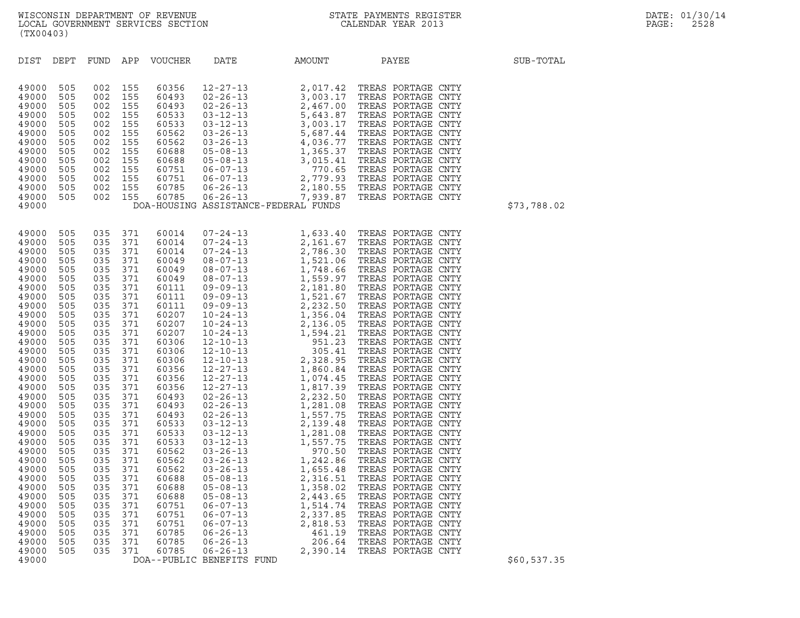| (TX00403)                                                                                                                                                                                                                                                                                                                                 |                                                                                                                                                                                                                                                          |                                                                                                                                                                                                                                                              |                                                                                                                                                                                                                                                   |                                                                                                                                                                                                                                                                                                                                  |                                                                                                                                                                           |                                                                                          |                                                                                                                                                                              |             |
|-------------------------------------------------------------------------------------------------------------------------------------------------------------------------------------------------------------------------------------------------------------------------------------------------------------------------------------------|----------------------------------------------------------------------------------------------------------------------------------------------------------------------------------------------------------------------------------------------------------|--------------------------------------------------------------------------------------------------------------------------------------------------------------------------------------------------------------------------------------------------------------|---------------------------------------------------------------------------------------------------------------------------------------------------------------------------------------------------------------------------------------------------|----------------------------------------------------------------------------------------------------------------------------------------------------------------------------------------------------------------------------------------------------------------------------------------------------------------------------------|---------------------------------------------------------------------------------------------------------------------------------------------------------------------------|------------------------------------------------------------------------------------------|------------------------------------------------------------------------------------------------------------------------------------------------------------------------------|-------------|
| DIST                                                                                                                                                                                                                                                                                                                                      | DEPT                                                                                                                                                                                                                                                     |                                                                                                                                                                                                                                                              |                                                                                                                                                                                                                                                   |                                                                                                                                                                                                                                                                                                                                  |                                                                                                                                                                           | FUND APP VOUCHER DATE AMOUNT PAYEE                                                       |                                                                                                                                                                              | SUB-TOTAL   |
| 49000<br>49000<br>49000<br>49000<br>49000<br>49000<br>49000<br>49000<br>49000<br>49000<br>49000<br>49000<br>49000<br>49000                                                                                                                                                                                                                | 505<br>505<br>505<br>505<br>505<br>505<br>505<br>505<br>505<br>505<br>505<br>505<br>505                                                                                                                                                                  |                                                                                                                                                                                                                                                              |                                                                                                                                                                                                                                                   |                                                                                                                                                                                                                                                                                                                                  |                                                                                                                                                                           | DOA-HOUSING ASSISTANCE-FEDERAL FUNDS                                                     |                                                                                                                                                                              | \$73,788.02 |
| 49000<br>49000<br>49000<br>49000<br>49000<br>49000<br>49000<br>49000<br>49000<br>49000<br>49000<br>49000<br>49000<br>49000<br>49000<br>49000<br>49000<br>49000<br>49000<br>49000<br>49000<br>49000<br>49000<br>49000<br>49000<br>49000<br>49000<br>49000<br>49000<br>49000<br>49000<br>49000<br>49000<br>49000<br>49000<br>49000<br>49000 | 505<br>505<br>505<br>505<br>505<br>505<br>505<br>505<br>505<br>505<br>505<br>505<br>505<br>505<br>505<br>505<br>505<br>505<br>505<br>505<br>505<br>505<br>505<br>505<br>505<br>505<br>505<br>505<br>505<br>505<br>505<br>505<br>505<br>505<br>505<br>505 | 035<br>035<br>035 371<br>035<br>035<br>035<br>035<br>035<br>035<br>035<br>035<br>035<br>035<br>035<br>035<br>035<br>035<br>035<br>035<br>035<br>035<br>035<br>035<br>035<br>035<br>035<br>035<br>035<br>035<br>035<br>035<br>035<br>035<br>035<br>035<br>035 | 371<br>371<br>371<br>371<br>371<br>371<br>371<br>371<br>371<br>371<br>371<br>371<br>371<br>371<br>371<br>371<br>371<br>371<br>371<br>371<br>371<br>371<br>371<br>371<br>371<br>371<br>371<br>371<br>371<br>371<br>371<br>371<br>371<br>371<br>371 | 60014<br>60014<br>60014<br>60049<br>60049<br>60049<br>60111<br>60111<br>60111<br>60207<br>60207<br>60207<br>60306<br>60306<br>60306<br>60356<br>60356<br>60356<br>60493<br>60493<br>60493<br>60533<br>60533<br>60533<br>60562<br>60562<br>60562<br>60688<br>60688<br>60688<br>60751<br>60751<br>60751<br>60785<br>60785<br>60785 | $05 - 08 - 13$<br>$05 - 08 - 13$<br>$06 - 07 - 13$<br>$06 - 07 - 13$<br>$06 - 07 - 13$<br>$06 - 26 - 13$<br>$06 - 26 - 13$<br>$06 - 26 - 13$<br>DOA--PUBLIC BENEFITS FUND | 1,358.02<br>2,443.65<br>1,514.74<br>2,337.85<br>2,818.53<br>461.19<br>206.64<br>2,390.14 | TREAS PORTAGE CNTY<br>TREAS PORTAGE CNTY<br>TREAS PORTAGE CNTY<br>TREAS PORTAGE CNTY<br>TREAS PORTAGE CNTY<br>TREAS PORTAGE CNTY<br>TREAS PORTAGE CNTY<br>TREAS PORTAGE CNTY | \$60,537.35 |
|                                                                                                                                                                                                                                                                                                                                           |                                                                                                                                                                                                                                                          |                                                                                                                                                                                                                                                              |                                                                                                                                                                                                                                                   |                                                                                                                                                                                                                                                                                                                                  |                                                                                                                                                                           |                                                                                          |                                                                                                                                                                              |             |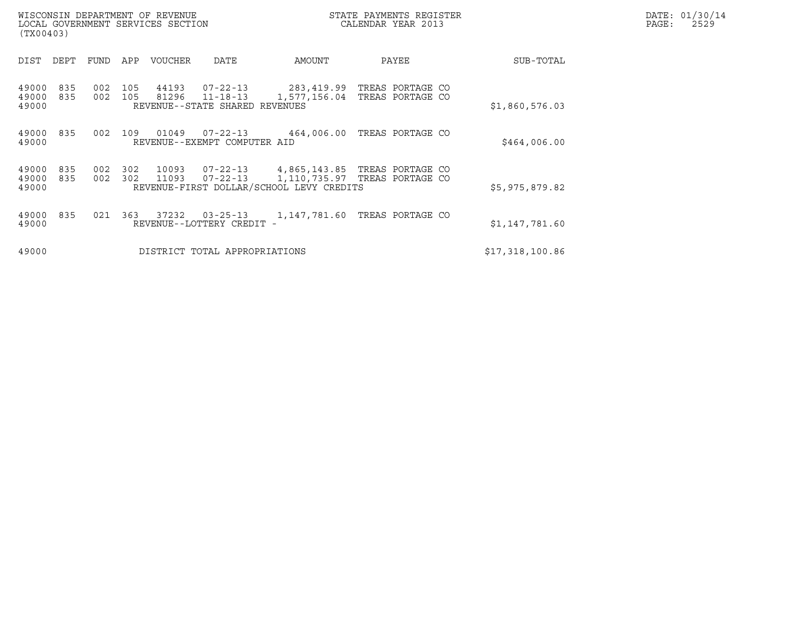| (TX00403)               |            |            |            | WISCONSIN DEPARTMENT OF REVENUE<br>LOCAL GOVERNMENT SERVICES SECTION |                                                              | STATE PAYMENTS REGISTER<br>CALENDAR YEAR 2013                                                              |                                                 | DATE: 01/30/14<br>PAGE:<br>2529 |                 |  |
|-------------------------|------------|------------|------------|----------------------------------------------------------------------|--------------------------------------------------------------|------------------------------------------------------------------------------------------------------------|-------------------------------------------------|---------------------------------|-----------------|--|
| DIST                    | DEPT       | FUND       | APP        | <b>VOUCHER</b>                                                       | <b>DATE</b>                                                  | AMOUNT                                                                                                     | PAYEE                                           |                                 | SUB-TOTAL       |  |
| 49000<br>49000<br>49000 | 835<br>835 | 002<br>002 | 105<br>105 | 44193<br>81296                                                       | 07-22-13<br>$11 - 18 - 13$<br>REVENUE--STATE SHARED REVENUES | 1,577,156.04                                                                                               | 283,419.99 TREAS PORTAGE CO<br>TREAS PORTAGE CO |                                 | \$1,860,576.03  |  |
| 49000<br>49000          | 835        | 002        | 109        | 01049                                                                | $07 - 22 - 13$<br>REVENUE--EXEMPT COMPUTER AID               | 464,006.00                                                                                                 | TREAS PORTAGE CO                                |                                 | \$464,006.00    |  |
| 49000<br>49000<br>49000 | 835<br>835 | 002<br>002 | 302<br>302 | 10093<br>11093                                                       | $07 - 22 - 13$<br>$07 - 22 - 13$                             | 4,865,143.85 TREAS PORTAGE CO<br>1,110,735.97 TREAS PORTAGE CO<br>REVENUE-FIRST DOLLAR/SCHOOL LEVY CREDITS |                                                 |                                 | \$5,975,879.82  |  |
| 49000<br>49000          | 835        | 021        | 363        | 37232                                                                | $03 - 25 - 13$<br>REVENUE--LOTTERY CREDIT -                  | 1,147,781.60                                                                                               | TREAS PORTAGE CO                                |                                 | \$1,147,781.60  |  |
| 49000                   |            |            |            |                                                                      | DISTRICT TOTAL APPROPRIATIONS                                |                                                                                                            |                                                 |                                 | \$17,318,100.86 |  |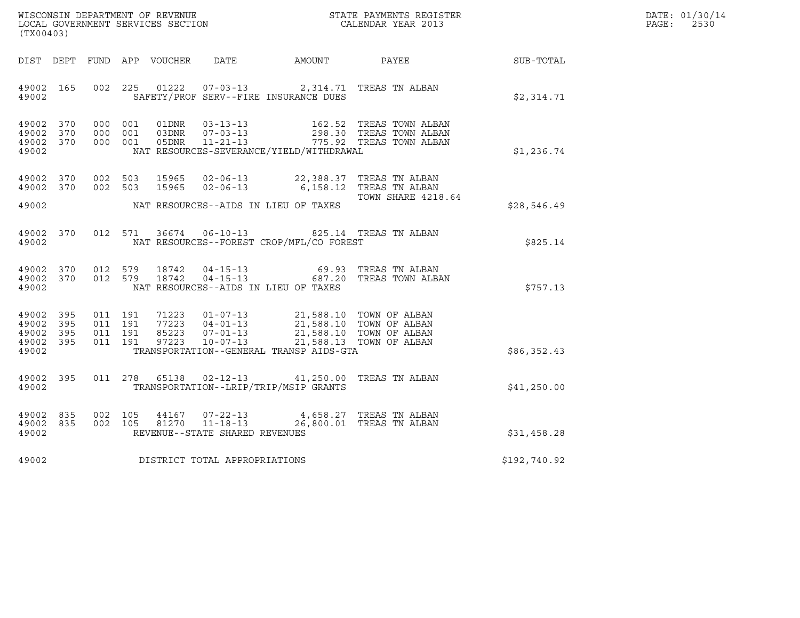| DATE: | 01/30/14 |
|-------|----------|
| PAGE: | 2530     |

| WISCONSIN DEPARTMENT OF REVENUE<br>LOCAL GOVERNMENT SERVICES SECTION<br>CALENDAR YEAR 2013 |     |                    |                               |                        | DATE: 01/30/14<br>$\mathtt{PAGE:}$<br>2530       |                                                                                                                                                                                                                             |                                                                   |              |  |
|--------------------------------------------------------------------------------------------|-----|--------------------|-------------------------------|------------------------|--------------------------------------------------|-----------------------------------------------------------------------------------------------------------------------------------------------------------------------------------------------------------------------------|-------------------------------------------------------------------|--------------|--|
| (TX00403)                                                                                  |     |                    |                               |                        |                                                  |                                                                                                                                                                                                                             |                                                                   |              |  |
|                                                                                            |     |                    |                               |                        |                                                  |                                                                                                                                                                                                                             | DIST DEPT FUND APP VOUCHER DATE AMOUNT PAYEE THE SUB-TOTAL        |              |  |
| 49002 165<br>49002                                                                         |     |                    |                               | 002 225 01222          |                                                  | 07-03-13 2,314.71 TREAS TN ALBAN<br>SAFETY/PROF SERV--FIRE INSURANCE DUES                                                                                                                                                   |                                                                   | \$2,314.71   |  |
| 49002 370<br>49002 370<br>49002 370<br>49002                                               |     |                    | 000 001<br>000 001<br>000 001 |                        |                                                  | NAT RESOURCES-SEVERANCE/YIELD/WITHDRAWAL                                                                                                                                                                                    | 162.52   TREAS TOWN ALBAN<br>298.30   TREAS TOWN ALBAN            | \$1,236.74   |  |
| 49002 370<br>49002 370                                                                     |     | 002 503            | 002 503                       | 15965<br>15965         |                                                  | 02-06-13 22,388.37 TREAS TN ALBAN<br>02-06-13 6,158.12 TREAS TN ALBAN                                                                                                                                                       | TOWN SHARE 4218.64                                                |              |  |
| 49002                                                                                      |     |                    |                               |                        |                                                  | NAT RESOURCES--AIDS IN LIEU OF TAXES                                                                                                                                                                                        |                                                                   | \$28,546.49  |  |
| 49002                                                                                      |     |                    |                               |                        |                                                  | NAT RESOURCES--FOREST CROP/MFL/CO FOREST                                                                                                                                                                                    | 49002 370 012 571 36674 06-10-13 825.14 TREAS TN ALBAN            | \$825.14     |  |
| 49002 370<br>49002 370<br>49002                                                            |     |                    | 012 579                       | 012 579 18742<br>18742 |                                                  | NAT RESOURCES--AIDS IN LIEU OF TAXES                                                                                                                                                                                        | 04-15-13 69.93 TREAS TN ALBAN<br>04-15-13 687.20 TREAS TOWN ALBAN | \$757.13     |  |
| 49002 395<br>49002<br>49002 395<br>49002 395                                               | 395 | 011 191<br>011 191 | 011 191<br>011 191            |                        |                                                  | 71223  01-07-13  21,588.10  TOWN OF ALBAN<br>77223  04-01-13  21,588.10  TOWN OF ALBAN<br>85223  07-01-13  21,588.10  TOWN OF ALBAN<br>97223  10-07-13  21,588.13  TOWN OF ALBAN<br>TRANSPORTATION--GENERAL TRANSP AIDS-GTA |                                                                   |              |  |
| 49002                                                                                      |     |                    |                               |                        |                                                  |                                                                                                                                                                                                                             |                                                                   | \$86,352.43  |  |
| 49002 395<br>49002                                                                         |     |                    |                               |                        |                                                  | 011  278  65138  02-12-13  41,250.00 TREAS TN ALBAN<br>TRANSPORTATION--LRIP/TRIP/MSIP GRANTS                                                                                                                                |                                                                   | \$41,250.00  |  |
| 49002 835<br>49002 835<br>49002                                                            |     |                    | 002 105<br>002 105            | 44167                  | $07 - 22 - 13$<br>REVENUE--STATE SHARED REVENUES |                                                                                                                                                                                                                             | 4,658.27   TREAS  TN  ALBAN                                       | \$31,458.28  |  |
| 49002                                                                                      |     |                    |                               |                        | DISTRICT TOTAL APPROPRIATIONS                    |                                                                                                                                                                                                                             |                                                                   | \$192,740.92 |  |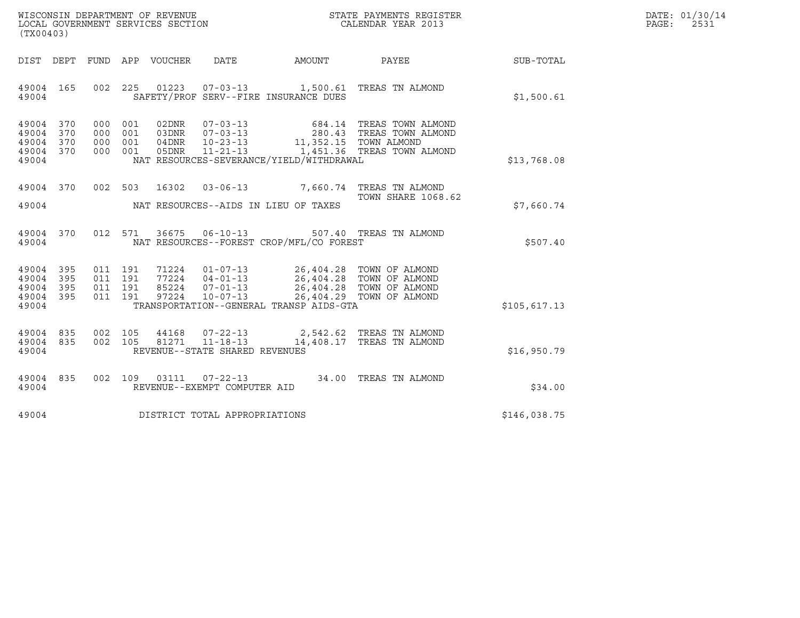| WISCONSIN DEPARTMENT OF REVENUE   | STATE PAYMENTS REGISTER | DATE: 01/30/14 |
|-----------------------------------|-------------------------|----------------|
| LOCAL GOVERNMENT SERVICES SECTION | CALENDAR YEAR 2013      | 2531<br>PAGE:  |

| WISCONSIN DEPARTMENT OF REVENUE ${\small \begin{array}{ll} \text{STATE} \text{ PAYMENTS} \text{ REGISTER} \\ \text{LCAAL GSVERMMENT SERVICES SECTION} \end{array} }$<br>(TX00403) |       |                           |                |       |                                     |                                                                                                                                                                                                                                                                                                                                                                |                                                                                                                                                                                                                                                                                               |              | DATE: 01/30/14<br>PAGE:<br>2531 |
|-----------------------------------------------------------------------------------------------------------------------------------------------------------------------------------|-------|---------------------------|----------------|-------|-------------------------------------|----------------------------------------------------------------------------------------------------------------------------------------------------------------------------------------------------------------------------------------------------------------------------------------------------------------------------------------------------------------|-----------------------------------------------------------------------------------------------------------------------------------------------------------------------------------------------------------------------------------------------------------------------------------------------|--------------|---------------------------------|
|                                                                                                                                                                                   |       |                           |                |       |                                     |                                                                                                                                                                                                                                                                                                                                                                | DIST DEPT FUND APP VOUCHER DATE AMOUNT PAYEE PAYER SUB-TOTAL                                                                                                                                                                                                                                  |              |                                 |
| 49004                                                                                                                                                                             |       |                           |                |       |                                     | SAFETY/PROF SERV--FIRE INSURANCE DUES                                                                                                                                                                                                                                                                                                                          | 49004 165 002 225 01223 07-03-13 1,500.61 TREAS TN ALMOND                                                                                                                                                                                                                                     | \$1,500.61   |                                 |
| 49004 370<br>49004 370<br>49004 370<br>49004 370<br>49004                                                                                                                         |       | 000 001<br>000 001<br>000 | 001<br>000 001 | 05DNR |                                     | NAT RESOURCES-SEVERANCE/YIELD/WITHDRAWAL                                                                                                                                                                                                                                                                                                                       | 02DNR  07-03-13  684.14 TREAS TOWN ALMOND<br>03DNR  07-03-13  280.43 TREAS TOWN ALMOND<br>04DNR  10-23-13  11,352.15 TOWN ALMOND<br>11-21-13 1,451.36 TREAS TOWN ALMOND                                                                                                                       | \$13,768.08  |                                 |
|                                                                                                                                                                                   |       |                           |                |       |                                     | 49004 MAT RESOURCES--AIDS IN LIEU OF TAXES                                                                                                                                                                                                                                                                                                                     | 49004 370 002 503 16302 03-06-13 7,660.74 TREAS TN ALMOND 70001 370<br><b>TOWN SHARE 1068.62</b>                                                                                                                                                                                              | \$7,660.74   |                                 |
| 49004                                                                                                                                                                             |       |                           |                |       |                                     | NAT RESOURCES--FOREST CROP/MFL/CO FOREST                                                                                                                                                                                                                                                                                                                       | 49004 370 012 571 36675 06-10-13 507.40 TREAS TN ALMOND                                                                                                                                                                                                                                       | \$507.40     |                                 |
| 49004 395<br>49004 395<br>49004 395<br>49004                                                                                                                                      |       | 49004 395 011 191         |                |       |                                     | $\begin{array}{cccccc} 011 & 191 & 71224 & 01-07-13 & 26,404.28 & \text{TOWN OF ALMOND} \\ 011 & 191 & 77224 & 04-01-13 & 26,404.28 & \text{TOWN OF ALMOND} \\ 011 & 191 & 85224 & 07-01-13 & 26,404.28 & \text{TOWN OF ALMOND} \\ 011 & 191 & 97224 & 10-07-13 & 26,404.29 & \text{TOWN OF ALMOND} \\ \end{array}$<br>TRANSPORTATION--GENERAL TRANSP AIDS-GTA |                                                                                                                                                                                                                                                                                               | \$105,617.13 |                                 |
| 49004                                                                                                                                                                             |       |                           |                |       | REVENUE--STATE SHARED REVENUES      |                                                                                                                                                                                                                                                                                                                                                                | $\begin{array}{cccccc} 4\,9\,0\,0\,4 & 8\,3\,5 & 0\,0\,2 & 1\,0\,5 & 4\,4\,1\,6\,8 & 0\,7\,-2\,2\,-1\,3 & 2\,,\,5\,4\,2\,.6\,2 & \text{TREAS TN ALMOND} \\ 4\,9\,0\,0\,4 & 8\,3\,5 & 0\,0\,2 & 1\,0\,5 & 8\,1\,2\,7\,1 & 1\,1\,-1\,8\,-1\,3 & 1\,4\,,\,4\,0\,8\,.1\,7 & \text{TREAS TN ALMON$ | \$16,950.79  |                                 |
|                                                                                                                                                                                   | 49004 |                           |                |       | REVENUE--EXEMPT COMPUTER AID        |                                                                                                                                                                                                                                                                                                                                                                | 49004 835 002 109 03111 07-22-13 34.00 TREAS TN ALMOND                                                                                                                                                                                                                                        | \$34.00      |                                 |
|                                                                                                                                                                                   |       |                           |                |       | 49004 DISTRICT TOTAL APPROPRIATIONS |                                                                                                                                                                                                                                                                                                                                                                |                                                                                                                                                                                                                                                                                               | \$146,038.75 |                                 |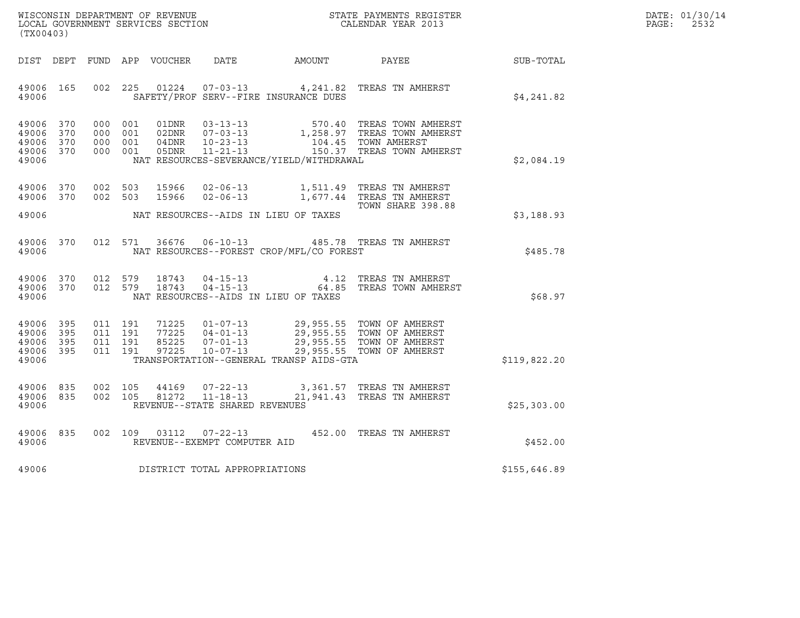| WISCONSIN DEPARTMENT OF REVENUE   | STATE PAYMENTS REGISTER | DATE: 01/30/14 |
|-----------------------------------|-------------------------|----------------|
| LOCAL GOVERNMENT SERVICES SECTION | CALENDAR YEAR 2013      | 2532<br>PAGE:  |

| (TX00403)                                     |                   |         |                                          |                         |                                |                                          |                                                                                                                                                                                          |              | DATE: 01/30/14<br>PAGE: 2532 |
|-----------------------------------------------|-------------------|---------|------------------------------------------|-------------------------|--------------------------------|------------------------------------------|------------------------------------------------------------------------------------------------------------------------------------------------------------------------------------------|--------------|------------------------------|
|                                               |                   |         |                                          |                         |                                |                                          |                                                                                                                                                                                          | SUB-TOTAL    |                              |
| 49006 165<br>49006                            |                   |         |                                          |                         |                                | SAFETY/PROF SERV--FIRE INSURANCE DUES    | 002 225 01224 07-03-13 4, 241.82 TREAS TN AMHERST                                                                                                                                        | \$4,241.82   |                              |
| 49006 370<br>49006<br>49006<br>49006<br>49006 | 370<br>370<br>370 |         | 000 001<br>000 001<br>000 001<br>000 001 |                         |                                | NAT RESOURCES-SEVERANCE/YIELD/WITHDRAWAL | 01DNR 03-13-13 570.40 TREAS TOWN AMHERST<br>02DNR 07-03-13 1,258.97 TREAS TOWN AMHERST<br>04DNR 10-23-13 104.45 TOWN AMHERST<br>05DNR 11-21-13 150.37 TREAS TOWN AMHERST                 | \$2,084.19   |                              |
| 49006 370<br>49006 370<br>49006               |                   | 002 503 |                                          |                         |                                | NAT RESOURCES--AIDS IN LIEU OF TAXES     | 002 503 15966 02-06-13 1,511.49 TREAS TN AMHERST<br>15966  02-06-13    1,677.44    TREAS TN AMHERST<br>TOWN SHARE 398.88                                                                 | \$3,188.93   |                              |
| 49006                                         |                   |         |                                          |                         |                                | NAT RESOURCES--FOREST CROP/MFL/CO FOREST | 49006 370 012 571 36676 06-10-13 485.78 TREAS TN AMHERST                                                                                                                                 | \$485.78     |                              |
| 49006 370<br>49006                            |                   |         |                                          | 49006 370 012 579 18743 |                                | NAT RESOURCES--AIDS IN LIEU OF TAXES     | 012 579 18743 04-15-13 4.12 TREAS TN AMHERST<br>012 579 18743 04-15-13 64.85 TREAS TOWN AMHERST                                                                                          | \$68.97      |                              |
| 49006 395<br>49006<br>49006<br>49006<br>49006 | 395<br>395<br>395 |         | 011 191<br>011 191<br>011 191<br>011 191 |                         |                                | TRANSPORTATION--GENERAL TRANSP AIDS-GTA  | 71225  01-07-13  29,955.55  TOWN OF AMHERST<br>77225  04-01-13  29,955.55  TOWN OF AMHERST<br>85225  07-01-13  29,955.55  TOWN OF AMHERST<br>97225  10-07-13  29,955.55  TOWN OF AMHERST | \$119,822.20 |                              |
| 49006 835<br>49006 835<br>49006               |                   | 002 105 |                                          |                         | REVENUE--STATE SHARED REVENUES |                                          | 44169  07-22-13  3,361.57  TREAS TN AMHERST<br>002 105 81272 11-18-13 21,941.43 TREAS TN AMHERST                                                                                         | \$25,303.00  |                              |
| 49006 835<br>49006                            |                   |         |                                          |                         | REVENUE--EXEMPT COMPUTER AID   |                                          | 002 109 03112 07-22-13 452.00 TREAS TN AMHERST                                                                                                                                           | \$452.00     |                              |
| 49006                                         |                   |         |                                          |                         | DISTRICT TOTAL APPROPRIATIONS  |                                          |                                                                                                                                                                                          | \$155,646.89 |                              |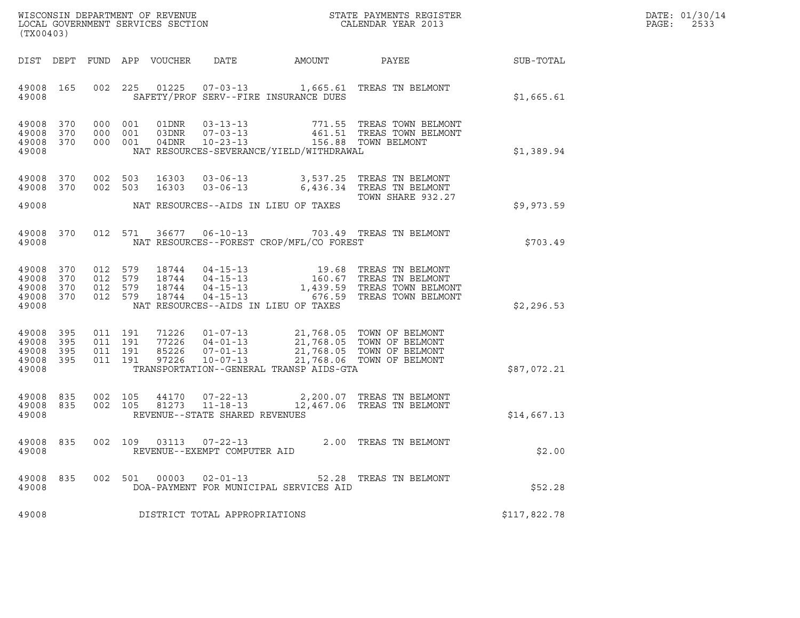| WISCONSIN DEPARTMENT OF REVENUE   | STATE PAYMENTS REGISTER | DATE: 01/30/14 |
|-----------------------------------|-------------------------|----------------|
| LOCAL GOVERNMENT SERVICES SECTION | CALENDAR YEAR 2013      | 2533<br>PAGE:  |

| WISCONSIN DEPARTMENT OF REVENUE<br>LOCAL GOVERNMENT SERVICES SECTION THE SERVICES OF CALENDAR YEAR 2013<br>(TX00403) |           |                    |                    |       |                                |                                                 |                                                                                                                                                                                                           |              | DATE: 01/30/14<br>PAGE:<br>2533 |
|----------------------------------------------------------------------------------------------------------------------|-----------|--------------------|--------------------|-------|--------------------------------|-------------------------------------------------|-----------------------------------------------------------------------------------------------------------------------------------------------------------------------------------------------------------|--------------|---------------------------------|
|                                                                                                                      |           |                    |                    |       |                                |                                                 | DIST DEPT FUND APP VOUCHER DATE AMOUNT PAYEE                                                                                                                                                              | SUB-TOTAL    |                                 |
| 49008                                                                                                                | 49008 165 |                    | 002 225            |       |                                | SAFETY/PROF SERV--FIRE INSURANCE DUES           | 01225  07-03-13  1,665.61  TREAS TN BELMONT                                                                                                                                                               | \$1,665.61   |                                 |
| 49008 370<br>49008 370<br>49008 370<br>49008                                                                         |           |                    |                    |       |                                | NAT RESOURCES-SEVERANCE/YIELD/WITHDRAWAL        | 000 001 01DNR 03-13-13 771.55 TREAS TOWN BELMONT 000 001 03DNR 07-03-13 461.51 TREAS TOWN BELMONT 000 001 04DNR 10-23-13 156.88 TOWN BELMONT                                                              | \$1,389.94   |                                 |
| 49008 370<br>49008 370<br>49008                                                                                      |           | 002 503<br>002 503 |                    |       |                                | NAT RESOURCES--AIDS IN LIEU OF TAXES            | 16303  03-06-13  3,537.25  TREAS TN BELMONT<br>16303  03-06-13  6,436.34  TREAS TN BELMONT<br>TOWN SHARE 932.27                                                                                           | \$9,973.59   |                                 |
| 49008                                                                                                                | 49008 370 |                    |                    |       |                                | NAT RESOURCES--FOREST CROP/MFL/CO FOREST        | 012 571 36677 06-10-13 703.49 TREAS TN BELMONT                                                                                                                                                            | \$703.49     |                                 |
| 49008 370<br>49008 370<br>49008 370<br>49008                                                                         | 49008 370 |                    |                    |       |                                | NAT RESOURCES--AIDS IN LIEU OF TAXES            | 012 579 18744 04-15-13 19.68 TREAS TN BELMONT<br>012 579 18744 04-15-13 160.67 TREAS TN BELMONT<br>012 579 18744 04-15-13 1,439.59 TREAS TOWN BELMONT<br>012 579 18744 04-15-13 676.59 TREAS TOWN BELMONT | \$2,296.53   |                                 |
| 49008 395<br>49008 395<br>49008 395<br>49008 395<br>49008                                                            |           | 011 191<br>011 191 | 011 191<br>011 191 |       |                                | TRANSPORTATION--GENERAL TRANSP AIDS-GTA         | 71226  01-07-13  21,768.05  TOWN OF BELMONT<br>77226  04-01-13  21,768.05  TOWN OF BELMONT<br>85226  07-01-13  21,768.05  TOWN OF BELMONT<br>97226  10-07-13  21,768.06  TOWN OF BELMONT                  | \$87,072.21  |                                 |
| 49008 835<br>49008                                                                                                   | 49008 835 |                    |                    |       | REVENUE--STATE SHARED REVENUES |                                                 | 002 105 44170 07-22-13 2,200.07 TREAS TN BELMONT 002 105 81273 11-18-13 12,467.06 TREAS TN BELMONT                                                                                                        | \$14,667.13  |                                 |
| 49008                                                                                                                | 49008 835 |                    | 002 109            |       | REVENUE--EXEMPT COMPUTER AID   |                                                 | 03113  07-22-13  2.00 TREAS TN BELMONT                                                                                                                                                                    | \$2.00       |                                 |
| 49008 835<br>49008                                                                                                   |           | 002                | 501                | 00003 | $02 - 01 - 13$                 | 52.28<br>DOA-PAYMENT FOR MUNICIPAL SERVICES AID | TREAS TN BELMONT                                                                                                                                                                                          | \$52.28      |                                 |
| 49008                                                                                                                |           |                    |                    |       | DISTRICT TOTAL APPROPRIATIONS  |                                                 |                                                                                                                                                                                                           | \$117,822.78 |                                 |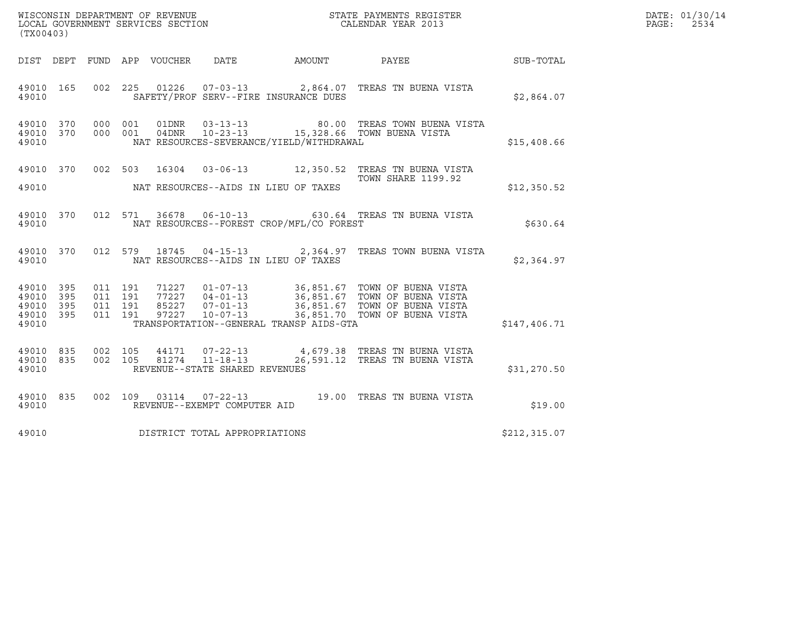|                                                           |                    |                    |                                 |                                                  |                                          |                                                                                                                                                                                                          |                  | DATE: 01/30/14 |
|-----------------------------------------------------------|--------------------|--------------------|---------------------------------|--------------------------------------------------|------------------------------------------|----------------------------------------------------------------------------------------------------------------------------------------------------------------------------------------------------------|------------------|----------------|
| (TX00403)                                                 |                    |                    |                                 |                                                  |                                          |                                                                                                                                                                                                          |                  | PAGE:<br>2534  |
|                                                           |                    |                    | DIST DEPT FUND APP VOUCHER DATE |                                                  | AMOUNT                                   | PAYEE                                                                                                                                                                                                    | <b>SUB-TOTAL</b> |                |
| 49010 165<br>49010                                        |                    |                    |                                 |                                                  | SAFETY/PROF SERV--FIRE INSURANCE DUES    | 002 225 01226 07-03-13 2,864.07 TREAS TN BUENA VISTA                                                                                                                                                     | \$2,864.07       |                |
| 49010 370<br>49010 370<br>49010                           | 000 001            | 000 001            | 01DNR<br>04DNR                  |                                                  | NAT RESOURCES-SEVERANCE/YIELD/WITHDRAWAL | 03-13-13                       80.00   TREAS TOWN BUENA VISTA<br>10-23-13 15,328.66 TOWN BUENA VISTA                                                                                                     | \$15,408.66      |                |
| 49010 370<br>49010                                        |                    |                    |                                 |                                                  | NAT RESOURCES--AIDS IN LIEU OF TAXES     | 002 503 16304 03-06-13 12,350.52 TREAS TN BUENA VISTA<br><b>TOWN SHARE 1199.92</b>                                                                                                                       | \$12,350.52      |                |
| 49010 370<br>49010                                        |                    |                    |                                 |                                                  | NAT RESOURCES--FOREST CROP/MFL/CO FOREST | 012 571 36678 06-10-13 630.64 TREAS TN BUENA VISTA                                                                                                                                                       | \$630.64         |                |
| 49010 370<br>49010                                        |                    |                    |                                 |                                                  | NAT RESOURCES--AIDS IN LIEU OF TAXES     | 012 579 18745 04-15-13 2,364.97 TREAS TOWN BUENA VISTA                                                                                                                                                   | \$2,364.97       |                |
| 49010 395<br>49010 395<br>49010 395<br>49010 395<br>49010 | 011 191<br>011 191 | 011 191<br>011 191 |                                 |                                                  | TRANSPORTATION--GENERAL TRANSP AIDS-GTA  | 71227  01-07-13  36,851.67  TOWN OF BUENA VISTA<br>77227  04-01-13  36,851.67  TOWN OF BUENA VISTA<br>85227  07-01-13  36,851.67  TOWN OF BUENA VISTA<br>97227  10-07-13  36,851.70  TOWN OF BUENA VISTA | \$147,406.71     |                |
| 49010 835<br>49010 835<br>49010                           | 002 105            | 002 105            | 81274                           | $11 - 18 - 13$<br>REVENUE--STATE SHARED REVENUES |                                          | 44171  07-22-13  4,679.38  TREAS TN BUENA VISTA<br>26,591.12 TREAS TN BUENA VISTA                                                                                                                        | \$31,270.50      |                |
| 49010 835<br>49010                                        |                    |                    |                                 | REVENUE--EXEMPT COMPUTER AID                     |                                          | 002 109 03114 07-22-13 19.00 TREAS TN BUENA VISTA                                                                                                                                                        | \$19.00          |                |
| 49010                                                     |                    |                    |                                 | DISTRICT TOTAL APPROPRIATIONS                    |                                          |                                                                                                                                                                                                          | \$212, 315.07    |                |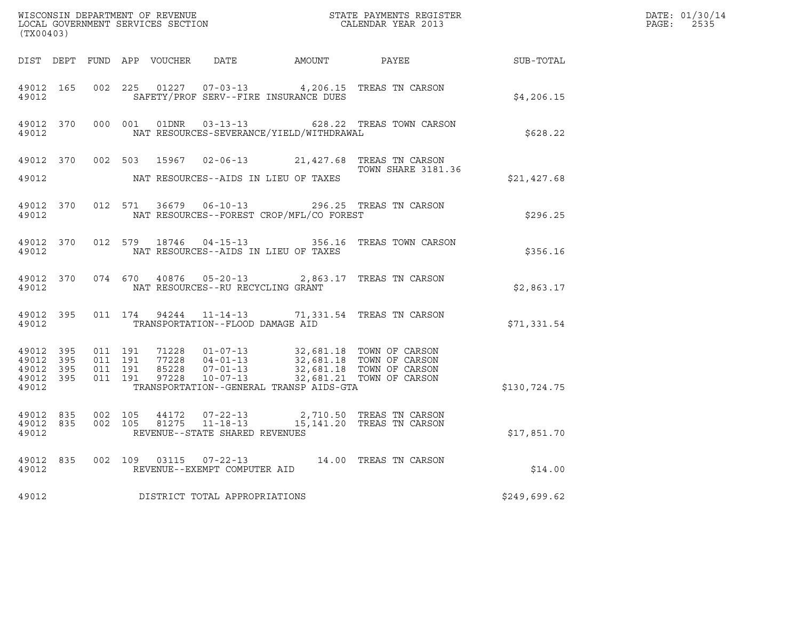| (TX00403) |                  |  |                                            |                                               | % WISCONSIN DEPARTMENT OF REVENUE $$\tt STATE~PAYMENTS~REGISTER$ LOCAL GOVERNMENT SERVICES SECTION $$\tt CALENDAR~YEAR~2013$$                                                                                                                                                                       | $R = \frac{1}{2}$ | DATE: 01/30/14<br>PAGE: 2535 |
|-----------|------------------|--|--------------------------------------------|-----------------------------------------------|-----------------------------------------------------------------------------------------------------------------------------------------------------------------------------------------------------------------------------------------------------------------------------------------------------|-------------------|------------------------------|
|           |                  |  |                                            |                                               | DIST DEPT FUND APP VOUCHER DATE AMOUNT PAYEE PAYES                                                                                                                                                                                                                                                  |                   |                              |
|           | 49012            |  | SAFETY/PROF SERV--FIRE INSURANCE DUES      |                                               | 49012 165 002 225 01227 07-03-13 4,206.15 TREAS TN CARSON                                                                                                                                                                                                                                           | \$4,206.15        |                              |
|           | 49012 and $\sim$ |  |                                            | NAT RESOURCES-SEVERANCE/YIELD/WITHDRAWAL      | 49012 370 000 001 01DNR 03-13-13 628.22 TREAS TOWN CARSON                                                                                                                                                                                                                                           | \$628.22          |                              |
|           |                  |  |                                            |                                               | 49012 370 002 503 15967 02-06-13 21,427.68 TREAS TN CARSON<br>TOWN SHARE 3181.36                                                                                                                                                                                                                    |                   |                              |
|           |                  |  |                                            |                                               |                                                                                                                                                                                                                                                                                                     | \$21,427.68       |                              |
| 49012     |                  |  |                                            | NAT RESOURCES--FOREST CROP/MFL/CO FOREST      | 49012 370 012 571 36679 06-10-13 296.25 TREAS TN CARSON                                                                                                                                                                                                                                             | \$296.25          |                              |
|           |                  |  | 49012 MAT RESOURCES--AIDS IN LIEU OF TAXES |                                               | 49012 370 012 579 18746 04-15-13 356.16 TREAS TOWN CARSON                                                                                                                                                                                                                                           | \$356.16          |                              |
|           |                  |  | 49012 MAT RESOURCES--RU RECYCLING GRANT    |                                               | 49012 370 074 670 40876 05-20-13 2,863.17 TREAS TN CARSON                                                                                                                                                                                                                                           | \$2,863.17        |                              |
|           |                  |  | 49012 TRANSPORTATION--FLOOD DAMAGE AID     |                                               | 49012 395 011 174 94244 11-14-13 71,331.54 TREAS TN CARSON                                                                                                                                                                                                                                          | \$71,331.54       |                              |
|           |                  |  |                                            | 49012 TRANSPORTATION--GENERAL TRANSP AIDS-GTA | $\begin{array}{cccccccc} 4\,9\,0\,12 & 3\,9\,5 & 0\,11 & 1\,9\,1 & 7\,1\,2\,2\,8 & 0\,1\, -\,0\,7\, -\,1\,3 & 3\,2\, , 6\,8\,1\, .\,1\,8 & 70WN \text{ OF CARSON} \\ 4\,9\,0\,12 & 3\,9\,5 & 0\,11 & 1\,9\,1 & 8\,5\,2\,2\,8 & 0\,7\, -\,0\,1\, -\,1\,3 & 3\,2\, , 6\,8\,1\,$                       | \$130,724.75      |                              |
|           | 49012            |  | REVENUE--STATE SHARED REVENUES             |                                               | $\begin{array}{cccccc} 4\,9\,0\,12 & 8\,3\,5 & 0\,0\,2 & 1\,0\,5 & 4\,4\,1\,7\,2 & 0\,7\,-2\,2\,-1\,3 & 2\,,\,7\,1\,0\,.5\,0 & \text{TREAS TN CARSON} \\ 4\,9\,0\,12 & 8\,3\,5 & 0\,0\,2 & 1\,0\,5 & 8\,1\,2\,75 & 11\,-1\,8\,-1\,3 & 1\,5\,,\,1\,4\,1\,.2\,0 & \text{TREAS TN CARSON} \end{array}$ | \$17,851.70       |                              |
|           |                  |  | 49012 REVENUE--EXEMPT COMPUTER AID         |                                               | 49012 835 002 109 03115 07-22-13 14.00 TREAS TN CARSON                                                                                                                                                                                                                                              | \$14.00           |                              |
| 49012     |                  |  | DISTRICT TOTAL APPROPRIATIONS              |                                               |                                                                                                                                                                                                                                                                                                     | \$249,699.62      |                              |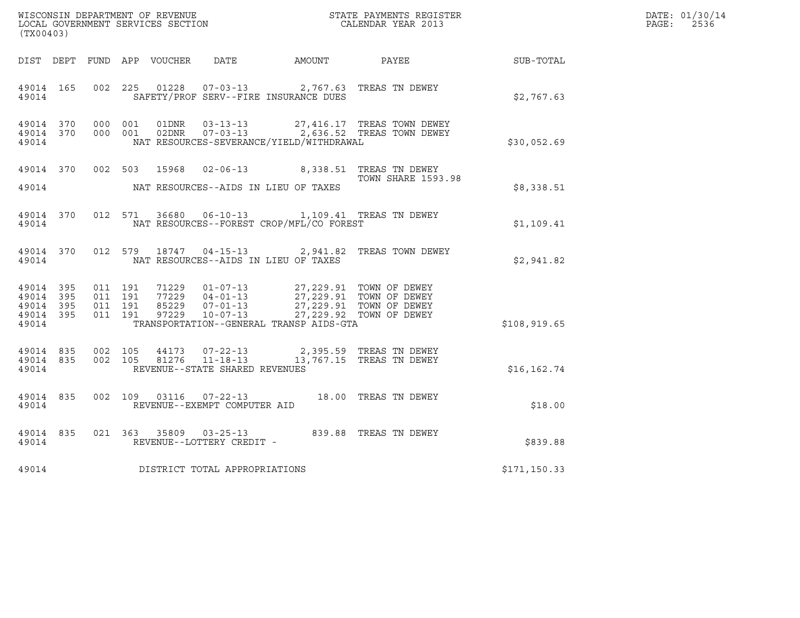| WISCONSIN DEPARTMENT OF REVENUE<br>LOCAL GOVERNMENT SERVICES SECTION<br>CALENDAR YEAR 2013<br>(TX00403)                                                                                                                                                           |                                          |                           |               | DATE: 01/30/14<br>PAGE:<br>2536 |
|-------------------------------------------------------------------------------------------------------------------------------------------------------------------------------------------------------------------------------------------------------------------|------------------------------------------|---------------------------|---------------|---------------------------------|
| DIST DEPT FUND APP VOUCHER DATE AMOUNT PAYEE SUB-TOTAL                                                                                                                                                                                                            |                                          |                           |               |                                 |
| 002 225 01228 07-03-13 2,767.63 TREAS TN DEWEY<br>49014 165<br>49014 SAFETY/PROF SERV--FIRE INSURANCE DUES                                                                                                                                                        |                                          |                           | \$2,767.63    |                                 |
| 000 001 01DNR 03-13-13 27,416.17 TREAS TOWN DEWEY<br>000 001 02DNR 07-03-13 2,636.52 TREAS TOWN DEWEY<br>49014 370<br>49014 370<br>49014                                                                                                                          | NAT RESOURCES-SEVERANCE/YIELD/WITHDRAWAL |                           | \$30,052.69   |                                 |
| 49014 370 002 503 15968 02-06-13 8,338.51 TREAS TN DEWEY                                                                                                                                                                                                          |                                          | <b>TOWN SHARE 1593.98</b> | \$8,338.51    |                                 |
| 49014 370 012 571 36680 06-10-13 1,109.41 TREAS TN DEWEY<br>NAT RESOURCES--FOREST CROP/MFL/CO FOREST<br>49014                                                                                                                                                     |                                          |                           | \$1,109.41    |                                 |
| 49014 370 012 579 18747 04-15-13 2,941.82 TREAS TOWN DEWEY<br>49014 MAT RESOURCES--AIDS IN LIEU OF TAXES                                                                                                                                                          |                                          |                           | \$2,941.82    |                                 |
| 011 191 71229 01-07-13 27,229.91 TOWN OF DEWEY<br>011 191 77229 04-01-13 27,229.91 TOWN OF DEWEY<br>011 191 85229 07-01-13 27,229.91 TOWN OF DEWEY<br>011 191 97229 10-07-13 27,229.92 TOWN OF DEWEY<br>49014 395<br>49014 395<br>49014 395<br>49014 395<br>49014 | TRANSPORTATION--GENERAL TRANSP AIDS-GTA  |                           | \$108, 919.65 |                                 |
| 49014 835 002 105 44173 07-22-13 2,395.59 TREAS TN DEWEY<br>49014 835 002 105 81276 11-18-13 13,767.15 TREAS TN DEWEY<br>REVENUE--STATE SHARED REVENUES<br>49014                                                                                                  |                                          |                           | \$16, 162.74  |                                 |
| 49014 835 002 109 03116 07-22-13 18.00 TREAS TN DEWEY<br>REVENUE--EXEMPT COMPUTER AID<br>49014                                                                                                                                                                    |                                          |                           | \$18.00       |                                 |
| 021 363 35809 03-25-13<br>839.88 TREAS TN DEWEY<br>49014 835<br>REVENUE--LOTTERY CREDIT -<br>49014                                                                                                                                                                |                                          |                           | \$839.88      |                                 |
| 49014 DISTRICT TOTAL APPROPRIATIONS                                                                                                                                                                                                                               |                                          |                           | \$171, 150.33 |                                 |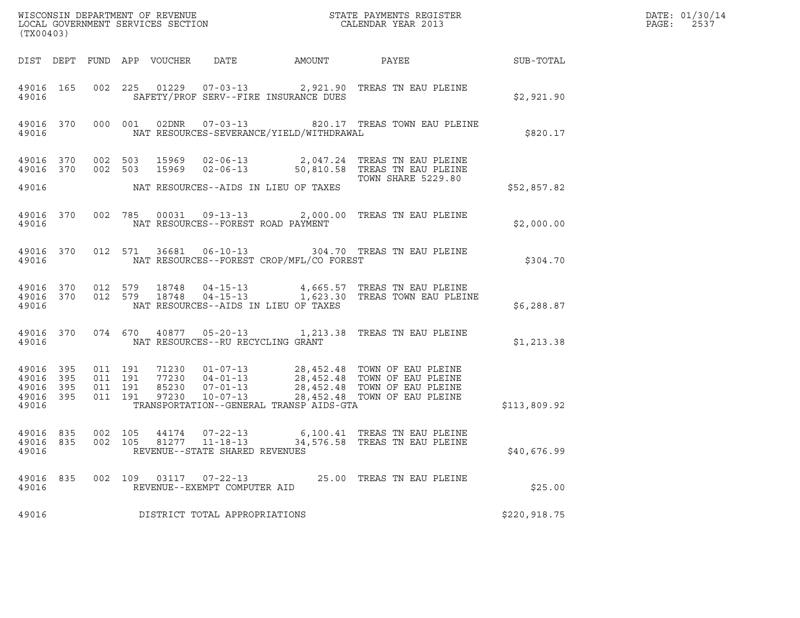| WISCONSIN DEPARTMENT OF REVENUE<br>LOCAL GOVERNMENT SERVICES SECTION<br>CALENDAR YEAR 2013<br>(TX00403) |     |                               |         |                            |                                                           |        |                                                                                                                                                                                    |              | DATE: 01/30/14<br>$\mathtt{PAGE:}$<br>2537 |
|---------------------------------------------------------------------------------------------------------|-----|-------------------------------|---------|----------------------------|-----------------------------------------------------------|--------|------------------------------------------------------------------------------------------------------------------------------------------------------------------------------------|--------------|--------------------------------------------|
|                                                                                                         |     |                               |         | DIST DEPT FUND APP VOUCHER | DATE                                                      | AMOUNT | PAYEE                                                                                                                                                                              | SUB-TOTAL    |                                            |
| 49016 165<br>49016                                                                                      |     |                               |         |                            | SAFETY/PROF SERV--FIRE INSURANCE DUES                     |        | 002 225 01229 07-03-13 2,921.90 TREAS TN EAU PLEINE                                                                                                                                | \$2,921.90   |                                            |
| 49016 370<br>49016                                                                                      |     |                               | 000 001 |                            | NAT RESOURCES-SEVERANCE/YIELD/WITHDRAWAL                  |        | 02DNR  07-03-13  820.17 TREAS TOWN EAU PLEINE                                                                                                                                      | \$820.17     |                                            |
| 49016 370<br>49016 370                                                                                  |     | 002 503                       | 002 503 |                            |                                                           |        | 15969  02-06-13  2,047.24  TREAS TN EAU PLEINE<br>15969  02-06-13  50,810.58  TREAS TN EAU PLEINE                                                                                  |              |                                            |
| 49016                                                                                                   |     |                               |         |                            | NAT RESOURCES--AIDS IN LIEU OF TAXES                      |        | TOWN SHARE 5229.80                                                                                                                                                                 | \$52,857.82  |                                            |
| 49016 370<br>49016                                                                                      |     |                               |         |                            | NAT RESOURCES--FOREST ROAD PAYMENT                        |        | 002 785 00031 09-13-13 2,000.00 TREAS TN EAU PLEINE                                                                                                                                | \$2,000.00   |                                            |
| 49016 370<br>49016                                                                                      |     |                               |         |                            | NAT RESOURCES--FOREST CROP/MFL/CO FOREST                  |        | 012 571 36681 06-10-13 304.70 TREAS TN EAU PLEINE                                                                                                                                  | \$304.70     |                                            |
| 49016 370<br>49016 370<br>49016                                                                         |     | 012 579                       |         | 012 579 18748<br>18748     | $04 - 15 - 13$<br>NAT RESOURCES--AIDS IN LIEU OF TAXES    |        | 04-15-13 4,665.57 TREAS TN EAU PLEINE<br>1,623.30 TREAS TOWN EAU PLEINE                                                                                                            | \$6,288.87   |                                            |
| 49016 370<br>49016                                                                                      |     |                               |         |                            | NAT RESOURCES--RU RECYCLING GRANT                         |        | 074 670 40877 05-20-13 1,213.38 TREAS TN EAU PLEINE                                                                                                                                | \$1,213.38   |                                            |
| 49016 395<br>49016 395<br>49016<br>49016 395<br>49016                                                   | 395 | 011 191<br>011 191<br>011 191 | 011 191 | 97230                      | $10 - 07 - 13$<br>TRANSPORTATION--GENERAL TRANSP AIDS-GTA |        | 71230  01-07-13  28,452.48  TOWN OF EAU PLEINE<br>77230  04-01-13  28,452.48  TOWN OF EAU PLEINE<br>85230  07-01-13  28,452.48  TOWN OF EAU PLEINE<br>28,452.48 TOWN OF EAU PLEINE | \$113,809.92 |                                            |
| 49016 835<br>49016 835<br>49016                                                                         |     | 002 105                       |         |                            | REVENUE--STATE SHARED REVENUES                            |        | 002  105  44174  07-22-13  6,100.41  TREAS TN EAU PLEINE                                                                                                                           | \$40,676.99  |                                            |
| 49016 835<br>49016                                                                                      |     |                               |         |                            | 002 109 03117 07-22-13<br>REVENUE--EXEMPT COMPUTER AID    |        | 25.00 TREAS TN EAU PLEINE                                                                                                                                                          | \$25.00      |                                            |
| 49016                                                                                                   |     |                               |         |                            | DISTRICT TOTAL APPROPRIATIONS                             |        |                                                                                                                                                                                    | \$220,918.75 |                                            |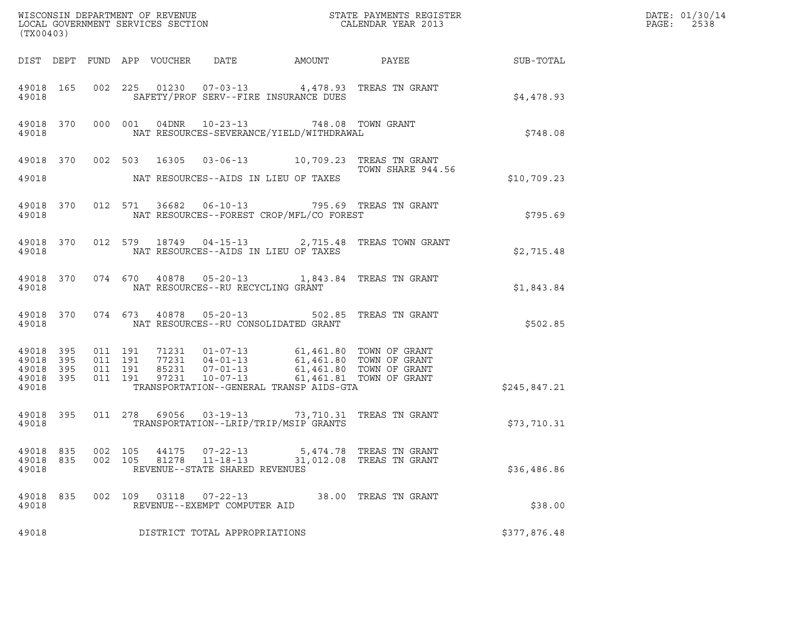| (TX00403)                                                 |            |            |            |                |                                                              |                                                                                                                                                                                                                                                                                                                                                         | WISCONSIN DEPARTMENT OF REVENUE ${\small \begin{array}{ll} \text{MISCONS} \text{IN} \text{DEPATH} \\ \text{LOCAL} \text{ GOVERNMENT} \text{ SERVICES} \text{SECTION} \\ \end{array} }$ |                                                        | DATE: 01/30/14<br>PAGE: 2538 |
|-----------------------------------------------------------|------------|------------|------------|----------------|--------------------------------------------------------------|---------------------------------------------------------------------------------------------------------------------------------------------------------------------------------------------------------------------------------------------------------------------------------------------------------------------------------------------------------|----------------------------------------------------------------------------------------------------------------------------------------------------------------------------------------|--------------------------------------------------------|------------------------------|
|                                                           |            |            |            |                |                                                              |                                                                                                                                                                                                                                                                                                                                                         |                                                                                                                                                                                        | DIST DEPT FUND APP VOUCHER DATE AMOUNT PAYEE SUB-TOTAL |                              |
| 49018                                                     |            |            |            |                |                                                              | SAFETY/PROF SERV--FIRE INSURANCE DUES                                                                                                                                                                                                                                                                                                                   | 49018 165 002 225 01230 07-03-13 4,478.93 TREAS TN GRANT                                                                                                                               | \$4,478.93                                             |                              |
| 49018                                                     |            |            |            |                |                                                              | 49018 370 000 001 04DNR 10-23-13 748.08 TOWN GRANT                                                                                                                                                                                                                                                                                                      | NAT RESOURCES-SEVERANCE/YIELD/WITHDRAWAL                                                                                                                                               | \$748.08                                               |                              |
|                                                           |            |            |            |                |                                                              | 49018 MAT RESOURCES--AIDS IN LIEU OF TAXES                                                                                                                                                                                                                                                                                                              | 49018 370 002 503 16305 03-06-13 10,709.23 TREAS TN GRANT<br>TOWN SHARE 944.56                                                                                                         | \$10,709.23                                            |                              |
|                                                           |            |            |            |                |                                                              | 49018 MAT RESOURCES--FOREST CROP/MFL/CO FOREST                                                                                                                                                                                                                                                                                                          | 49018 370 012 571 36682 06-10-13 795.69 TREAS TN GRANT                                                                                                                                 | \$795.69                                               |                              |
|                                                           |            |            |            |                |                                                              | 49018 MAT RESOURCES--AIDS IN LIEU OF TAXES                                                                                                                                                                                                                                                                                                              | 49018 370 012 579 18749 04-15-13 2,715.48 TREAS TOWN GRANT                                                                                                                             | \$2,715.48                                             |                              |
|                                                           |            |            |            |                | 49018 MAT RESOURCES--RU RECYCLING GRANT                      |                                                                                                                                                                                                                                                                                                                                                         | 49018 370 074 670 40878 05-20-13 1,843.84 TREAS TN GRANT                                                                                                                               | \$1,843.84                                             |                              |
|                                                           |            |            |            |                |                                                              | 49018 MAT RESOURCES--RU CONSOLIDATED GRANT                                                                                                                                                                                                                                                                                                              | 49018 370 074 673 40878 05-20-13 502.85 TREAS TN GRANT                                                                                                                                 | \$502.85                                               |                              |
| 49018 395<br>49018 395<br>49018 395<br>49018 395<br>49018 |            |            |            |                |                                                              | $\begin{array}{cccccc} 011 & 191 & 71231 & 01-07-13 & 61,461.80 & \text{TOWN OF GRANT} \\ 011 & 191 & 77231 & 04-01-13 & 61,461.80 & \text{TOWN OF GRANT} \\ 011 & 191 & 85231 & 07-01-13 & 61,461.80 & \text{TOWN OF GRANT} \\ 011 & 191 & 97231 & 10-07-13 & 61,461.81 & \text{TOWN OF GRANT} \end{array}$<br>TRANSPORTATION--GENERAL TRANSP AIDS-GTA |                                                                                                                                                                                        | \$245,847.21                                           |                              |
| 49018 395<br>49018                                        |            |            |            |                |                                                              | 011  278  69056  03-19-13  73,710.31  TREAS TN GRANT<br>TRANSPORTATION--LRIP/TRIP/MSIP GRANTS                                                                                                                                                                                                                                                           |                                                                                                                                                                                        | \$73,710.31                                            |                              |
| 49018<br>49018<br>49018                                   | 835<br>835 | 002<br>002 | 105<br>105 | 44175<br>81278 | 07-22-13<br>$11 - 18 - 13$<br>REVENUE--STATE SHARED REVENUES | 5,474.78<br>31,012.08                                                                                                                                                                                                                                                                                                                                   | TREAS TN GRANT<br>TREAS TN GRANT                                                                                                                                                       | \$36,486.86                                            |                              |
| 49018<br>49018                                            | 835        |            | 002 109    | 03118          | $07 - 22 - 13$<br>REVENUE--EXEMPT COMPUTER AID               |                                                                                                                                                                                                                                                                                                                                                         | 38.00 TREAS TN GRANT                                                                                                                                                                   | \$38.00                                                |                              |
| 49018                                                     |            |            |            |                | DISTRICT TOTAL APPROPRIATIONS                                |                                                                                                                                                                                                                                                                                                                                                         |                                                                                                                                                                                        | \$377,876.48                                           |                              |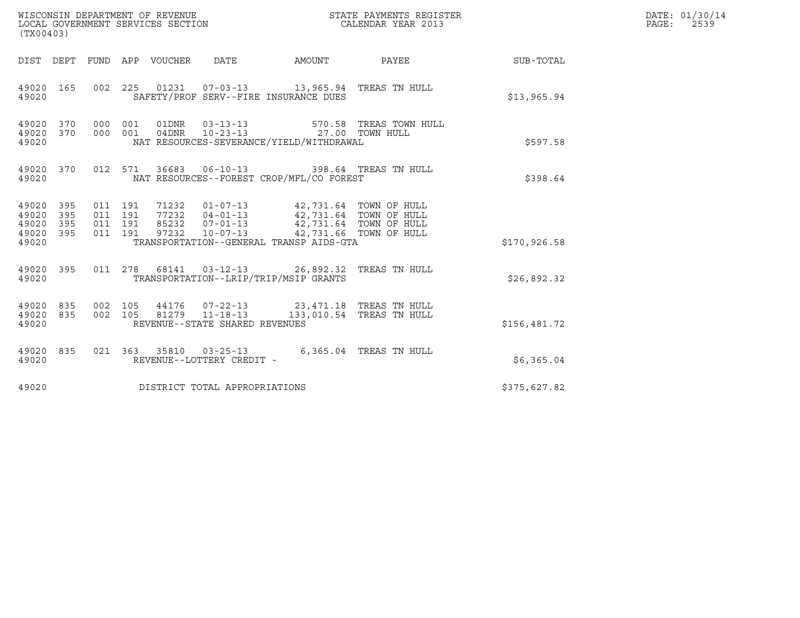| (TX00403)                                     |                   |                                          |         | WISCONSIN DEPARTMENT OF REVENUE<br>LOCAL GOVERNMENT SERVICES SECTION |                                                  |                                                                                                                                                                                                                         | STATE PAYMENTS REGISTER<br>CALENDAR YEAR 2013 |              | DATE: 01/30/14<br>$\mathtt{PAGE}$ :<br>2539 |
|-----------------------------------------------|-------------------|------------------------------------------|---------|----------------------------------------------------------------------|--------------------------------------------------|-------------------------------------------------------------------------------------------------------------------------------------------------------------------------------------------------------------------------|-----------------------------------------------|--------------|---------------------------------------------|
|                                               |                   |                                          |         | DIST DEPT FUND APP VOUCHER DATE                                      |                                                  |                                                                                                                                                                                                                         | AMOUNT PAYEE                                  | SUB-TOTAL    |                                             |
| 49020                                         | 49020 165         |                                          |         |                                                                      |                                                  | 002 225 01231 07-03-13 13,965.94 TREAS TN HULL<br>SAFETY/PROF SERV--FIRE INSURANCE DUES                                                                                                                                 |                                               | \$13,965.94  |                                             |
| 49020 370<br>49020                            | 49020 370         | 000 001<br>000 001                       |         |                                                                      |                                                  | 01DNR  03-13-13  570.58 TREAS TOWN<br>04DNR  10-23-13  27.00 TOWN HULL<br>NAT RESOURCES-SEVERANCE/YIELD/WITHDRAWAL                                                                                                      | 570.58 TREAS TOWN HULL                        | \$597.58     |                                             |
| 49020                                         | 49020 370         |                                          | 012 571 |                                                                      |                                                  | 36683  06-10-13  398.64  TREAS TN HULL<br>NAT RESOURCES--FOREST CROP/MFL/CO FOREST                                                                                                                                      |                                               | \$398.64     |                                             |
| 49020 395<br>49020<br>49020<br>49020<br>49020 | 395<br>395<br>395 | 011 191<br>011 191<br>011 191<br>011 191 |         |                                                                      |                                                  | 71232  01-07-13  42,731.64  TOWN OF HULL<br>77232  04-01-13  42,731.64  TOWN OF HULL<br>85232  07-01-13  42,731.64  TOWN OF HULL<br>97232  10-07-13  42,731.66  TOWN OF HULL<br>TRANSPORTATION--GENERAL TRANSP AIDS-GTA |                                               | \$170,926.58 |                                             |
| 49020                                         | 49020 395         |                                          |         |                                                                      |                                                  | 011  278  68141  03-12-13  26,892.32  TREAS TN HULL<br>TRANSPORTATION--LRIP/TRIP/MSIP GRANTS                                                                                                                            |                                               | \$26,892.32  |                                             |
| 49020<br>49020                                | 49020 835<br>835  | 002 105<br>002 105                       |         |                                                                      | 81279 11-18-13<br>REVENUE--STATE SHARED REVENUES | 44176  07-22-13  23,471.18  TREAS TN HULL                                                                                                                                                                               | 133,010.54 TREAS TN HULL                      | \$156,481.72 |                                             |
| 49020 835<br>49020                            |                   |                                          |         |                                                                      | REVENUE--LOTTERY CREDIT -                        | 021  363  35810  03-25-13  6,365.04  TREAS TN HULL                                                                                                                                                                      |                                               | \$6,365.04   |                                             |
| 49020                                         |                   |                                          |         |                                                                      | DISTRICT TOTAL APPROPRIATIONS                    |                                                                                                                                                                                                                         |                                               | \$375,627.82 |                                             |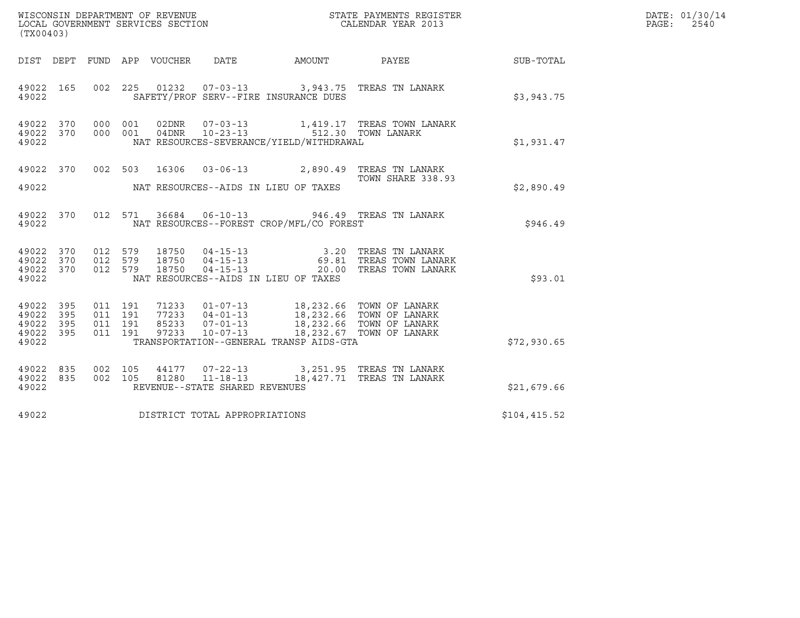| (TX00403)                                             |     |                    |                    |                                 |                                      |                                                                                 |                                                                                                                                                                                                                                                    |              | DATE: 01/30/14<br>$\mathtt{PAGE:}$<br>2540 |
|-------------------------------------------------------|-----|--------------------|--------------------|---------------------------------|--------------------------------------|---------------------------------------------------------------------------------|----------------------------------------------------------------------------------------------------------------------------------------------------------------------------------------------------------------------------------------------------|--------------|--------------------------------------------|
|                                                       |     |                    |                    | DIST DEPT FUND APP VOUCHER DATE |                                      |                                                                                 | AMOUNT PAYEE SUB-TOTAL                                                                                                                                                                                                                             |              |                                            |
| 49022 165<br>49022                                    |     |                    |                    |                                 |                                      | SAFETY/PROF SERV--FIRE INSURANCE DUES                                           | 002 225 01232 07-03-13 3,943.75 TREAS TN LANARK                                                                                                                                                                                                    | \$3,943.75   |                                            |
| 49022 370 000 001<br>49022 370 000 001<br>49022       |     |                    |                    |                                 |                                      | 04DNR  10-23-13  512.30 TOWN LANARK<br>NAT RESOURCES-SEVERANCE/YIELD/WITHDRAWAL |                                                                                                                                                                                                                                                    | \$1,931.47   |                                            |
| 49022                                                 |     |                    |                    |                                 | NAT RESOURCES--AIDS IN LIEU OF TAXES |                                                                                 | 49022 370 002 503 16306 03-06-13 2,890.49 TREAS TN LANARK<br>2,890.49 TOWN SHARE 338.9<br>TOWN SHARE 338.93                                                                                                                                        | \$2,890.49   |                                            |
| 49022                                                 |     |                    |                    |                                 |                                      | NAT RESOURCES--FOREST CROP/MFL/CO FOREST                                        | 49022 370 012 571 36684 06-10-13 946.49 TREAS TN LANARK                                                                                                                                                                                            | \$946.49     |                                            |
| 49022 370 012 579<br>49022 370<br>49022 370<br>49022  |     |                    |                    |                                 | NAT RESOURCES--AIDS IN LIEU OF TAXES |                                                                                 | 012 579 18750 04-15-13 3.20 TREAS TN LANARK<br>012 579 18750 04-15-13 69.81 TREAS TOWN LANARK<br>012 579 18750 04-15-13 20.00 TREAS TOWN LANARK                                                                                                    | \$93.01      |                                            |
| 49022<br>49022 395<br>49022 395<br>49022 395<br>49022 | 395 | 011 191<br>011 191 | 011 191<br>011 191 | 97233                           |                                      | TRANSPORTATION--GENERAL TRANSP AIDS-GTA                                         | 71233  01-07-13  18,232.66  TOWN OF LANARK<br>77233  04-01-13  18,232.66  TOWN OF LANARK<br>85233  07-01-13  18,232.66  TOWN OF LANARK<br>10-07-13 18,232.67 TOWN OF LANARK                                                                        | \$72,930.65  |                                            |
| 49022 835<br>49022 835<br>49022                       |     | 002 105            |                    |                                 | REVENUE--STATE SHARED REVENUES       |                                                                                 | $\begin{array}{cccc} 002 & 105 & 44177 & 07\texttt{-}22\texttt{-}13 & 3,251.95 & \texttt{TREAS} & \texttt{TN} \text{ LANARK} \\ 002 & 105 & 81280 & 11\texttt{-}18\texttt{-}13 & 18,427.71 & \texttt{TREAS} \text{ TN} \text{ LANARK} \end{array}$ | \$21,679.66  |                                            |
| 49022                                                 |     |                    |                    |                                 | DISTRICT TOTAL APPROPRIATIONS        |                                                                                 |                                                                                                                                                                                                                                                    | \$104,415.52 |                                            |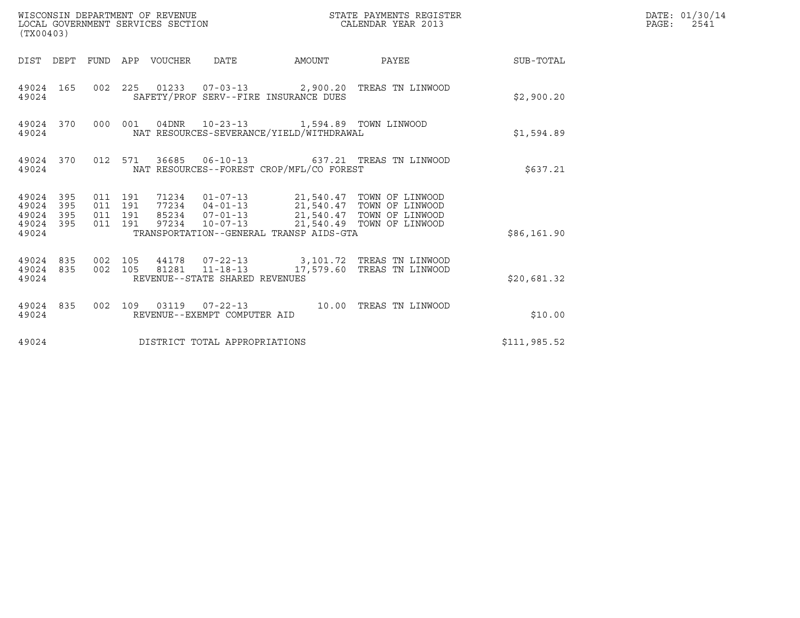| (TX00403)                                    |           |                    |                    | WISCONSIN DEPARTMENT OF REVENUE<br>LOCAL GOVERNMENT SERVICES SECTION |                                |                                                                                          | STATE PAYMENTS REGISTER<br>CALENDAR YEAR 2013                                                                   |              | DATE: 01/30/14<br>$\mathtt{PAGE:}$<br>2541 |
|----------------------------------------------|-----------|--------------------|--------------------|----------------------------------------------------------------------|--------------------------------|------------------------------------------------------------------------------------------|-----------------------------------------------------------------------------------------------------------------|--------------|--------------------------------------------|
|                                              |           |                    |                    | DIST DEPT FUND APP VOUCHER DATE                                      |                                |                                                                                          | AMOUNT PAYEE SUB-TOTAL                                                                                          |              |                                            |
| 49024                                        | 49024 165 |                    |                    |                                                                      |                                | SAFETY/PROF SERV--FIRE INSURANCE DUES                                                    | 002 225 01233 07-03-13 2,900.20 TREAS TN LINWOOD                                                                | \$2,900.20   |                                            |
| 49024                                        | 49024 370 |                    |                    |                                                                      |                                | 000 001 04DNR 10-23-13 1,594.89 TOWN LINWOOD<br>NAT RESOURCES-SEVERANCE/YIELD/WITHDRAWAL |                                                                                                                 | \$1,594.89   |                                            |
| 49024                                        |           |                    |                    |                                                                      |                                | NAT RESOURCES--FOREST CROP/MFL/CO FOREST                                                 | 49024 370 012 571 36685 06-10-13 637.21 TREAS TN LINWOOD                                                        | \$637.21     |                                            |
| 49024 395<br>49024 395<br>49024 395<br>49024 | 49024 395 | 011 191<br>011 191 | 011 191<br>011 191 |                                                                      |                                | TRANSPORTATION--GENERAL TRANSP AIDS-GTA                                                  | 97234  10-07-13  21,540.49  TOWN OF LINWOOD                                                                     | \$86,161.90  |                                            |
| 49024                                        | 49024 835 |                    |                    |                                                                      | REVENUE--STATE SHARED REVENUES |                                                                                          | 49024 835 002 105 44178 07-22-13 3,101.72 TREAS TN LINWOOD<br>002 105 81281 11-18-13 17,579.60 TREAS TN LINWOOD | \$20,681.32  |                                            |
| 49024                                        | 49024 835 |                    |                    |                                                                      | REVENUE--EXEMPT COMPUTER AID   |                                                                                          | 002 109 03119 07-22-13 10.00 TREAS TN LINWOOD                                                                   | \$10.00      |                                            |
| 49024                                        |           |                    |                    |                                                                      | DISTRICT TOTAL APPROPRIATIONS  |                                                                                          |                                                                                                                 | \$111,985.52 |                                            |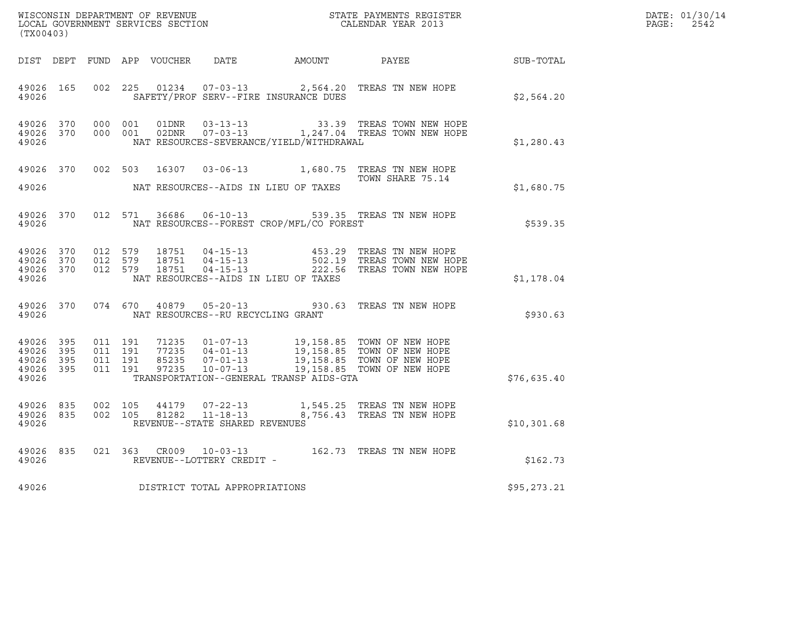| (TX00403)                                                 |                               |         |                                         |                                          | $\tt WISCONSIM DEPARTMENT OF REVENUE$ $\tt WISCONMIN S REGISTER$ $\tt LOCAL BONERNMENT$ $SERVICES$ $SECTION$                                                                                                                                                                                       |              | DATE: 01/30/14<br>$\mathtt{PAGE:}$<br>2542 |
|-----------------------------------------------------------|-------------------------------|---------|-----------------------------------------|------------------------------------------|----------------------------------------------------------------------------------------------------------------------------------------------------------------------------------------------------------------------------------------------------------------------------------------------------|--------------|--------------------------------------------|
|                                                           |                               |         |                                         |                                          | DIST DEPT FUND APP VOUCHER DATE AMOUNT PAYEE TO SUB-TOTAL                                                                                                                                                                                                                                          |              |                                            |
| 49026                                                     |                               |         |                                         | SAFETY/PROF SERV--FIRE INSURANCE DUES    | 49026 165 002 225 01234 07-03-13 2,564.20 TREAS TN NEW HOPE                                                                                                                                                                                                                                        | \$2,564.20   |                                            |
| 49026 370<br>49026                                        | 49026 370 000 001             | 000 001 |                                         | NAT RESOURCES-SEVERANCE/YIELD/WITHDRAWAL |                                                                                                                                                                                                                                                                                                    | \$1,280.43   |                                            |
| 49026                                                     |                               |         |                                         | NAT RESOURCES--AIDS IN LIEU OF TAXES     | 49026 370 002 503 16307 03-06-13 1,680.75 TREAS TN NEW HOPE<br>TOWN SHARE 75.14                                                                                                                                                                                                                    | \$1,680.75   |                                            |
| 49026                                                     |                               |         |                                         | NAT RESOURCES--FOREST CROP/MFL/CO FOREST | 49026 370 012 571 36686 06-10-13 539.35 TREAS TN NEW HOPE                                                                                                                                                                                                                                          | \$539.35     |                                            |
| 49026                                                     |                               |         |                                         | NAT RESOURCES--AIDS IN LIEU OF TAXES     | $\begin{array}{cccccccc} 49026 & 370 & 012 & 579 & 18751 & 04-15-13 & & 453.29 & \text{TREAS TN NEW HOPE} \\ 49026 & 370 & 012 & 579 & 18751 & 04-15-13 & & 502.19 & \text{TREAS TOWN NEW HOPE} \\ 49026 & 370 & 012 & 579 & 18751 & 04-15-13 & & 222.56 & \text{TREAS TOWN NEW HOPE} \end{array}$ | \$1,178.04   |                                            |
|                                                           |                               |         | 49026 MAT RESOURCES--RU RECYCLING GRANT |                                          | 49026 370 074 670 40879 05-20-13 930.63 TREAS TN NEW HOPE                                                                                                                                                                                                                                          | \$930.63     |                                            |
| 49026 395<br>49026 395<br>49026 395<br>49026 395<br>49026 | 011 191<br>011 191<br>011 191 | 011 191 |                                         | TRANSPORTATION--GENERAL TRANSP AIDS-GTA  | 71235  01-07-13  19,158.85  TOWN OF NEW HOPE<br>77235  04-01-13  19,158.85  TOWN OF NEW HOPE<br>85235  07-01-13  19,158.85  TOWN OF NEW HOPE<br>97235  10-07-13  19,158.85  TOWN OF NEW HOPE                                                                                                       | \$76,635.40  |                                            |
| 49026 835<br>49026                                        | 49026 835 002 105             |         | REVENUE--STATE SHARED REVENUES          |                                          | 002 105 44179 07-22-13 1,545.25 TREAS TN NEW HOPE<br>002 105 81282 11-18-13 8,756.43 TREAS TN NEW HOPE                                                                                                                                                                                             | \$10,301.68  |                                            |
| 49026                                                     |                               |         | REVENUE--LOTTERY CREDIT -               |                                          | 49026 835 021 363 CR009 10-03-13 162.73 TREAS TN NEW HOPE                                                                                                                                                                                                                                          | \$162.73     |                                            |
| 49026                                                     |                               |         | DISTRICT TOTAL APPROPRIATIONS           |                                          |                                                                                                                                                                                                                                                                                                    | \$95, 273.21 |                                            |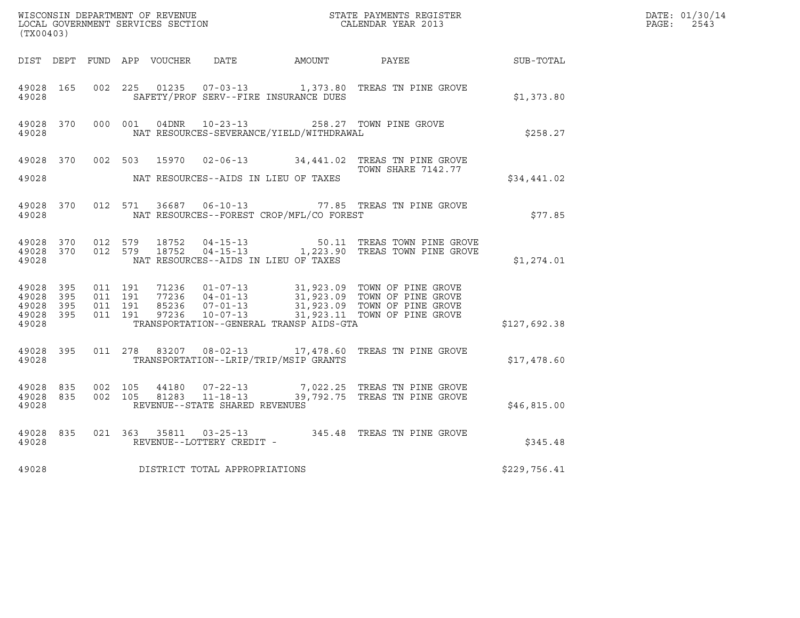| (TX00403)                                    |                        |                                        |         |                                                  |                                              |                                                                                                                                                                                                      |                  | DATE: 01/30/14<br>$\mathtt{PAGE:}$<br>2543 |
|----------------------------------------------|------------------------|----------------------------------------|---------|--------------------------------------------------|----------------------------------------------|------------------------------------------------------------------------------------------------------------------------------------------------------------------------------------------------------|------------------|--------------------------------------------|
|                                              |                        |                                        |         |                                                  | DIST DEPT FUND APP VOUCHER DATE AMOUNT PAYEE |                                                                                                                                                                                                      | <b>SUB-TOTAL</b> |                                            |
| 49028 165<br>49028                           |                        | 002 225                                |         |                                                  | SAFETY/PROF SERV--FIRE INSURANCE DUES        | 01235  07-03-13   1,373.80   TREAS TN PINE GROVE                                                                                                                                                     | \$1,373.80       |                                            |
| 49028                                        |                        |                                        |         |                                                  | NAT RESOURCES-SEVERANCE/YIELD/WITHDRAWAL     | 49028 370 000 001 04DNR 10-23-13 258.27 TOWN PINE GROVE                                                                                                                                              | \$258.27         |                                            |
|                                              | 49028 370              |                                        | 002 503 |                                                  |                                              | 15970  02-06-13  34,441.02  TREAS TN PINE GROVE<br>TOWN SHARE 7142.77                                                                                                                                |                  |                                            |
| 49028                                        |                        |                                        |         |                                                  | NAT RESOURCES--AIDS IN LIEU OF TAXES         |                                                                                                                                                                                                      | \$34,441.02      |                                            |
| 49028                                        | 49028 370              |                                        |         |                                                  | NAT RESOURCES--FOREST CROP/MFL/CO FOREST     | 012 571 36687 06-10-13 77.85 TREAS TN PINE GROVE                                                                                                                                                     | \$77.85          |                                            |
| 49028                                        |                        | 49028 370 012 579<br>49028 370 012 579 |         |                                                  | NAT RESOURCES--AIDS IN LIEU OF TAXES         | 18752  04-15-13   50.11   TREAS TOWN PINE GROVE   18752  04-15-13   1,223.90   TREAS TOWN PINE GROVE                                                                                                 | \$1,274.01       |                                            |
| 49028 395<br>49028 395<br>49028 395<br>49028 | 49028 395              | 011 191<br>011 191<br>011 191          | 011 191 |                                                  | TRANSPORTATION--GENERAL TRANSP AIDS-GTA      | 71236  01-07-13  31,923.09  TOWN OF PINE GROVE<br>77236  04-01-13  31,923.09  TOWN OF PINE GROVE<br>85236  07-01-13  31,923.09  TOWN OF PINE GROVE<br>97236  10-07-13  31,923.11  TOWN OF PINE GROVE | \$127,692.38     |                                            |
| 49028                                        | 49028 395              |                                        |         |                                                  | TRANSPORTATION--LRIP/TRIP/MSIP GRANTS        | 011 278 83207 08-02-13 17,478.60 TREAS TN PINE GROVE                                                                                                                                                 | \$17,478.60      |                                            |
| 49028                                        | 49028 835<br>49028 835 | 002 105<br>002 105                     |         | 81283 11-18-13<br>REVENUE--STATE SHARED REVENUES |                                              | 44180 07-22-13 7,022.25 TREAS TN PINE GROVE<br>39,792.75 TREAS TN PINE GROVE                                                                                                                         | \$46,815.00      |                                            |
| 49028                                        | 49028 835              |                                        |         | REVENUE--LOTTERY CREDIT -                        |                                              | 021 363 35811 03-25-13 345.48 TREAS TN PINE GROVE                                                                                                                                                    | \$345.48         |                                            |
| 49028                                        |                        |                                        |         | DISTRICT TOTAL APPROPRIATIONS                    |                                              |                                                                                                                                                                                                      | \$229,756.41     |                                            |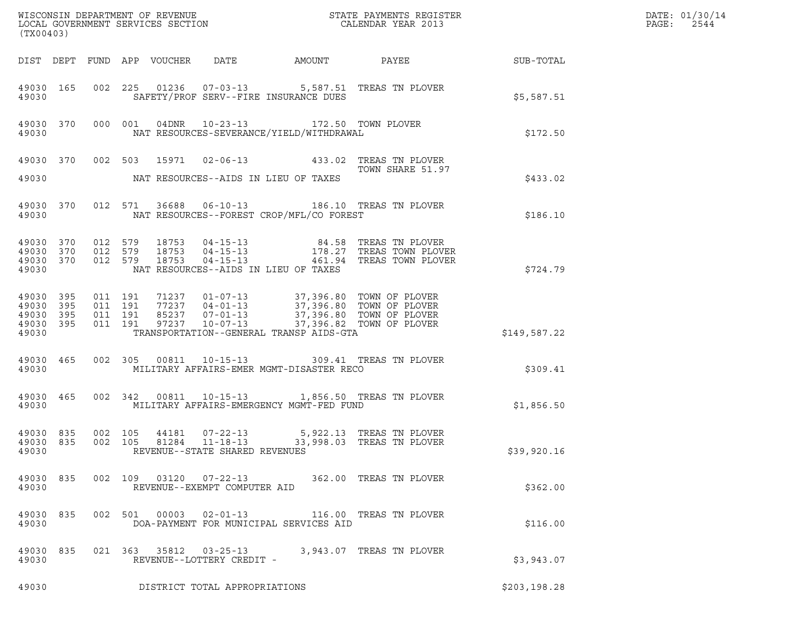| (TX00403)                                                 |           |                                          |                                 |                                                          | DATE: 01/30/14<br>PAGE:<br>2544                                                       |                                                                                                                                                                                                                                                                                                                        |               |  |
|-----------------------------------------------------------|-----------|------------------------------------------|---------------------------------|----------------------------------------------------------|---------------------------------------------------------------------------------------|------------------------------------------------------------------------------------------------------------------------------------------------------------------------------------------------------------------------------------------------------------------------------------------------------------------------|---------------|--|
|                                                           |           |                                          | DIST DEPT FUND APP VOUCHER DATE |                                                          |                                                                                       |                                                                                                                                                                                                                                                                                                                        |               |  |
| 49030                                                     | 49030 165 |                                          |                                 |                                                          | SAFETY/PROF SERV--FIRE INSURANCE DUES                                                 | 002 225 01236 07-03-13 5,587.51 TREAS TN PLOVER                                                                                                                                                                                                                                                                        | \$5,587.51    |  |
| 49030                                                     | 49030 370 |                                          |                                 |                                                          | 000 001 04DNR 10-23-13 172.50 TOWN PLOVER<br>NAT RESOURCES-SEVERANCE/YIELD/WITHDRAWAL |                                                                                                                                                                                                                                                                                                                        | \$172.50      |  |
|                                                           |           |                                          |                                 |                                                          |                                                                                       | 49030 370 002 503 15971 02-06-13 433.02 TREAS TN PLOVER<br>TOWN SHARE 51.97                                                                                                                                                                                                                                            |               |  |
| 49030                                                     |           |                                          |                                 |                                                          | NAT RESOURCES--AIDS IN LIEU OF TAXES                                                  |                                                                                                                                                                                                                                                                                                                        | \$433.02      |  |
| 49030                                                     | 49030 370 |                                          |                                 |                                                          | NAT RESOURCES--FOREST CROP/MFL/CO FOREST                                              | 012 571 36688 06-10-13 186.10 TREAS TN PLOVER                                                                                                                                                                                                                                                                          | \$186.10      |  |
| 49030<br>49030 370<br>49030 370<br>49030                  | 370       | 012 579<br>012 579<br>012 579            |                                 |                                                          | NAT RESOURCES--AIDS IN LIEU OF TAXES                                                  |                                                                                                                                                                                                                                                                                                                        | \$724.79      |  |
| 49030 395<br>49030 395<br>49030 395<br>49030 395<br>49030 |           | 011 191<br>011 191<br>011 191<br>011 191 |                                 |                                                          | TRANSPORTATION--GENERAL TRANSP AIDS-GTA                                               | $\begin{array}{cccc} 71237 & 01\hbox{-}07\hbox{-}13 & 37,396.80 & \text{TOWN OF PLOVER} \\ 77237 & 04\hbox{-}01\hbox{-}13 & 37,396.80 & \text{TOWN OF PLOVER} \\ 85237 & 07\hbox{-}01\hbox{-}13 & 37,396.80 & \text{TOWN OF PLOVER} \\ 97237 & 10\hbox{-}07\hbox{-}13 & 37,396.82 & \text{TOWN OF PLOVER} \end{array}$ | \$149,587.22  |  |
| 49030                                                     | 49030 465 |                                          |                                 |                                                          | MILITARY AFFAIRS-EMER MGMT-DISASTER RECO                                              | 002 305 00811 10-15-13 309.41 TREAS TN PLOVER                                                                                                                                                                                                                                                                          | \$309.41      |  |
| 49030                                                     | 49030 465 |                                          |                                 |                                                          | MILITARY AFFAIRS-EMERGENCY MGMT-FED FUND                                              | 002 342 00811 10-15-13 1,856.50 TREAS TN PLOVER                                                                                                                                                                                                                                                                        | \$1,856.50    |  |
| 49030 835<br>49030                                        |           |                                          |                                 | 002 105 44181 07-22-13<br>REVENUE--STATE SHARED REVENUES |                                                                                       | 5,922.13 TREAS TN PLOVER<br>49030 835 002 105 81284 11-18-13 33,998.03 TREAS TN PLOVER                                                                                                                                                                                                                                 | \$39,920.16   |  |
| 49030                                                     |           |                                          |                                 | REVENUE--EXEMPT COMPUTER AID                             |                                                                                       | 49030 835 002 109 03120 07-22-13 362.00 TREAS TN PLOVER                                                                                                                                                                                                                                                                | \$362.00      |  |
| 49030                                                     | 49030 835 |                                          |                                 |                                                          | DOA-PAYMENT FOR MUNICIPAL SERVICES AID                                                | 002 501 00003 02-01-13 116.00 TREAS TN PLOVER                                                                                                                                                                                                                                                                          | \$116.00      |  |
| 49030                                                     | 49030 835 |                                          |                                 | REVENUE--LOTTERY CREDIT -                                |                                                                                       | 021  363  35812  03-25-13  3,943.07  TREAS TN PLOVER                                                                                                                                                                                                                                                                   | \$3,943.07    |  |
| 49030                                                     |           |                                          |                                 | DISTRICT TOTAL APPROPRIATIONS                            |                                                                                       |                                                                                                                                                                                                                                                                                                                        | \$203, 198.28 |  |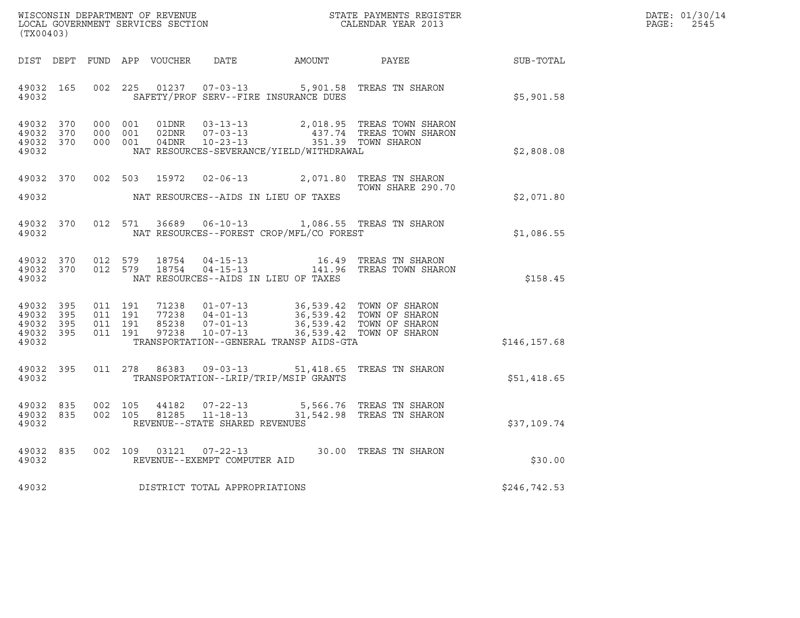| WISCONSIN DEPARTMENT OF REVENUE   | STATE PAYMENTS REGISTER | DATE: 01/30/14 |
|-----------------------------------|-------------------------|----------------|
| LOCAL GOVERNMENT SERVICES SECTION | CALENDAR YEAR 2013      | 2545<br>PAGE:  |

| (TX00403)                                    |  |                                     |                                             |                                                                                                                                                                                                                                                                               |               | DATE: 01/30/14<br>PAGE:<br>2545 |
|----------------------------------------------|--|-------------------------------------|---------------------------------------------|-------------------------------------------------------------------------------------------------------------------------------------------------------------------------------------------------------------------------------------------------------------------------------|---------------|---------------------------------|
|                                              |  |                                     |                                             | DIST DEPT FUND APP VOUCHER DATE AMOUNT PAYEE TO SUB-TOTAL                                                                                                                                                                                                                     |               |                                 |
|                                              |  |                                     | 49032 SAFETY/PROF SERV--FIRE INSURANCE DUES | 49032 165 002 225 01237 07-03-13 5,901.58 TREAS TN SHARON                                                                                                                                                                                                                     | \$5,901.58    |                                 |
| 49032 370<br>49032 370<br>49032 370<br>49032 |  |                                     | NAT RESOURCES-SEVERANCE/YIELD/WITHDRAWAL    | 000 001 01DNR 03-13-13 2,018.95 TREAS TOWN SHARON<br>000 001 02DNR 07-03-13 437.74 TREAS TOWN SHARON<br>000 001 04DNR 10-23-13 351.39 TOWN SHARON                                                                                                                             | \$2,808.08    |                                 |
|                                              |  |                                     | 49032 NAT RESOURCES--AIDS IN LIEU OF TAXES  | 49032 370 002 503 15972 02-06-13 2,071.80 TREAS TN SHARON<br>TOWN SHARE 290.7<br>TOWN SHARE 290.70                                                                                                                                                                            | \$2,071.80    |                                 |
| 49032                                        |  |                                     |                                             | 49032 370 012 571 36689 06-10-13 1,086.55 TREAS TN SHARON<br>NAT RESOURCES--FOREST CROP/MFL/CO FOREST                                                                                                                                                                         | \$1,086.55    |                                 |
| 49032                                        |  |                                     | NAT RESOURCES--AIDS IN LIEU OF TAXES        | $\begin{array}{cccccc} 49032 & 370 & 012 & 579 & 18754 & 04-15-13 & & 16.49 & \text{TREAS TN SHARON} \\ 49032 & 370 & 012 & 579 & 18754 & 04-15-13 & & 141.96 & \text{TREAS TOWN SHARON} \end{array}$                                                                         | \$158.45      |                                 |
| 49032                                        |  |                                     | TRANSPORTATION--GENERAL TRANSP AIDS-GTA     | $\begin{array}{cccccccc} 4\,9\,0\,3\,2 & 3\,9\,5 & 0\,11 & 1\,9\,1 & 7\,1\,2\,3\,8 & 0\,1\!-\,0\,7\!-\,1\,3 & 3\,6\,,\,5\,3\,9\,.4\,2 & 7\,0\,WN \text{ OF SHARON} \\ 4\,9\,0\,3\,2 & 3\,9\,5 & 0\,11 & 1\,9\,1 & 8\,5\,2\,3\,8 & 0\,7\!-\,0\,1\!-\,1\,3 & 3\,6\,,\,5\,3\,9\$ | \$146,157.68  |                                 |
| 49032 395<br>49032                           |  |                                     | TRANSPORTATION--LRIP/TRIP/MSIP GRANTS       | 011 278 86383 09-03-13 51,418.65 TREAS TN SHARON                                                                                                                                                                                                                              | \$51,418.65   |                                 |
| 49032 835<br>49032 835<br>49032              |  | REVENUE--STATE SHARED REVENUES      |                                             | 002 105 44182 07-22-13 5,566.76 TREAS TN SHARON<br>002 105 81285 11-18-13 31,542.98 TREAS TN SHARON                                                                                                                                                                           | \$37,109.74   |                                 |
|                                              |  |                                     |                                             | $\begin{array}{cccc} 4\,9\,0\,3\,2 & 8\,3\,5 & 0\,0\,2 & 1\,0\,9 & 0\,3\,1\,2\,1 & 0\,7\, -\,2\,2\, -\,1\,3 & 3\,0\,. \,0\,0 & \text{TREAS TN SHARON} \\ 4\,9\,0\,3\,2 & \text{REVENUE--EXEMPT COMPUTER AID} \end{array}$                                                     | \$30.00       |                                 |
|                                              |  | 49032 DISTRICT TOTAL APPROPRIATIONS |                                             |                                                                                                                                                                                                                                                                               | \$246, 742.53 |                                 |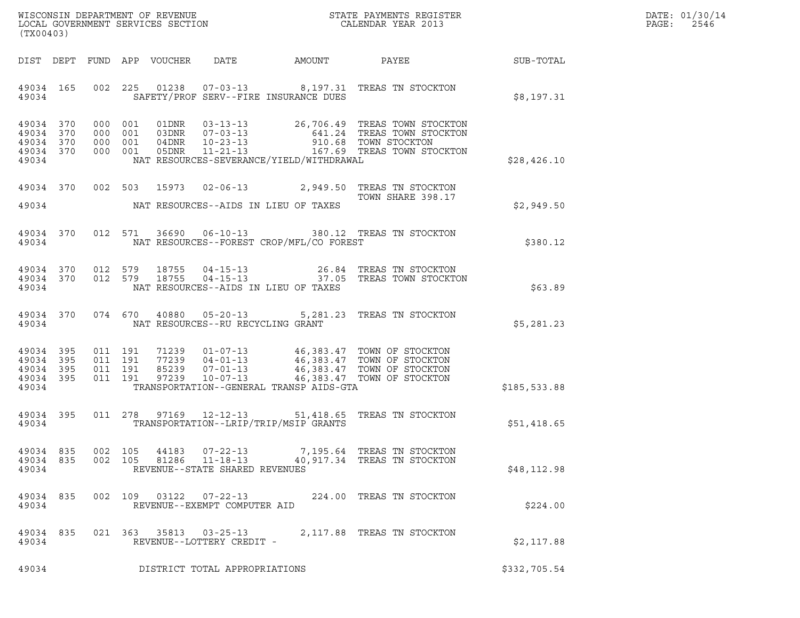| WISCONSIN DEPARTMENT OF REVENUE   | STATE PAYMENTS REGISTER | DATE: 01/30/14 |
|-----------------------------------|-------------------------|----------------|
| LOCAL GOVERNMENT SERVICES SECTION | CALENDAR YEAR 2013      | 2546<br>PAGE:  |

| (TX00403)                       |       |                    |         |                |                                                                    |                                            | WISCONSIN DEPARTMENT OF REVENUE<br>LOCAL GOVERNMENT SERVICES SECTION TERMS CONFINENT SERVICES SECTION                                                                                                                                                                                                                             |              | DATE: 01/30/14<br>PAGE: 2546 |
|---------------------------------|-------|--------------------|---------|----------------|--------------------------------------------------------------------|--------------------------------------------|-----------------------------------------------------------------------------------------------------------------------------------------------------------------------------------------------------------------------------------------------------------------------------------------------------------------------------------|--------------|------------------------------|
|                                 |       |                    |         |                |                                                                    |                                            | DIST DEPT FUND APP VOUCHER DATE AMOUNT PAYEE SUB-TOTAL                                                                                                                                                                                                                                                                            |              |                              |
|                                 | 49034 |                    |         |                |                                                                    | SAFETY/PROF SERV--FIRE INSURANCE DUES      | 49034 165 002 225 01238 07-03-13 8,197.31 TREAS TN STOCKTON                                                                                                                                                                                                                                                                       | \$8.197.31   |                              |
| 49034                           |       |                    |         |                |                                                                    | NAT RESOURCES-SEVERANCE/YIELD/WITHDRAWAL   |                                                                                                                                                                                                                                                                                                                                   | \$28,426.10  |                              |
|                                 |       |                    |         |                |                                                                    | 49034 NAT RESOURCES--AIDS IN LIEU OF TAXES | 49034 370 002 503 15973 02-06-13 2,949.50 TREAS TN STOCKTON<br>TOWN SHARE 398.17                                                                                                                                                                                                                                                  | \$2,949.50   |                              |
|                                 | 49034 |                    |         |                |                                                                    | NAT RESOURCES--FOREST CROP/MFL/CO FOREST   | 49034 370 012 571 36690 06-10-13 380.12 TREAS TN STOCKTON                                                                                                                                                                                                                                                                         | \$380.12     |                              |
| 49034                           |       |                    |         |                |                                                                    | NAT RESOURCES--AIDS IN LIEU OF TAXES       | $\begin{array}{cccccccc} 4\,9\,0\,3\,4 & 3\,7\,0 & 0\,1\,2 & 5\,7\,9 & 1\,8\,7\,5\,5 & 0\,4\,-1\,5\,-1\,3 & & & & 26\,.8\,4 & \text{TREAS TN STOCKTON} \\ 4\,9\,0\,3\,4 & 3\,7\,0 & 0\,1\,2 & 5\,7\,9 & 1\,8\,7\,5\,5 & 0\,4\,-1\,5\,-1\,3 & & & 3\,7\,.0\,5 & \text{TREAS TOWN STOCKTON} \end{array}$                            | \$63.89      |                              |
|                                 |       |                    |         |                | 49034 NAT RESOURCES--RU RECYCLING GRANT                            |                                            | 49034 370 074 670 40880 05-20-13 5,281.23 TREAS TN STOCKTON                                                                                                                                                                                                                                                                       | \$5,281.23   |                              |
| 49034                           |       |                    |         |                |                                                                    | TRANSPORTATION--GENERAL TRANSP AIDS-GTA    | $\begin{array}{cccccccc} 49034 & 395 & 011 & 191 & 71239 & 01\hbox{-}07\hbox{-}13 & 46\hbox{/}383.47 & \text{TOWN OF STOCKTON} \\ 49034 & 395 & 011 & 191 & 77239 & 04\hbox{-}01\hbox{-}13 & 46\hbox{/}383.47 & \text{TOWN OF STOCKTON} \\ 49034 & 395 & 011 & 191 & 85239 & 07\hbox{-}01\hbox{-}13 & 46\hbox{/}383.47 & \text{T$ | \$185,533.88 |                              |
| 49034                           |       |                    |         |                |                                                                    | TRANSPORTATION--LRIP/TRIP/MSIP GRANTS      | 49034 395 011 278 97169 12-12-13 51,418.65 TREAS TN STOCKTON                                                                                                                                                                                                                                                                      | \$51,418.65  |                              |
| 49034 835<br>49034 835<br>49034 |       | 002 105<br>002 105 |         | 44183<br>81286 | $07 - 22 - 13$<br>$11 - 18 - 13$<br>REVENUE--STATE SHARED REVENUES |                                            | 7,195.64   TREAS  TN  STOCKTON<br>40,917.34 TREAS TN STOCKTON                                                                                                                                                                                                                                                                     | \$48, 112.98 |                              |
| 49034 835<br>49034              |       |                    | 002 109 | 03122          | 07-22-13<br>REVENUE--EXEMPT COMPUTER AID                           |                                            | 224.00 TREAS TN STOCKTON                                                                                                                                                                                                                                                                                                          | \$224.00     |                              |
| 49034 835<br>49034              |       |                    |         | 021 363 35813  | $03 - 25 - 13$<br>REVENUE--LOTTERY CREDIT -                        |                                            | 2,117.88 TREAS TN STOCKTON                                                                                                                                                                                                                                                                                                        | \$2,117.88   |                              |
| 49034                           |       |                    |         |                | DISTRICT TOTAL APPROPRIATIONS                                      |                                            |                                                                                                                                                                                                                                                                                                                                   | \$332,705.54 |                              |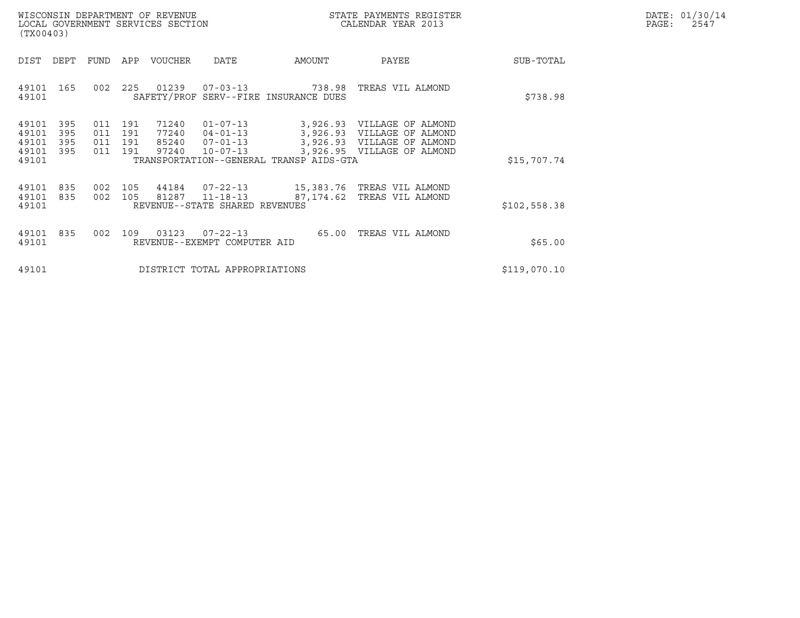|       | DATE: 01/30/14 |
|-------|----------------|
| PAGE: | 2547           |

| WISCONSIN DEPARTMENT OF REVENUE<br>LOCAL GOVERNMENT SERVICES SECTION<br>(TX00403) |                                           |                          |                          |                          |                                  |                                                                      |                                                                | STATE PAYMENTS REGISTER<br>CALENDAR YEAR 2013                                                                        | DATE: 01/30/14<br>$\mathtt{PAGE}$ :<br>2547 |  |
|-----------------------------------------------------------------------------------|-------------------------------------------|--------------------------|--------------------------|--------------------------|----------------------------------|----------------------------------------------------------------------|----------------------------------------------------------------|----------------------------------------------------------------------------------------------------------------------|---------------------------------------------|--|
|                                                                                   | DIST                                      | DEPT                     | FUND                     | APP                      | VOUCHER                          | DATE                                                                 | AMOUNT                                                         | PAYEE                                                                                                                | SUB-TOTAL                                   |  |
|                                                                                   | 49101<br>49101                            | 165                      | 002                      | 225                      | 01239                            |                                                                      | $07 - 03 - 13$ 738.98<br>SAFETY/PROF SERV--FIRE INSURANCE DUES | TREAS VIL ALMOND                                                                                                     | \$738.98                                    |  |
|                                                                                   | 49101<br>49101<br>49101<br>49101<br>49101 | 395<br>395<br>395<br>395 | 011<br>011<br>011<br>011 | 191<br>191<br>191<br>191 | 71240<br>77240<br>85240<br>97240 | $01 - 07 - 13$<br>$04 - 01 - 13$<br>$07 - 01 - 13$<br>$10 - 07 - 13$ | TRANSPORTATION--GENERAL TRANSP AIDS-GTA                        | 3,926.93 VILLAGE OF ALMOND<br>3,926.93 VILLAGE OF ALMOND<br>3,926.93 VILLAGE OF ALMOND<br>3,926.95 VILLAGE OF ALMOND | \$15,707.74                                 |  |
|                                                                                   | 49101<br>49101<br>49101                   | 835<br>835               | 002                      | 105<br>002 105           | 44184<br>81287                   | $07 - 22 - 13$<br>$11 - 18 - 13$<br>REVENUE--STATE SHARED REVENUES   | 87,174.62                                                      | 15,383.76 TREAS VIL ALMOND<br>TREAS VIL ALMOND                                                                       | \$102,558.38                                |  |
|                                                                                   | 49101<br>49101                            | 835                      | 002                      | 109                      | 03123                            | $07 - 22 - 13$<br>REVENUE--EXEMPT COMPUTER AID                       | 65.00                                                          | TREAS VIL ALMOND                                                                                                     | \$65.00                                     |  |
|                                                                                   | 49101                                     |                          |                          |                          |                                  | DISTRICT TOTAL APPROPRIATIONS                                        |                                                                |                                                                                                                      | \$119,070.10                                |  |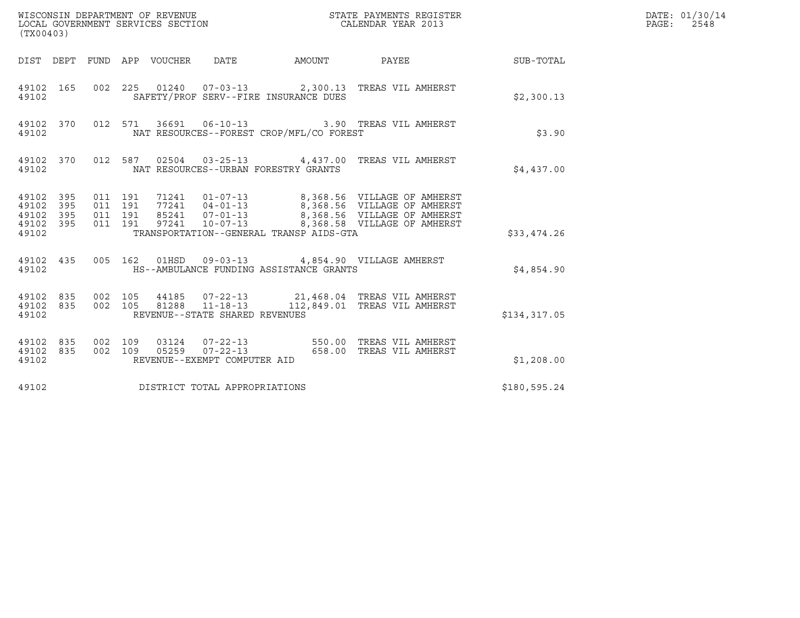| (TX00403)                                             |     |                               |         |                                |                                          |                                                                                                                                                                                                                                                                                          | DATE: 01/30/14<br>PAGE: 2548 |  |
|-------------------------------------------------------|-----|-------------------------------|---------|--------------------------------|------------------------------------------|------------------------------------------------------------------------------------------------------------------------------------------------------------------------------------------------------------------------------------------------------------------------------------------|------------------------------|--|
|                                                       |     |                               |         |                                |                                          | DIST DEPT FUND APP VOUCHER DATE AMOUNT PAYEE TO SUB-TOTAL                                                                                                                                                                                                                                |                              |  |
| 49102 165<br>49102                                    |     |                               |         |                                | SAFETY/PROF SERV--FIRE INSURANCE DUES    | 002 225 01240 07-03-13 2,300.13 TREAS VIL AMHERST                                                                                                                                                                                                                                        | \$2,300.13                   |  |
| 49102                                                 |     |                               |         |                                | NAT RESOURCES--FOREST CROP/MFL/CO FOREST | 49102 370 012 571 36691 06-10-13 3.90 TREAS VIL AMHERST                                                                                                                                                                                                                                  | \$3.90                       |  |
| 49102                                                 |     |                               |         |                                | NAT RESOURCES--URBAN FORESTRY GRANTS     | 49102 370 012 587 02504 03-25-13 4,437.00 TREAS VIL AMHERST                                                                                                                                                                                                                              | \$4,437.00                   |  |
| 49102 395<br>49102 395<br>49102<br>49102 395<br>49102 | 395 | 011 191<br>011 191<br>011 191 | 011 191 |                                | TRANSPORTATION--GENERAL TRANSP AIDS-GTA  | 71241    01-07-13    8,368.56    VILLAGE OF AMHERST<br>77241    04-01-13    8,368.56    VILLAGE OF AMHERST<br>85241    07-01-13    8,368.56    VILLAGE OF AMHERST<br>97241    10-07-13    8,368.58    VILLAGE OF AMHERST                                                                 | \$33,474.26                  |  |
| 49102                                                 |     |                               |         |                                | HS--AMBULANCE FUNDING ASSISTANCE GRANTS  | 49102 435 005 162 01HSD 09-03-13 4,854.90 VILLAGE AMHERST                                                                                                                                                                                                                                | \$4,854.90                   |  |
| 49102                                                 |     |                               |         | REVENUE--STATE SHARED REVENUES |                                          | $\begin{array}{cccc} 4\,9\,1\,0\,2 & 8\,3\,5 & 0\,0\,2 & 1\,0\,5 & 4\,4\,1\,8\,5 & 0\,7\,-2\,2\,-1\,3 & 2\,1\,,4\,6\,8\,.0\,4 & \text{TREAS VIL AMHERST} \\ 4\,9\,1\,0\,2 & 8\,3\,5 & 0\,0\,2 & 1\,0\,5 & 8\,1\,2\,8\,8 & 1\,1\,-1\,8\,-1\,3 & 1\,1\,2\,,8\,4\,9\,.0\,1 & \text{TREAS V$ | \$134,317.05                 |  |
| 49102 835<br>49102 835<br>49102                       |     | 002 109                       |         | REVENUE--EXEMPT COMPUTER AID   |                                          | 03124  07-22-13  550.00  TREAS VIL AMHERST<br>002 109 05259 07-22-13 658.00 TREAS VIL AMHERST                                                                                                                                                                                            | \$1,208.00                   |  |
| 49102                                                 |     |                               |         | DISTRICT TOTAL APPROPRIATIONS  |                                          |                                                                                                                                                                                                                                                                                          | \$180,595.24                 |  |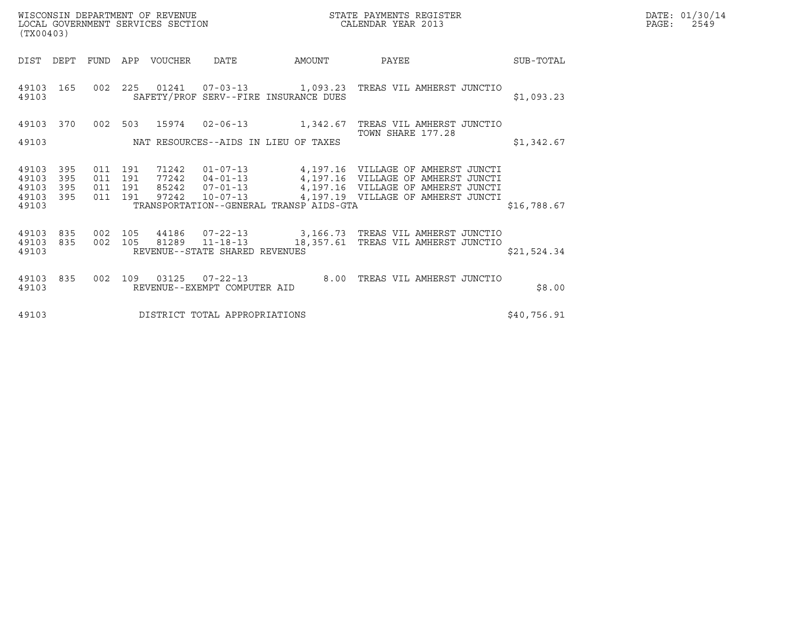| DATE: | 01/30/14 |
|-------|----------|
| PAGE: | 2549     |

|                                                |                           |                                                                                                                                                                                                                                                                                                                                                                                         | DATE: 01/30/14<br>PAGE:<br>2549                                                        |
|------------------------------------------------|---------------------------|-----------------------------------------------------------------------------------------------------------------------------------------------------------------------------------------------------------------------------------------------------------------------------------------------------------------------------------------------------------------------------------------|----------------------------------------------------------------------------------------|
| AMOUNT                                         | PAYEE                     | SUB-TOTAL                                                                                                                                                                                                                                                                                                                                                                               |                                                                                        |
| SAFETY/PROF SERV--FIRE INSURANCE DUES          |                           | \$1,093.23                                                                                                                                                                                                                                                                                                                                                                              |                                                                                        |
|                                                | TREAS VIL AMHERST JUNCTIO |                                                                                                                                                                                                                                                                                                                                                                                         |                                                                                        |
| NAT RESOURCES--AIDS IN LIEU OF TAXES           |                           | \$1,342.67                                                                                                                                                                                                                                                                                                                                                                              |                                                                                        |
|                                                |                           | \$16,788.67                                                                                                                                                                                                                                                                                                                                                                             |                                                                                        |
| REVENUE--STATE SHARED REVENUES                 |                           | \$21,524.34                                                                                                                                                                                                                                                                                                                                                                             |                                                                                        |
| $07 - 22 - 13$<br>REVENUE--EXEMPT COMPUTER AID |                           | \$8.00                                                                                                                                                                                                                                                                                                                                                                                  |                                                                                        |
| DISTRICT TOTAL APPROPRIATIONS                  |                           | \$40,756.91                                                                                                                                                                                                                                                                                                                                                                             |                                                                                        |
|                                                |                           | STATE PAYMENTS REGISTER<br>CALENDAR YEAR 2013<br>$02 - 06 - 13$ 1, 342.67<br>TOWN SHARE 177.28<br>01-07-13 4,197.16 VILLAGE OF AMHERST JUNCTI<br>04-01-13  4,197.16  VILLAGE OF AMHERST JUNCTI<br>07-01-13 4,197.16 VILLAGE OF AMHERST JUNCTI<br>10-07-13 4,197.19 VILLAGE OF AMHERST JUNCTI<br>TRANSPORTATION--GENERAL TRANSP AIDS-GTA<br>11-18-13 18,357.61 TREAS VIL AMHERST JUNCTIO | 01241  07-03-13  1,093.23  TREAS VIL AMHERST JUNCTIO<br>8.00 TREAS VIL AMHERST JUNCTIO |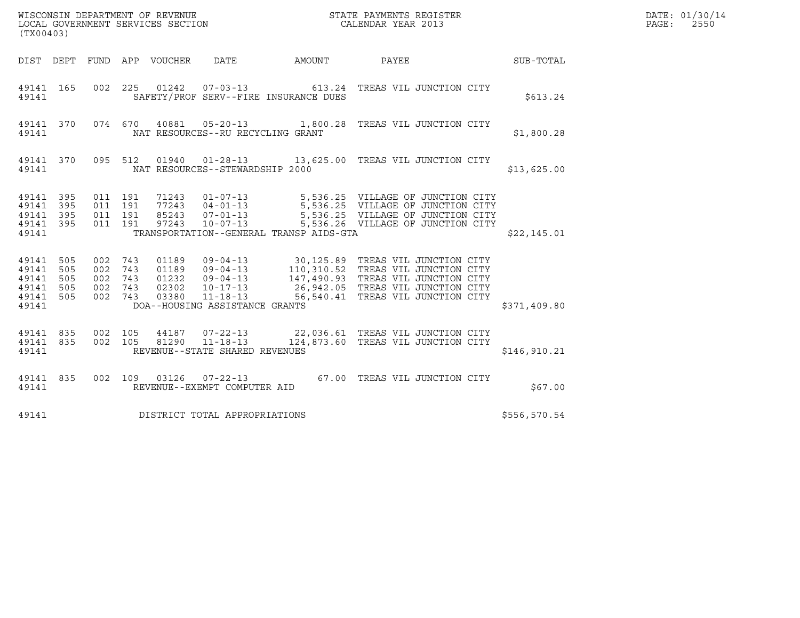| WISCONSIN DEPARTMENT OF REVENUE<br>LOCAL GOVERNMENT SERVICES SECTION | STATE PAYMENTS REGISTER<br>CALENDAR YEAR 2013 | DATE: 01/30/14<br>PAGE:<br>2550 |
|----------------------------------------------------------------------|-----------------------------------------------|---------------------------------|

|                                                               | WISCONSIN DEPARTMENT OF REVENUE<br>LOCAL GOVERNMENT SERVICES SECTION<br>CALENDAR YEAR 2013<br>(TX00403) |  |  |  |                                         |                                               |                                                                                                                                                                                                                                         |  | DATE: 01/30/14<br>PAGE: 2550 |  |
|---------------------------------------------------------------|---------------------------------------------------------------------------------------------------------|--|--|--|-----------------------------------------|-----------------------------------------------|-----------------------------------------------------------------------------------------------------------------------------------------------------------------------------------------------------------------------------------------|--|------------------------------|--|
|                                                               |                                                                                                         |  |  |  |                                         |                                               | DIST DEPT FUND APP VOUCHER DATE AMOUNT PAYEE PATE SUB-TOTAL                                                                                                                                                                             |  |                              |  |
|                                                               |                                                                                                         |  |  |  |                                         | 49141 SAFETY/PROF SERV--FIRE INSURANCE DUES   | 49141 165 002 225 01242 07-03-13 613.24 TREAS VIL JUNCTION CITY                                                                                                                                                                         |  | \$613.24                     |  |
|                                                               |                                                                                                         |  |  |  | 49141 MAT RESOURCES--RU RECYCLING GRANT |                                               | 49141 370 074 670 40881 05-20-13 1,800.28 TREAS VIL JUNCTION CITY                                                                                                                                                                       |  | \$1,800.28                   |  |
|                                                               |                                                                                                         |  |  |  | 49141 NAT RESOURCES--STEWARDSHIP 2000   |                                               | 49141 370 095 512 01940 01-28-13 13,625.00 TREAS VIL JUNCTION CITY                                                                                                                                                                      |  | \$13,625.00                  |  |
| 49141 395<br>49141 395<br>49141 395<br>49141 395              |                                                                                                         |  |  |  |                                         | 49141 TRANSPORTATION--GENERAL TRANSP AIDS-GTA | 011 191 71243 01-07-13 5,536.25 VILLAGE OF JUNCTION CITY<br>011 191 77243 04-01-13 5,536.25 VILLAGE OF JUNCTION CITY<br>011 191 85243 07-01-13 5,536.25 VILLAGE OF JUNCTION CITY<br>011 191 97243 10-07-13 5,536.26 VILLAGE OF JUNCTION |  | \$22,145.01                  |  |
| 49141 505<br>49141 505<br>49141 505<br>49141 505<br>49141 505 |                                                                                                         |  |  |  | 49141 DOA--HOUSING ASSISTANCE GRANTS    |                                               | 002 743 01189 09-04-13 30,125.89 TREAS VIL JUNCTION CITY<br>002 743 01189 09-04-13 110,310.52 TREAS VIL JUNCTION CITY<br>002 743 02302 10-17-13 26,942.05 TREAS VIL JUNCTION CITY<br>002 743 03380 11-18-13 56,540.41 TREAS VIL JUNC    |  | \$371,409.80                 |  |
|                                                               |                                                                                                         |  |  |  | 49141 REVENUE--STATE SHARED REVENUES    |                                               | 49141 835 002 105 44187 07-22-13 22,036.61 TREAS VIL JUNCTION CITY<br>49141 835 002 105 81290 11-18-13 124,873.60 TREAS VIL JUNCTION CITY                                                                                               |  | \$146, 910.21                |  |
|                                                               |                                                                                                         |  |  |  | 49141 REVENUE--EXEMPT COMPUTER AID      |                                               | 49141 835 002 109 03126 07-22-13 67.00 TREAS VIL JUNCTION CITY                                                                                                                                                                          |  | \$67.00                      |  |
| 49141                                                         |                                                                                                         |  |  |  | DISTRICT TOTAL APPROPRIATIONS           |                                               |                                                                                                                                                                                                                                         |  | \$556,570.54                 |  |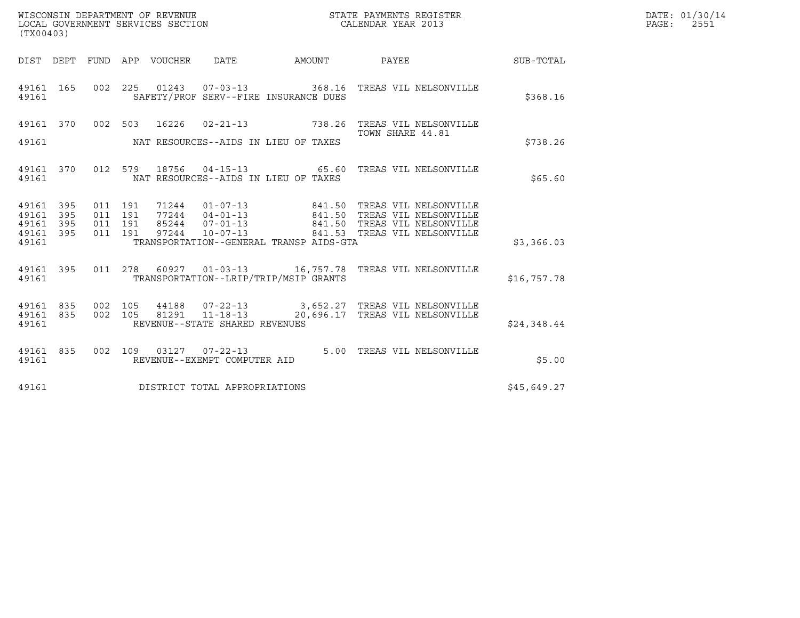| (TX00403)                   |            |                              |         | WISCONSIN DEPARTMENT OF REVENUE<br>LOCAL GOVERNMENT SERVICES SECTION |                                         | STATE PAYMENTS REGISTER<br>CALENDAR YEAR 2013                                       |             | DATE: 01/30/14<br>$\mathtt{PAGE:}$<br>2551 |
|-----------------------------|------------|------------------------------|---------|----------------------------------------------------------------------|-----------------------------------------|-------------------------------------------------------------------------------------|-------------|--------------------------------------------|
|                             |            |                              |         |                                                                      |                                         | DIST DEPT FUND APP VOUCHER DATE AMOUNT PAYEE TO SUB-TOTAL                           |             |                                            |
| 49161                       | 49161 165  |                              |         |                                                                      | SAFETY/PROF SERV--FIRE INSURANCE DUES   | 002  225  01243  07-03-13  368.16  TREAS VIL NELSONVILLE                            | \$368.16    |                                            |
|                             |            |                              |         |                                                                      |                                         | 49161 370 002 503 16226 02-21-13 738.26 TREAS VIL NELSONVILLE                       |             |                                            |
| 49161                       |            |                              |         |                                                                      | NAT RESOURCES--AIDS IN LIEU OF TAXES    | TOWN SHARE 44.81                                                                    | \$738.26    |                                            |
| 49161                       |            |                              |         |                                                                      | NAT RESOURCES--AIDS IN LIEU OF TAXES    | 49161 370 012 579 18756 04-15-13 65.60 TREAS VIL NELSONVILLE                        | \$65.60     |                                            |
| 49161 395<br>49161<br>49161 | 395<br>395 | 011 191<br>011 191           | 011 191 |                                                                      |                                         |                                                                                     |             |                                            |
| 49161 395<br>49161          |            |                              | 011 191 |                                                                      | TRANSPORTATION--GENERAL TRANSP AIDS-GTA |                                                                                     | \$3,366.03  |                                            |
| 49161                       | 49161 395  |                              |         |                                                                      | TRANSPORTATION--LRIP/TRIP/MSIP GRANTS   | 011  278  60927  01-03-13   16,757.78  TREAS VIL NELSONVILLE                        | \$16,757.78 |                                            |
| 49161 835<br>49161          |            | 49161 835 002 105<br>002 105 |         | 81291 11-18-13<br>REVENUE--STATE SHARED REVENUES                     |                                         | 44188  07-22-13  3,652.27  TREAS VIL NELSONVILLE<br>20,696.17 TREAS VIL NELSONVILLE | \$24,348.44 |                                            |
| 49161                       | 49161 835  |                              |         | REVENUE--EXEMPT COMPUTER AID                                         |                                         | 002 109 03127 07-22-13 5.00 TREAS VIL NELSONVILLE                                   | \$5.00      |                                            |
| 49161                       |            |                              |         | DISTRICT TOTAL APPROPRIATIONS                                        |                                         |                                                                                     | \$45,649.27 |                                            |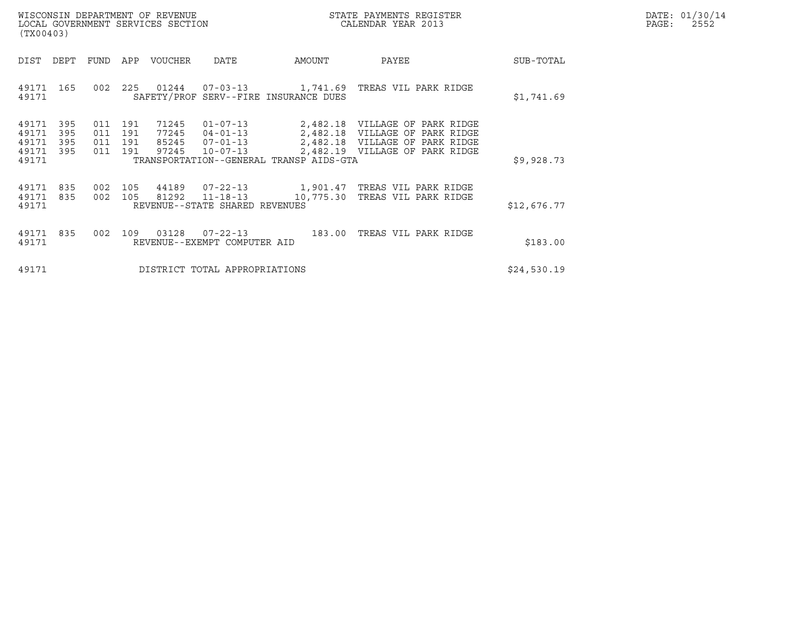|       | DATE: 01/30/14 |
|-------|----------------|
| PAGE: | 2552           |

| WISCONSIN DEPARTMENT OF REVENUE<br>LOCAL GOVERNMENT SERVICES SECTION<br>(TX00403) |                   |                                      |         |                                  |                                                                      |                                         | STATE PAYMENTS REGISTER<br>CALENDAR YEAR 2013                                                                                        |             | DATE: 01/30/14<br>$\mathtt{PAGE:}$<br>2552 |
|-----------------------------------------------------------------------------------|-------------------|--------------------------------------|---------|----------------------------------|----------------------------------------------------------------------|-----------------------------------------|--------------------------------------------------------------------------------------------------------------------------------------|-------------|--------------------------------------------|
| DIST                                                                              | DEPT              |                                      |         | FUND APP VOUCHER                 | DATE                                                                 | AMOUNT                                  | PAYEE                                                                                                                                | SUB-TOTAL   |                                            |
| 49171 165<br>49171                                                                |                   | 002                                  |         |                                  |                                                                      | SAFETY/PROF SERV--FIRE INSURANCE DUES   | 225  01244  07-03-13   1,741.69  TREAS VIL PARK RIDGE                                                                                | \$1,741.69  |                                            |
| 49171<br>49171<br>49171<br>49171 395<br>49171                                     | 395<br>395<br>395 | 011 191<br>011 191<br>011 191<br>011 | 191     | 71245<br>77245<br>85245<br>97245 | $01 - 07 - 13$<br>$04 - 01 - 13$<br>$07 - 01 - 13$<br>$10 - 07 - 13$ | TRANSPORTATION--GENERAL TRANSP AIDS-GTA | 2,482.18 VILLAGE OF PARK RIDGE<br>2,482.18 VILLAGE OF PARK RIDGE<br>2,482.18 VILLAGE OF PARK RIDGE<br>2,482.19 VILLAGE OF PARK RIDGE | \$9,928.73  |                                            |
| 49171 835<br>49171 835<br>49171                                                   |                   | 002                                  | 002 105 |                                  | 81292 11-18-13<br>REVENUE--STATE SHARED REVENUES                     | 10,775.30                               | 105  44189  07-22-13   1,901.47  TREAS VIL PARK RIDGE<br>TREAS VIL PARK RIDGE                                                        | \$12,676.77 |                                            |
| 49171 835<br>49171                                                                |                   | 002                                  |         | 109 03128                        | $07 - 22 - 13$<br>REVENUE--EXEMPT COMPUTER AID                       | 183.00                                  | TREAS VIL PARK RIDGE                                                                                                                 | \$183.00    |                                            |
| 49171                                                                             |                   |                                      |         |                                  | DISTRICT TOTAL APPROPRIATIONS                                        |                                         |                                                                                                                                      | \$24,530.19 |                                            |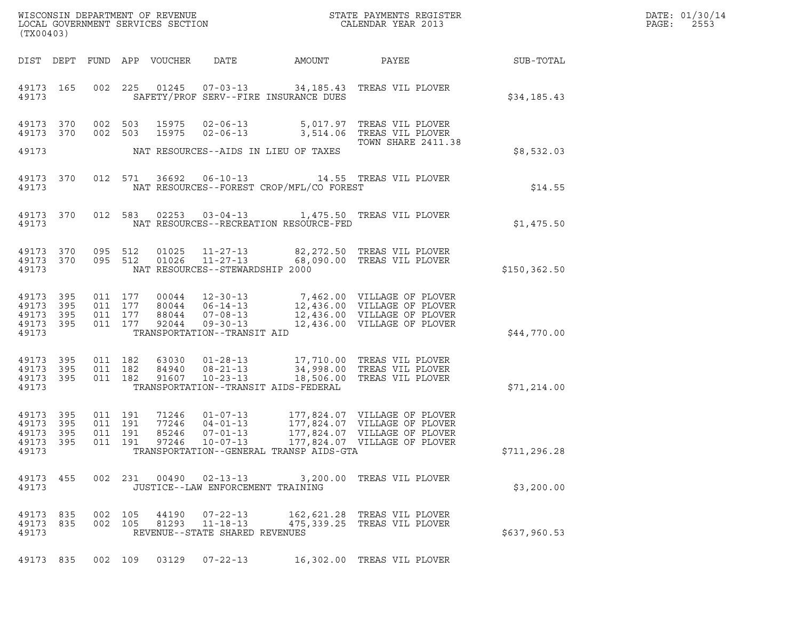| DATE: | 01/30/14 |
|-------|----------|
| PAGE: | 2553     |

| (TX00403)                                             |              |                               |         |                            |                                                                    |                                          |                                                                                                                                                                                                                                                   |                  | DATE: 01/30/14<br>PAGE:<br>2553 |
|-------------------------------------------------------|--------------|-------------------------------|---------|----------------------------|--------------------------------------------------------------------|------------------------------------------|---------------------------------------------------------------------------------------------------------------------------------------------------------------------------------------------------------------------------------------------------|------------------|---------------------------------|
|                                                       |              |                               |         | DIST DEPT FUND APP VOUCHER | DATE                                                               | AMOUNT                                   | PAYEE                                                                                                                                                                                                                                             | <b>SUB-TOTAL</b> |                                 |
| 49173 165<br>49173                                    |              |                               |         |                            |                                                                    | SAFETY/PROF SERV--FIRE INSURANCE DUES    | 002 225 01245 07-03-13 34,185.43 TREAS VIL PLOVER                                                                                                                                                                                                 | \$34,185.43      |                                 |
| 49173 370<br>49173 370                                |              | 002 503<br>002 503            |         | 15975                      |                                                                    |                                          | 15975  02-06-13  5,017.97  TREAS VIL PLOVER<br>02-06-13 3,514.06 TREAS VIL PLOVER                                                                                                                                                                 |                  |                                 |
| 49173                                                 |              |                               |         |                            |                                                                    | NAT RESOURCES--AIDS IN LIEU OF TAXES     | TOWN SHARE 2411.38                                                                                                                                                                                                                                | \$8,532.03       |                                 |
| 49173 370<br>49173                                    |              |                               |         | 012 571 36692              |                                                                    | NAT RESOURCES--FOREST CROP/MFL/CO FOREST | 06-10-13 14.55 TREAS VIL PLOVER                                                                                                                                                                                                                   | \$14.55          |                                 |
| 49173 370<br>49173                                    |              |                               |         |                            |                                                                    | NAT RESOURCES--RECREATION RESOURCE-FED   | 012 583 02253 03-04-13 1,475.50 TREAS VIL PLOVER                                                                                                                                                                                                  | \$1,475.50       |                                 |
| 49173 370<br>49173                                    |              | 49173 370 095 512<br>095 512  |         | 01025<br>01026             | $11 - 27 - 13$<br>NAT RESOURCES--STEWARDSHIP 2000                  |                                          | 11-27-13 82,272.50 TREAS VIL PLOVER<br>68,090.00 TREAS VIL PLOVER                                                                                                                                                                                 | \$150, 362.50    |                                 |
| 49173 395<br>49173<br>49173 395<br>49173 395<br>49173 | 395          | 011 177<br>011 177<br>011 177 | 011 177 |                            | TRANSPORTATION--TRANSIT AID                                        |                                          | $\begin{tabular}{cccc} 00044 & 12-30-13 & 7,462.00 & VILLAGE OF PLOVER \\ 80044 & 06-14-13 & 12,436.00 & VILLAGE OF PLOVER \\ 88044 & 07-08-13 & 12,436.00 & VILLAGE OF PLOVER \\ 92044 & 09-30-13 & 12,436.00 & VILLAGE OF PLOVER \end{tabular}$ | \$44,770.00      |                                 |
| 49173 395<br>49173 395<br>49173 395<br>49173          |              | 011 182<br>011 182            | 011 182 |                            | 91607 10-23-13                                                     | TRANSPORTATION--TRANSIT AIDS-FEDERAL     | 63030  01-28-13  17,710.00 TREAS VIL PLOVER<br>84940 08-21-13 34,998.00 TREAS VIL PLOVER<br>18,506.00 TREAS VIL PLOVER                                                                                                                            | \$71,214.00      |                                 |
| 49173 395<br>49173<br>49173<br>49173 395<br>49173     | 395<br>- 395 | 011 191<br>011 191            | 011 191 | 71246<br>77246<br>85246    | $01 - 07 - 13$<br>$04 - 01 - 13$<br>$07 - 01 - 13$                 | TRANSPORTATION--GENERAL TRANSP AIDS-GTA  | 177,824.07 VILLAGE OF PLOVER<br>177,824.07 VILLAGE OF PLOVER<br>177,824.07 VILLAGE OF PLOVER<br>011  191  97246  10-07-13  177,824.07  VILLAGE OF PLOVER                                                                                          | \$711,296.28     |                                 |
| 49173 455<br>49173                                    |              |                               |         |                            | JUSTICE--LAW ENFORCEMENT TRAINING                                  |                                          | 002 231 00490 02-13-13 3,200.00 TREAS VIL PLOVER                                                                                                                                                                                                  | \$3,200.00       |                                 |
| 49173 835<br>49173 835<br>49173                       |              | 002 105<br>002 105            |         |                            | 44190 07-22-13<br>81293 11-18-13<br>REVENUE--STATE SHARED REVENUES |                                          | 162,621.28 TREAS VIL PLOVER<br>475,339.25 TREAS VIL PLOVER                                                                                                                                                                                        | \$637,960.53     |                                 |
|                                                       |              |                               |         |                            |                                                                    |                                          | 49173 835 002 109 03129 07-22-13 16,302.00 TREAS VIL PLOVER                                                                                                                                                                                       |                  |                                 |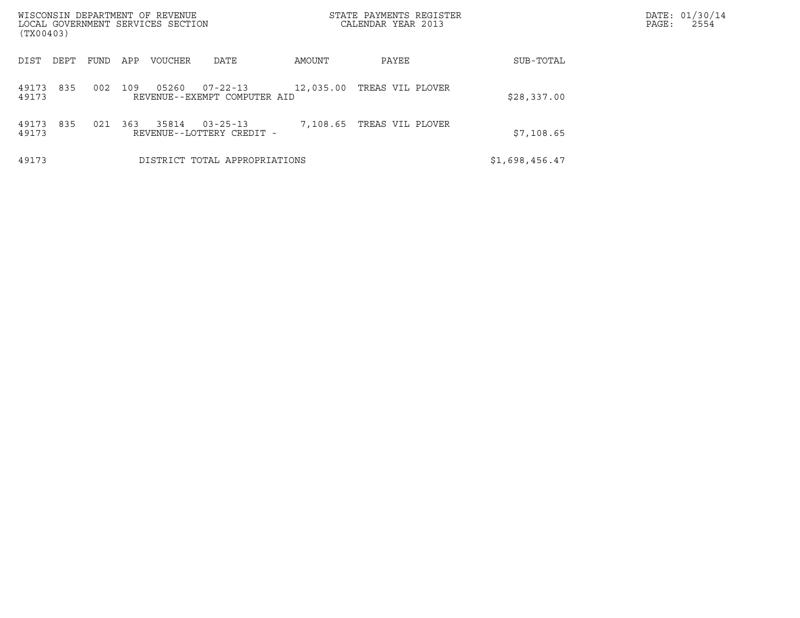| WISCONSIN DEPARTMENT OF REVENUE<br>LOCAL GOVERNMENT SERVICES SECTION<br>(TX00403) |      |     |                |                                                |           | STATE PAYMENTS REGISTER<br>CALENDAR YEAR 2013 |                | DATE: 01/30/14<br>PAGE:<br>2554 |
|-----------------------------------------------------------------------------------|------|-----|----------------|------------------------------------------------|-----------|-----------------------------------------------|----------------|---------------------------------|
| DIST<br>DEPT                                                                      | FUND | APP | <b>VOUCHER</b> | DATE                                           | AMOUNT    | PAYEE                                         | SUB-TOTAL      |                                 |
| 835<br>49173<br>49173                                                             | 002  | 109 | 05260          | $07 - 22 - 13$<br>REVENUE--EXEMPT COMPUTER AID | 12,035.00 | TREAS VIL PLOVER                              | \$28,337.00    |                                 |
| 835<br>49173<br>49173                                                             | 021  | 363 | 35814          | $03 - 25 - 13$<br>REVENUE--LOTTERY CREDIT -    | 7,108.65  | TREAS VIL PLOVER                              | \$7,108.65     |                                 |
| 49173                                                                             |      |     |                | DISTRICT TOTAL APPROPRIATIONS                  |           |                                               | \$1,698,456.47 |                                 |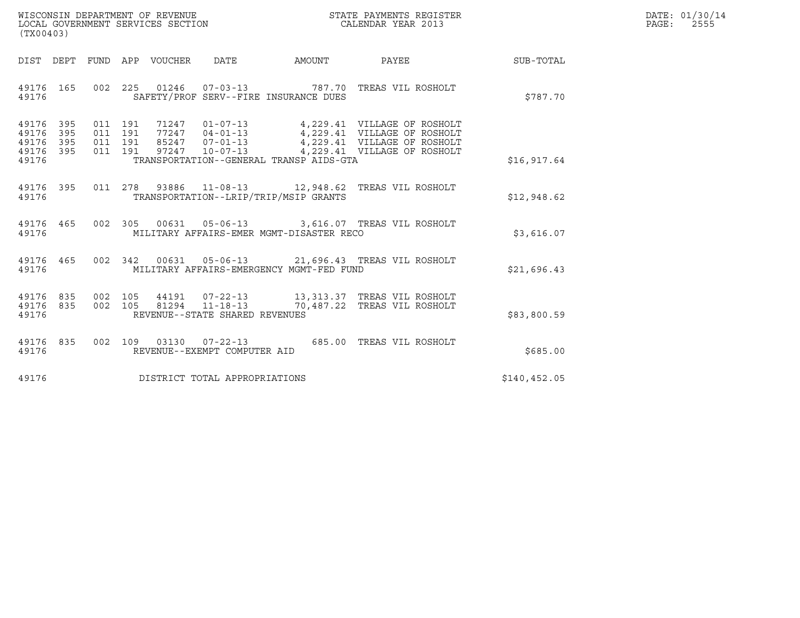| WISCONSIN DEPARTMENT OF REVENUE   | STATE PAYMENTS REGISTER | DATE: 01/30/14 |
|-----------------------------------|-------------------------|----------------|
| LOCAL GOVERNMENT SERVICES SECTION | CALENDAR YEAR 2013      | 2555<br>PAGE:  |

| (TX00403)                                                                                                                                                                                                                                                                                                                                                                                                                                                               |               | DATE: 01/30/14<br>$\mathtt{PAGE:}$<br>2555 |
|-------------------------------------------------------------------------------------------------------------------------------------------------------------------------------------------------------------------------------------------------------------------------------------------------------------------------------------------------------------------------------------------------------------------------------------------------------------------------|---------------|--------------------------------------------|
| DIST DEPT FUND APP VOUCHER DATE AMOUNT PAYEE                                                                                                                                                                                                                                                                                                                                                                                                                            | SUB-TOTAL     |                                            |
| 002  225  01246  07-03-13  787.70 TREAS VIL ROSHOLT<br>49176 165<br>SAFETY/PROF SERV--FIRE INSURANCE DUES<br>49176                                                                                                                                                                                                                                                                                                                                                      | \$787.70      |                                            |
| $\begin{array}{cccc} 011 & 191 & 71247 & 01\texttt{-}07\texttt{-}13 \\ 011 & 191 & 77247 & 04\texttt{-}01\texttt{-}13 \\ 011 & 191 & 85247 & 07\texttt{-}01\texttt{-}13 \\ 011 & 191 & 85247 & 07\texttt{-}01\texttt{-}13 \\ 011 & 191 & 97247 & 10\texttt{-}07\texttt{-}13 \\ \end{array} \qquad \begin{array}{cccc} 4\texttt{,}229.41 & \text{VILLAGE OF ROS$<br>49176 395<br>49176<br>395<br>49176 395<br>49176 395<br>49176 TRANSPORTATION--GENERAL TRANSP AIDS-GTA | \$16,917.64   |                                            |
| 49176 395 011 278 93886 11-08-13 12,948.62 TREAS VIL ROSHOLT<br>TRANSPORTATION--LRIP/TRIP/MSIP GRANTS<br>49176                                                                                                                                                                                                                                                                                                                                                          | \$12,948.62   |                                            |
| 49176 465 002 305 00631 05-06-13 3,616.07 TREAS VIL ROSHOLT<br>MILITARY AFFAIRS-EMER MGMT-DISASTER RECO<br>49176                                                                                                                                                                                                                                                                                                                                                        | \$3,616.07    |                                            |
| 49176 465 002 342 00631 05-06-13 21,696.43 TREAS VIL ROSHOLT<br>MILITARY AFFAIRS-EMERGENCY MGMT-FED FUND<br>49176                                                                                                                                                                                                                                                                                                                                                       | \$21,696.43   |                                            |
| 002 105 44191 07-22-13 13,313.37 TREAS VIL ROSHOLT<br>002 105 81294 11-18-13 70,487.22 TREAS VIL ROSHOLT<br>49176 835<br>49176 835<br>49176<br>REVENUE--STATE SHARED REVENUES                                                                                                                                                                                                                                                                                           | \$83,800.59   |                                            |
| 49176 835 002 109 03130 07-22-13 685.00 TREAS VIL ROSHOLT<br>REVENUE--EXEMPT COMPUTER AID<br>49176                                                                                                                                                                                                                                                                                                                                                                      | \$685.00      |                                            |
|                                                                                                                                                                                                                                                                                                                                                                                                                                                                         | \$140, 452.05 |                                            |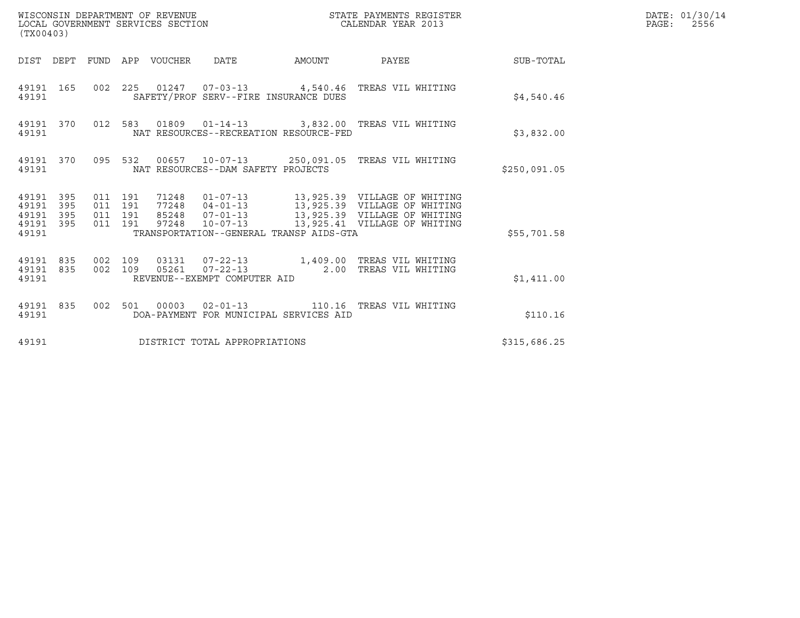| (TX00403)                                         |            |                                          | WISCONSIN DEPARTMENT OF REVENUE<br>LOCAL GOVERNMENT SERVICES SECTION |                                    |                                         | STATE PAYMENTS REGISTER<br>CALENDAR YEAR 2013                                                                                                      |              | DATE: 01/30/14<br>PAGE:<br>2556 |
|---------------------------------------------------|------------|------------------------------------------|----------------------------------------------------------------------|------------------------------------|-----------------------------------------|----------------------------------------------------------------------------------------------------------------------------------------------------|--------------|---------------------------------|
|                                                   |            |                                          | DIST DEPT FUND APP VOUCHER DATE                                      |                                    |                                         | AMOUNT PAYEE SUB-TOTAL                                                                                                                             |              |                                 |
| 49191                                             | 49191 165  |                                          |                                                                      |                                    | SAFETY/PROF SERV--FIRE INSURANCE DUES   | 002 225 01247 07-03-13 4,540.46 TREAS VIL WHITING                                                                                                  | \$4,540.46   |                                 |
| 49191                                             | 49191 370  |                                          |                                                                      |                                    | NAT RESOURCES--RECREATION RESOURCE-FED  | 012 583 01809 01-14-13 3,832.00 TREAS VIL WHITING                                                                                                  | \$3,832.00   |                                 |
| 49191                                             | 49191 370  |                                          |                                                                      | NAT RESOURCES--DAM SAFETY PROJECTS |                                         | 095 532 00657 10-07-13 250,091.05 TREAS VIL WHITING                                                                                                | \$250,091.05 |                                 |
| 49191 395<br>49191<br>49191<br>49191 395<br>49191 | 395<br>395 | 011 191<br>011 191<br>011 191<br>011 191 |                                                                      |                                    | TRANSPORTATION--GENERAL TRANSP AIDS-GTA | 71248  01-07-13  13,925.39  VILLAGE OF WHITING<br>77248  04-01-13  13,925.39  VILLAGE OF WHITING<br>97248  10-07-13  13,925.41  VILLAGE OF WHITING | \$55,701.58  |                                 |
| 49191 835<br>49191                                | 49191 835  | 002 109<br>002 109                       |                                                                      | REVENUE--EXEMPT COMPUTER AID       |                                         | 03131  07-22-13  1,409.00 TREAS VIL WHITING<br>05261  07-22-13  2.00 TREAS VIL WHITING                                                             | \$1,411.00   |                                 |
| 49191                                             | 49191 835  |                                          |                                                                      |                                    | DOA-PAYMENT FOR MUNICIPAL SERVICES AID  | 002 501 00003 02-01-13 110.16 TREAS VIL WHITING                                                                                                    | \$110.16     |                                 |
| 49191                                             |            |                                          |                                                                      | DISTRICT TOTAL APPROPRIATIONS      |                                         |                                                                                                                                                    | \$315,686.25 |                                 |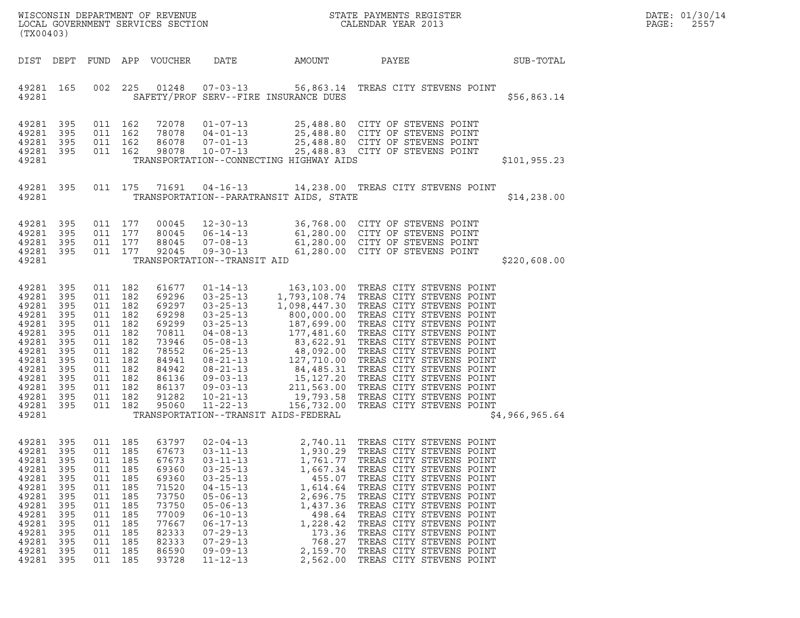| LOCAL GOVERNMENT SERVICES SECTION<br>(TX00403)                                                                                          |                                                                                                |                                                                                                                     |                                                                                                |                                                                                                                            |                                                                                                                                                                                                                                                          |                                                                                                                                                              |                                                                                                                                                                                                                                                                                                                                                                                                                                                                                                                                                                                      |                | DATE: 01/30/14<br>PAGE:<br>2557 |
|-----------------------------------------------------------------------------------------------------------------------------------------|------------------------------------------------------------------------------------------------|---------------------------------------------------------------------------------------------------------------------|------------------------------------------------------------------------------------------------|----------------------------------------------------------------------------------------------------------------------------|----------------------------------------------------------------------------------------------------------------------------------------------------------------------------------------------------------------------------------------------------------|--------------------------------------------------------------------------------------------------------------------------------------------------------------|--------------------------------------------------------------------------------------------------------------------------------------------------------------------------------------------------------------------------------------------------------------------------------------------------------------------------------------------------------------------------------------------------------------------------------------------------------------------------------------------------------------------------------------------------------------------------------------|----------------|---------------------------------|
|                                                                                                                                         |                                                                                                |                                                                                                                     |                                                                                                | DIST DEPT FUND APP VOUCHER                                                                                                 | DATE                                                                                                                                                                                                                                                     | AMOUNT                                                                                                                                                       | PAYEE                                                                                                                                                                                                                                                                                                                                                                                                                                                                                                                                                                                | SUB-TOTAL      |                                 |
| 49281 165<br>49281                                                                                                                      |                                                                                                | 002                                                                                                                 | 225                                                                                            |                                                                                                                            | 01248  07-03-13                                                                                                                                                                                                                                          | SAFETY/PROF SERV--FIRE INSURANCE DUES                                                                                                                        | 56,863.14 TREAS CITY STEVENS POINT                                                                                                                                                                                                                                                                                                                                                                                                                                                                                                                                                   | \$56,863.14    |                                 |
| 49281<br>49281<br>49281<br>49281 395<br>49281                                                                                           | 395<br>395<br>395                                                                              | 011 162<br>011 162<br>011 162<br>011 162                                                                            |                                                                                                | 72078<br>78078<br>86078<br>98078                                                                                           | $04 - 01 - 13$<br>$07 - 01 - 13$<br>$10 - 07 - 13$                                                                                                                                                                                                       | TRANSPORTATION--CONNECTING HIGHWAY AIDS                                                                                                                      | 01-07-13 25,488.80 CITY OF STEVENS POINT<br>25,488.80 CITY OF STEVENS POINT<br>25,488.80 CITY OF STEVENS POINT<br>25,488.83 CITY OF STEVENS POINT                                                                                                                                                                                                                                                                                                                                                                                                                                    | \$101, 955.23  |                                 |
| 49281 395<br>49281                                                                                                                      |                                                                                                | 011 175                                                                                                             |                                                                                                | 71691                                                                                                                      | $04 - 16 - 13$                                                                                                                                                                                                                                           | TRANSPORTATION--PARATRANSIT AIDS, STATE                                                                                                                      | 14,238.00 TREAS CITY STEVENS POINT                                                                                                                                                                                                                                                                                                                                                                                                                                                                                                                                                   | \$14,238.00    |                                 |
| 49281<br>49281<br>49281<br>49281 395<br>49281                                                                                           | 395<br>395<br>395                                                                              | 011 177<br>011 177<br>011 177<br>011 177                                                                            |                                                                                                | 00045<br>80045<br>88045<br>92045                                                                                           | $12 - 30 - 13$<br>$06 - 14 - 13$<br>$07 - 08 - 13$<br>$09 - 30 - 13$<br>TRANSPORTATION--TRANSIT AID                                                                                                                                                      |                                                                                                                                                              | 36,768.00 CITY OF STEVENS POINT<br>61,280.00 CITY OF STEVENS POINT<br>61,280.00 CITY OF STEVENS POINT<br>61,280.00 CITY OF STEVENS POINT                                                                                                                                                                                                                                                                                                                                                                                                                                             | \$220,608.00   |                                 |
| 49281<br>49281<br>49281<br>49281<br>49281<br>49281<br>49281<br>49281<br>49281<br>49281<br>49281<br>49281<br>49281<br>49281 395<br>49281 | 395<br>395<br>395<br>395<br>395<br>395<br>395<br>395<br>395<br>395<br>395<br>395<br>395        | 011 182<br>011<br>011 182<br>011<br>011 182<br>011<br>011 182<br>011<br>011 182<br>011<br>011 182<br>011<br>011 182 | 182<br>182<br>182<br>182<br>182<br>182<br>011 182                                              | 61677<br>69296<br>69297<br>69298<br>69299<br>70811<br>73946<br>78552<br>84941<br>84942<br>86136<br>86137<br>91282<br>95060 | $01 - 14 - 13$<br>$03 - 25 - 13$<br>$03 - 25 - 13$<br>$03 - 25 - 13$<br>$03 - 25 - 13$<br>$04 - 08 - 13$<br>$05 - 08 - 13$<br>$06 - 25 - 13$<br>$08 - 21 - 13$<br>$08 - 21 - 13$<br>$09 - 03 - 13$<br>$09 - 03 - 13$<br>$10 - 21 - 13$<br>$11 - 22 - 13$ | 211,563.00<br>TRANSPORTATION--TRANSIT AIDS-FEDERAL                                                                                                           | 163,103.00 TREAS CITY STEVENS POINT<br>1,793,108.74 TREAS CITY STEVENS POINT<br>1,098,447.30 TREAS CITY STEVENS POINT<br>800,000.00 TREAS CITY STEVENS POINT<br>187,699.00 TREAS CITY STEVENS POINT<br>177,481.60 TREAS CITY STEVENS POINT<br>83,622.91 TREAS CITY STEVENS POINT<br>48,092.00 TREAS CITY STEVENS POINT<br>127,710.00 TREAS CITY STEVENS POINT<br>227,710.00 TREAS CITY STEVENS POINT<br>84,485.31 TREAS CITY STEVENS POINT<br>15,127.20 TREAS CITY CERTIFIC<br>TREAS CITY STEVENS POINT<br>19,793.58 TREAS CITY STEVENS POINT<br>156,732.00 TREAS CITY STEVENS POINT | \$4,966,965.64 |                                 |
| 49281<br>49281<br>49281<br>49281<br>49281<br>49281<br>49281<br>49281<br>49281<br>49281<br>49281<br>49281<br>49281<br>49281              | 395<br>395<br>395<br>395<br>395<br>395<br>395<br>395<br>395<br>395<br>395<br>395<br>395<br>395 | 011<br>011<br>011<br>011<br>011<br>011<br>011<br>011<br>011<br>011<br>011<br>011<br>011<br>011                      | 185<br>185<br>185<br>185<br>185<br>185<br>185<br>185<br>185<br>185<br>185<br>185<br>185<br>185 | 63797<br>67673<br>67673<br>69360<br>69360<br>71520<br>73750<br>73750<br>77009<br>77667<br>82333<br>82333<br>86590<br>93728 | $02 - 04 - 13$<br>$03 - 11 - 13$<br>$03 - 11 - 13$<br>$03 - 25 - 13$<br>$03 - 25 - 13$<br>$04 - 15 - 13$<br>$05 - 06 - 13$<br>$05 - 06 - 13$<br>$06 - 10 - 13$<br>$06 - 17 - 13$<br>$07 - 29 - 13$<br>$07 - 29 - 13$<br>$09 - 09 - 13$<br>$11 - 12 - 13$ | 2,740.11<br>1,930.29<br>1,761.77<br>1,667.34<br>455.07<br>1,614.64<br>2,696.75<br>1,437.36<br>498.64<br>1,228.42<br>173.36<br>768.27<br>2,159.70<br>2,562.00 | TREAS CITY STEVENS POINT<br>TREAS CITY STEVENS POINT<br>TREAS CITY STEVENS POINT<br>TREAS CITY STEVENS POINT<br>TREAS CITY STEVENS POINT<br>TREAS CITY STEVENS POINT<br>TREAS CITY STEVENS POINT<br>TREAS CITY STEVENS POINT<br>TREAS CITY STEVENS POINT<br>TREAS CITY STEVENS POINT<br>TREAS CITY STEVENS POINT<br>TREAS CITY STEVENS POINT<br>TREAS CITY STEVENS POINT<br>TREAS CITY STEVENS POINT                                                                                                                                                                                 |                |                                 |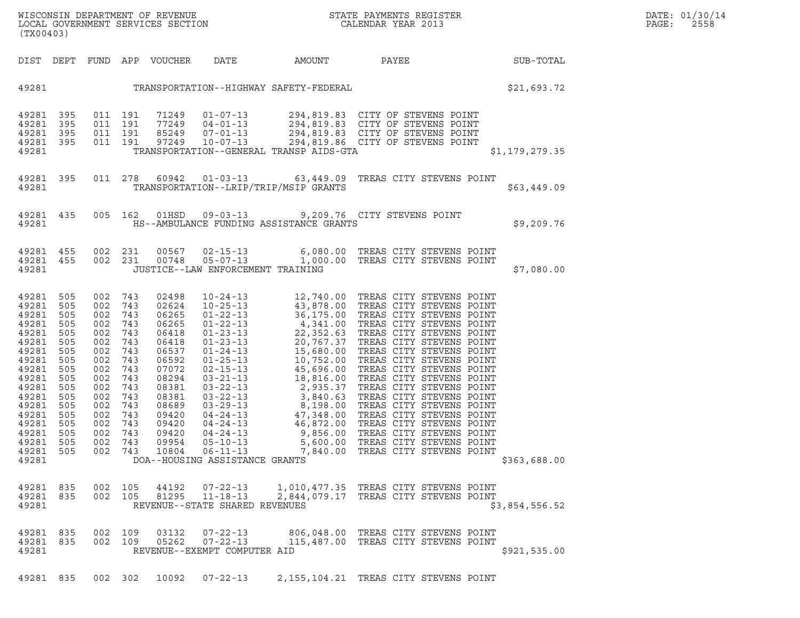| WISCONSIN DEPARTMENT OF REVENUE<br>LOCAL GOVERNMENT SERVICES SECTION<br>(TX00403) | STATE PAYMENTS REGISTER<br>CALENDAR YEAR 2013 | DATE: 01/30/14<br>PAGE:<br>2558 |
|-----------------------------------------------------------------------------------|-----------------------------------------------|---------------------------------|

| (TX00403)                                                                                                                                                                                                                                                                                                             |                                                                                                                                                                                                                                                                        |                                                                                                                                                                         |                                                                                                                                                                                                                                                                                                                                                                                      |                                                                                                                                                                            |                                                                                                                                                                                                                                                                                                                                                                                                                                                                                                                                                                                                                        |                |
|-----------------------------------------------------------------------------------------------------------------------------------------------------------------------------------------------------------------------------------------------------------------------------------------------------------------------|------------------------------------------------------------------------------------------------------------------------------------------------------------------------------------------------------------------------------------------------------------------------|-------------------------------------------------------------------------------------------------------------------------------------------------------------------------|--------------------------------------------------------------------------------------------------------------------------------------------------------------------------------------------------------------------------------------------------------------------------------------------------------------------------------------------------------------------------------------|----------------------------------------------------------------------------------------------------------------------------------------------------------------------------|------------------------------------------------------------------------------------------------------------------------------------------------------------------------------------------------------------------------------------------------------------------------------------------------------------------------------------------------------------------------------------------------------------------------------------------------------------------------------------------------------------------------------------------------------------------------------------------------------------------------|----------------|
| DIST DEPT                                                                                                                                                                                                                                                                                                             | FUND<br>APP                                                                                                                                                                                                                                                            | VOUCHER                                                                                                                                                                 | DATE                                                                                                                                                                                                                                                                                                                                                                                 | AMOUNT                                                                                                                                                                     | PAYEE                                                                                                                                                                                                                                                                                                                                                                                                                                                                                                                                                                                                                  | SUB-TOTAL      |
| 49281                                                                                                                                                                                                                                                                                                                 |                                                                                                                                                                                                                                                                        |                                                                                                                                                                         |                                                                                                                                                                                                                                                                                                                                                                                      | TRANSPORTATION--HIGHWAY SAFETY-FEDERAL                                                                                                                                     |                                                                                                                                                                                                                                                                                                                                                                                                                                                                                                                                                                                                                        | \$21,693.72    |
| 49281<br>395<br>395<br>49281<br>395<br>49281<br>395<br>49281<br>49281                                                                                                                                                                                                                                                 | 011<br>191<br>011<br>191<br>011<br>191<br>011<br>191                                                                                                                                                                                                                   | 71249<br>77249<br>85249<br>97249                                                                                                                                        | $01 - 07 - 13$<br>$04 - 01 - 13$<br>$07 - 01 - 13$<br>$10 - 07 - 13$                                                                                                                                                                                                                                                                                                                 | TRANSPORTATION--GENERAL TRANSP AIDS-GTA                                                                                                                                    | 294,819.83 CITY OF STEVENS POINT<br>294,819.83 CITY OF STEVENS POINT<br>294,819.83 CITY OF STEVENS POINT<br>294,819.86 CITY OF STEVENS POINT                                                                                                                                                                                                                                                                                                                                                                                                                                                                           | \$1,179,279.35 |
| 395<br>49281<br>49281                                                                                                                                                                                                                                                                                                 | 011<br>278                                                                                                                                                                                                                                                             | 60942                                                                                                                                                                   | $01 - 03 - 13$<br>TRANSPORTATION--LRIP/TRIP/MSIP GRANTS                                                                                                                                                                                                                                                                                                                              | 63,449.09                                                                                                                                                                  | TREAS CITY STEVENS POINT                                                                                                                                                                                                                                                                                                                                                                                                                                                                                                                                                                                               | \$63,449.09    |
| 49281<br>435<br>49281                                                                                                                                                                                                                                                                                                 | 005<br>162                                                                                                                                                                                                                                                             | 01HSD                                                                                                                                                                   | $09 - 03 - 13$                                                                                                                                                                                                                                                                                                                                                                       | HS--AMBULANCE FUNDING ASSISTANCE GRANTS                                                                                                                                    | 9,209.76 CITY STEVENS POINT                                                                                                                                                                                                                                                                                                                                                                                                                                                                                                                                                                                            | \$9,209.76     |
| 49281<br>455<br>455<br>49281<br>49281                                                                                                                                                                                                                                                                                 | 002<br>231<br>002<br>231                                                                                                                                                                                                                                               | 00567<br>00748                                                                                                                                                          | $02 - 15 - 13$<br>$05 - 07 - 13$<br>JUSTICE--LAW ENFORCEMENT TRAINING                                                                                                                                                                                                                                                                                                                |                                                                                                                                                                            | 6,080.00 TREAS CITY STEVENS POINT<br>1,000.00 TREAS CITY STEVENS POINT                                                                                                                                                                                                                                                                                                                                                                                                                                                                                                                                                 | \$7,080.00     |
| 49281<br>505<br>49281<br>505<br>505<br>49281<br>49281<br>505<br>49281<br>505<br>49281<br>505<br>505<br>49281<br>49281<br>505<br>49281<br>505<br>49281<br>505<br>505<br>49281<br>49281<br>505<br>49281<br>505<br>49281<br>505<br>505<br>49281<br>49281<br>505<br>49281<br>505<br>49281<br>505<br>49281<br>49281<br>835 | 002<br>743<br>002<br>743<br>002<br>743<br>002<br>743<br>002<br>743<br>002<br>743<br>002<br>743<br>002<br>743<br>002<br>743<br>002<br>743<br>002<br>743<br>002<br>743<br>002<br>743<br>002<br>743<br>002<br>743<br>002<br>743<br>002<br>743<br>002<br>743<br>002<br>105 | 02498<br>02624<br>06265<br>06265<br>06418<br>06418<br>06537<br>06592<br>07072<br>08294<br>08381<br>08381<br>08689<br>09420<br>09420<br>09420<br>09954<br>10804<br>44192 | $10 - 24 - 13$<br>$10 - 25 - 13$<br>$01 - 22 - 13$<br>$01 - 22 - 13$<br>$01 - 23 - 13$<br>$01 - 23 - 13$<br>$01 - 24 - 13$<br>$01 - 25 - 13$<br>$02 - 15 - 13$<br>$03 - 21 - 13$<br>$03 - 22 - 13$<br>$03 - 22 - 13$<br>$03 - 29 - 13$<br>$04 - 24 - 13$<br>$04 - 24 - 13$<br>$04 - 24 - 13$<br>$05 - 10 - 13$<br>$06 - 11 - 13$<br>DOA--HOUSING ASSISTANCE GRANTS<br>$07 - 22 - 13$ | $36,175.00$ $4,341.00$ $22,352.63$ $20,767.37$ $15,680.00$ $5,752.00$<br>10,752.00<br>45,696.00<br>18,816.00<br>2,935.37<br>3,840.63<br>8,198.00<br>47,348.00<br>46,872.00 | 12,740.00 TREAS CITY STEVENS POINT<br>43,878.00 TREAS CITY STEVENS POINT<br>36,175.00 TREAS CITY STEVENS POINT<br>TREAS CITY STEVENS POINT<br>TREAS CITY STEVENS POINT<br>TREAS CITY STEVENS POINT<br>TREAS CITY STEVENS POINT<br>TREAS CITY STEVENS POINT<br>TREAS CITY STEVENS POINT<br>TREAS CITY STEVENS POINT<br>TREAS CITY STEVENS POINT<br>TREAS CITY STEVENS POINT<br>TREAS CITY STEVENS POINT<br>TREAS CITY STEVENS POINT<br>TREAS CITY STEVENS POINT<br>9,856.00 TREAS CITY STEVENS POINT<br>5,600.00 TREAS CITY STEVENS POINT<br>7,840.00 TREAS CITY STEVENS POINT<br>1,010,477.35 TREAS CITY STEVENS POINT | \$363,688.00   |
| 835<br>49281<br>49281                                                                                                                                                                                                                                                                                                 | 002<br>105                                                                                                                                                                                                                                                             | 81295                                                                                                                                                                   | $11 - 18 - 13$<br>REVENUE--STATE SHARED REVENUES                                                                                                                                                                                                                                                                                                                                     |                                                                                                                                                                            | 2,844,079.17 TREAS CITY STEVENS POINT                                                                                                                                                                                                                                                                                                                                                                                                                                                                                                                                                                                  | \$3,854,556.52 |
| 835<br>49281<br>49281<br>835<br>49281                                                                                                                                                                                                                                                                                 | 002<br>109<br>002<br>109                                                                                                                                                                                                                                               | 03132<br>05262                                                                                                                                                          | $07 - 22 - 13$<br>$07 - 22 - 13$<br>REVENUE--EXEMPT COMPUTER AID                                                                                                                                                                                                                                                                                                                     | 806,048.00<br>115,487.00                                                                                                                                                   | TREAS CITY STEVENS POINT<br>TREAS CITY STEVENS POINT                                                                                                                                                                                                                                                                                                                                                                                                                                                                                                                                                                   | \$921, 535.00  |

(TX00403)

49281 835 002 302 10092 07-22-13 2,155,104.21 TREAS CITY STEVENS POINT